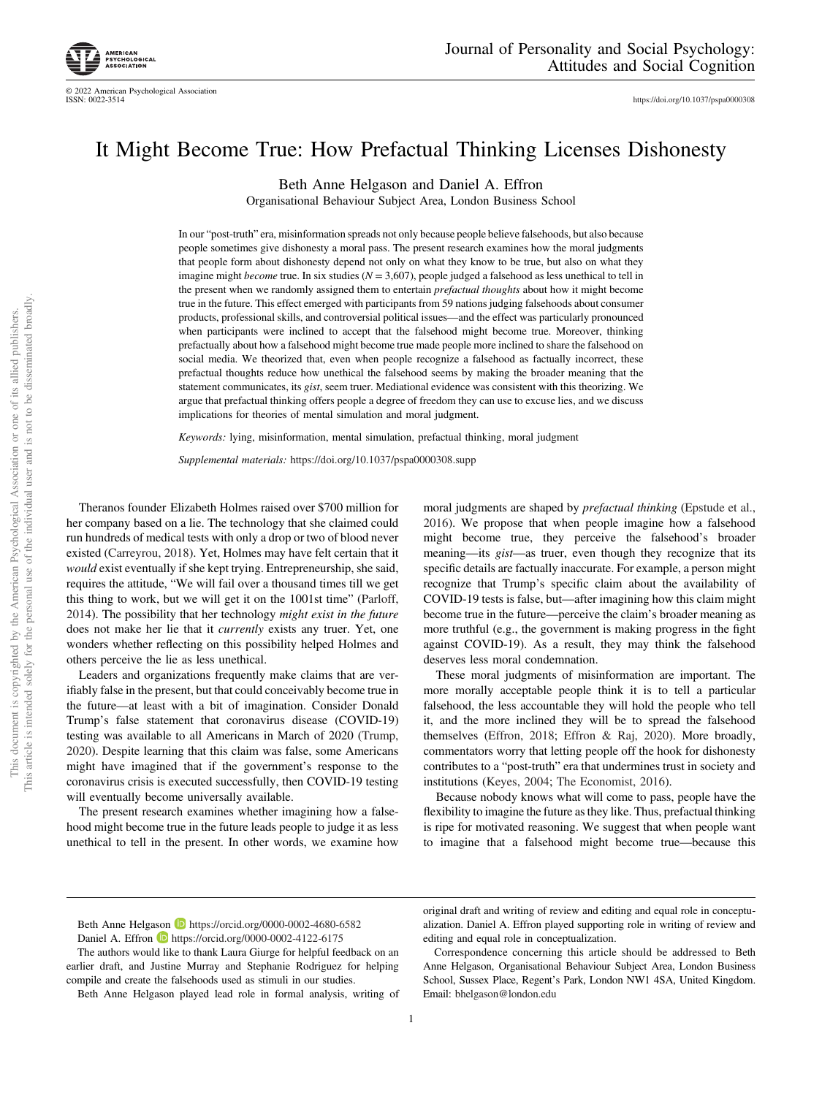<https://doi.org/10.1037/pspa0000308>

# It Might Become True: How Prefactual Thinking Licenses Dishonesty

Beth Anne Helgason and Daniel A. Effron

Organisational Behaviour Subject Area, London Business School

In our "post-truth" era, misinformation spreads not only because people believe falsehoods, but also because people sometimes give dishonesty a moral pass. The present research examines how the moral judgments that people form about dishonesty depend not only on what they know to be true, but also on what they imagine might *become* true. In six studies  $(N = 3,607)$ , people judged a falsehood as less unethical to tell in the present when we randomly assigned them to entertain *prefactual thoughts* about how it might become true in the future. This effect emerged with participants from 59 nations judging falsehoods about consumer products, professional skills, and controversial political issues—and the effect was particularly pronounced when participants were inclined to accept that the falsehood might become true. Moreover, thinking prefactually about how a falsehood might become true made people more inclined to share the falsehood on social media. We theorized that, even when people recognize a falsehood as factually incorrect, these prefactual thoughts reduce how unethical the falsehood seems by making the broader meaning that the statement communicates, its gist, seem truer. Mediational evidence was consistent with this theorizing. We argue that prefactual thinking offers people a degree of freedom they can use to excuse lies, and we discuss implications for theories of mental simulation and moral judgment.

Keywords: lying, misinformation, mental simulation, prefactual thinking, moral judgment

Supplemental materials: <https://doi.org/10.1037/pspa0000308.supp>

Theranos founder Elizabeth Holmes raised over \$700 million for her company based on a lie. The technology that she claimed could run hundreds of medical tests with only a drop or two of blood never existed [\(Carreyrou, 2018\)](#page-25-0). Yet, Holmes may have felt certain that it would exist eventually if she kept trying. Entrepreneurship, she said, requires the attitude, "We will fail over a thousand times till we get this thing to work, but we will get it on the 1001st time" [\(Parloff,](#page-27-0) [2014](#page-27-0)). The possibility that her technology might exist in the future does not make her lie that it currently exists any truer. Yet, one wonders whether reflecting on this possibility helped Holmes and others perceive the lie as less unethical.

Leaders and organizations frequently make claims that are verifiably false in the present, but that could conceivably become true in the future—at least with a bit of imagination. Consider Donald Trump's false statement that coronavirus disease (COVID-19) testing was available to all Americans in March of 2020 [\(Trump,](#page-28-0) [2020](#page-28-0)). Despite learning that this claim was false, some Americans might have imagined that if the government's response to the coronavirus crisis is executed successfully, then COVID-19 testing will eventually become universally available.

The present research examines whether imagining how a falsehood might become true in the future leads people to judge it as less unethical to tell in the present. In other words, we examine how moral judgments are shaped by prefactual thinking ([Epstude et al.,](#page-25-0) [2016](#page-25-0)). We propose that when people imagine how a falsehood might become true, they perceive the falsehood's broader meaning—its *gist*—as truer, even though they recognize that its specific details are factually inaccurate. For example, a person might recognize that Trump's specific claim about the availability of COVID-19 tests is false, but—after imagining how this claim might become true in the future—perceive the claim's broader meaning as more truthful (e.g., the government is making progress in the fight against COVID-19). As a result, they may think the falsehood deserves less moral condemnation.

These moral judgments of misinformation are important. The more morally acceptable people think it is to tell a particular falsehood, the less accountable they will hold the people who tell it, and the more inclined they will be to spread the falsehood themselves ([Effron, 2018;](#page-25-0) [Effron & Raj, 2020](#page-25-0)). More broadly, commentators worry that letting people off the hook for dishonesty contributes to a "post-truth" era that undermines trust in society and institutions [\(Keyes, 2004;](#page-26-0) [The Economist, 2016](#page-28-0)).

Because nobody knows what will come to pass, people have the flexibility to imagine the future as they like. Thus, prefactual thinking is ripe for motivated reasoning. We suggest that when people want to imagine that a falsehood might become true—because this

original draft and writing of review and editing and equal role in conceptualization. Daniel A. Effron played supporting role in writing of review and editing and equal role in conceptualization.

Beth Anne Helgason **<https://orcid.org/0000-0002-4680-6582>** 

Daniel A. Effron **<https://orcid.org/0000-0002-4122-6175>** 

The authors would like to thank Laura Giurge for helpful feedback on an earlier draft, and Justine Murray and Stephanie Rodriguez for helping compile and create the falsehoods used as stimuli in our studies.

Beth Anne Helgason played lead role in formal analysis, writing of

Correspondence concerning this article should be addressed to Beth Anne Helgason, Organisational Behaviour Subject Area, London Business School, Sussex Place, Regent's Park, London NW1 4SA, United Kingdom. Email: [bhelgason@london.edu](mailto:bhelgason@london.edu)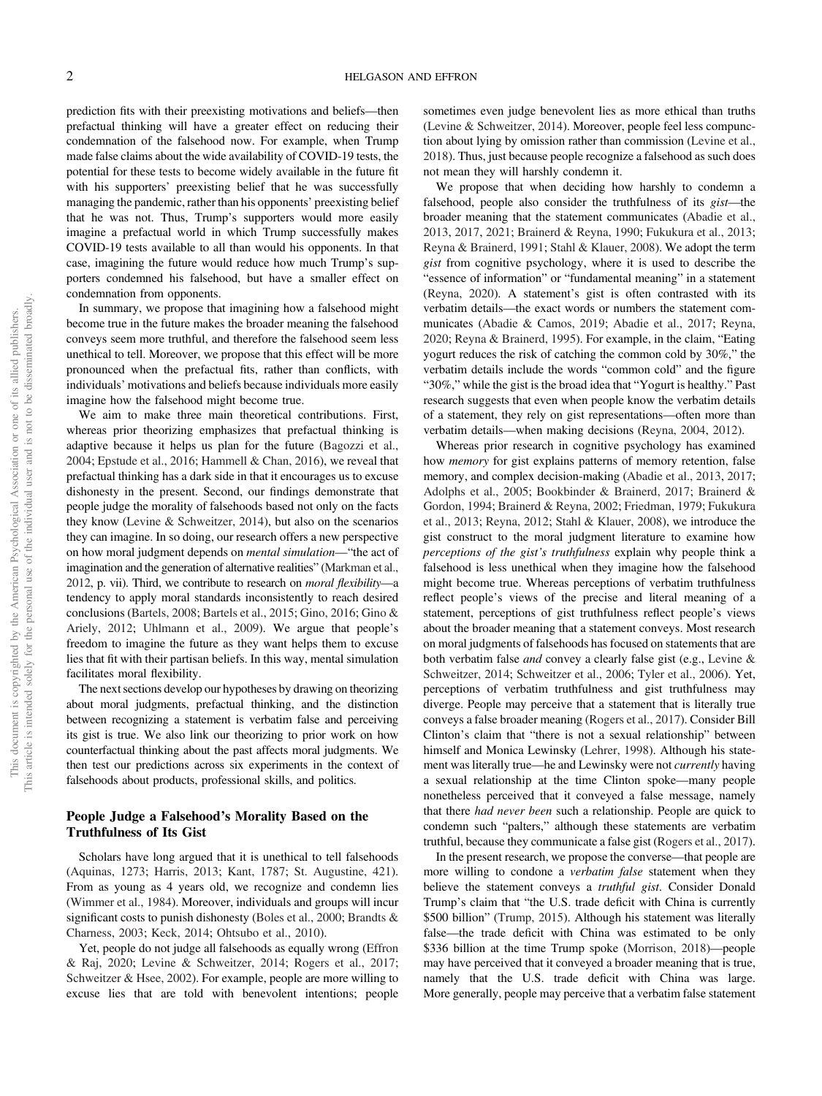prediction fits with their preexisting motivations and beliefs—then prefactual thinking will have a greater effect on reducing their condemnation of the falsehood now. For example, when Trump made false claims about the wide availability of COVID-19 tests, the potential for these tests to become widely available in the future fit with his supporters' preexisting belief that he was successfully managing the pandemic, rather than his opponents' preexisting belief that he was not. Thus, Trump's supporters would more easily imagine a prefactual world in which Trump successfully makes COVID-19 tests available to all than would his opponents. In that case, imagining the future would reduce how much Trump's supporters condemned his falsehood, but have a smaller effect on condemnation from opponents.

In summary, we propose that imagining how a falsehood might become true in the future makes the broader meaning the falsehood conveys seem more truthful, and therefore the falsehood seem less unethical to tell. Moreover, we propose that this effect will be more pronounced when the prefactual fits, rather than conflicts, with individuals' motivations and beliefs because individuals more easily imagine how the falsehood might become true.

We aim to make three main theoretical contributions. First, whereas prior theorizing emphasizes that prefactual thinking is adaptive because it helps us plan for the future ([Bagozzi et al.,](#page-25-0) [2004](#page-25-0); [Epstude et al., 2016;](#page-25-0) [Hammell & Chan, 2016](#page-26-0)), we reveal that prefactual thinking has a dark side in that it encourages us to excuse dishonesty in the present. Second, our findings demonstrate that people judge the morality of falsehoods based not only on the facts they know ([Levine & Schweitzer, 2014\)](#page-26-0), but also on the scenarios they can imagine. In so doing, our research offers a new perspective on how moral judgment depends on mental simulation—"the act of imagination and the generation of alternative realities" ([Markman et al.,](#page-26-0) [2012](#page-26-0), p. vii). Third, we contribute to research on moral flexibility—a tendency to apply moral standards inconsistently to reach desired conclusions ([Bartels, 2008](#page-25-0); [Bartels et al., 2015;](#page-25-0) [Gino, 2016;](#page-26-0) [Gino &](#page-26-0) [Ariely, 2012;](#page-26-0) [Uhlmann et al., 2009](#page-28-0)). We argue that people's freedom to imagine the future as they want helps them to excuse lies that fit with their partisan beliefs. In this way, mental simulation facilitates moral flexibility.

The next sections develop our hypotheses by drawing on theorizing about moral judgments, prefactual thinking, and the distinction between recognizing a statement is verbatim false and perceiving its gist is true. We also link our theorizing to prior work on how counterfactual thinking about the past affects moral judgments. We then test our predictions across six experiments in the context of falsehoods about products, professional skills, and politics.

## People Judge a Falsehood's Morality Based on the Truthfulness of Its Gist

Scholars have long argued that it is unethical to tell falsehoods ([Aquinas, 1273;](#page-24-0) [Harris, 2013;](#page-26-0) [Kant, 1787](#page-26-0); [St. Augustine, 421\)](#page-27-0). From as young as 4 years old, we recognize and condemn lies ([Wimmer et al., 1984\)](#page-28-0). Moreover, individuals and groups will incur significant costs to punish dishonesty [\(Boles et al., 2000;](#page-25-0) [Brandts &](#page-25-0) [Charness, 2003;](#page-25-0) [Keck, 2014](#page-26-0); [Ohtsubo et al., 2010](#page-27-0)).

Yet, people do not judge all falsehoods as equally wrong ([Effron](#page-25-0) [& Raj, 2020;](#page-25-0) [Levine & Schweitzer, 2014](#page-26-0); [Rogers et al., 2017;](#page-27-0) [Schweitzer & Hsee, 2002\)](#page-27-0). For example, people are more willing to excuse lies that are told with benevolent intentions; people

sometimes even judge benevolent lies as more ethical than truths ([Levine & Schweitzer, 2014\)](#page-26-0). Moreover, people feel less compunction about lying by omission rather than commission [\(Levine et al.,](#page-26-0) [2018\)](#page-26-0). Thus, just because people recognize a falsehood as such does not mean they will harshly condemn it.

We propose that when deciding how harshly to condemn a falsehood, people also consider the truthfulness of its gist—the broader meaning that the statement communicates [\(Abadie et al.,](#page-24-0) [2013,](#page-24-0) [2017,](#page-24-0) [2021](#page-24-0); [Brainerd & Reyna, 1990](#page-25-0); [Fukukura et al., 2013;](#page-25-0) [Reyna & Brainerd, 1991](#page-27-0); [Stahl & Klauer, 2008](#page-28-0)). We adopt the term gist from cognitive psychology, where it is used to describe the "essence of information" or "fundamental meaning" in a statement ([Reyna, 2020\)](#page-27-0). A statement's gist is often contrasted with its verbatim details—the exact words or numbers the statement communicates ([Abadie & Camos, 2019](#page-24-0); [Abadie et al., 2017;](#page-24-0) [Reyna,](#page-27-0) [2020;](#page-27-0) [Reyna & Brainerd, 1995](#page-27-0)). For example, in the claim, "Eating yogurt reduces the risk of catching the common cold by 30%," the verbatim details include the words "common cold" and the figure "30%," while the gist is the broad idea that "Yogurt is healthy." Past research suggests that even when people know the verbatim details of a statement, they rely on gist representations—often more than verbatim details—when making decisions ([Reyna, 2004,](#page-27-0) [2012](#page-27-0)).

Whereas prior research in cognitive psychology has examined how memory for gist explains patterns of memory retention, false memory, and complex decision-making [\(Abadie et al., 2013](#page-24-0), [2017;](#page-24-0) [Adolphs et al., 2005;](#page-24-0) [Bookbinder & Brainerd, 2017;](#page-25-0) [Brainerd &](#page-25-0) [Gordon, 1994;](#page-25-0) [Brainerd & Reyna, 2002;](#page-25-0) [Friedman, 1979](#page-25-0); [Fukukura](#page-25-0) [et al., 2013](#page-25-0); [Reyna, 2012;](#page-27-0) [Stahl & Klauer, 2008\)](#page-28-0), we introduce the gist construct to the moral judgment literature to examine how perceptions of the gist's truthfulness explain why people think a falsehood is less unethical when they imagine how the falsehood might become true. Whereas perceptions of verbatim truthfulness reflect people's views of the precise and literal meaning of a statement, perceptions of gist truthfulness reflect people's views about the broader meaning that a statement conveys. Most research on moral judgments of falsehoods has focused on statements that are both verbatim false and convey a clearly false gist (e.g., [Levine &](#page-26-0) [Schweitzer, 2014](#page-26-0); [Schweitzer et al., 2006;](#page-27-0) [Tyler et al., 2006](#page-28-0)). Yet, perceptions of verbatim truthfulness and gist truthfulness may diverge. People may perceive that a statement that is literally true conveys a false broader meaning ([Rogers et al., 2017\)](#page-27-0). Consider Bill Clinton's claim that "there is not a sexual relationship" between himself and Monica Lewinsky [\(Lehrer, 1998\)](#page-26-0). Although his statement was literally true—he and Lewinsky were not currently having a sexual relationship at the time Clinton spoke—many people nonetheless perceived that it conveyed a false message, namely that there had never been such a relationship. People are quick to condemn such "palters," although these statements are verbatim truthful, because they communicate a false gist [\(Rogers et al., 2017\)](#page-27-0).

In the present research, we propose the converse—that people are more willing to condone a *verbatim false* statement when they believe the statement conveys a *truthful gist*. Consider Donald Trump's claim that "the U.S. trade deficit with China is currently \$500 billion" ([Trump, 2015](#page-28-0)). Although his statement was literally false—the trade deficit with China was estimated to be only \$336 billion at the time Trump spoke [\(Morrison, 2018](#page-27-0))—people may have perceived that it conveyed a broader meaning that is true, namely that the U.S. trade deficit with China was large. More generally, people may perceive that a verbatim false statement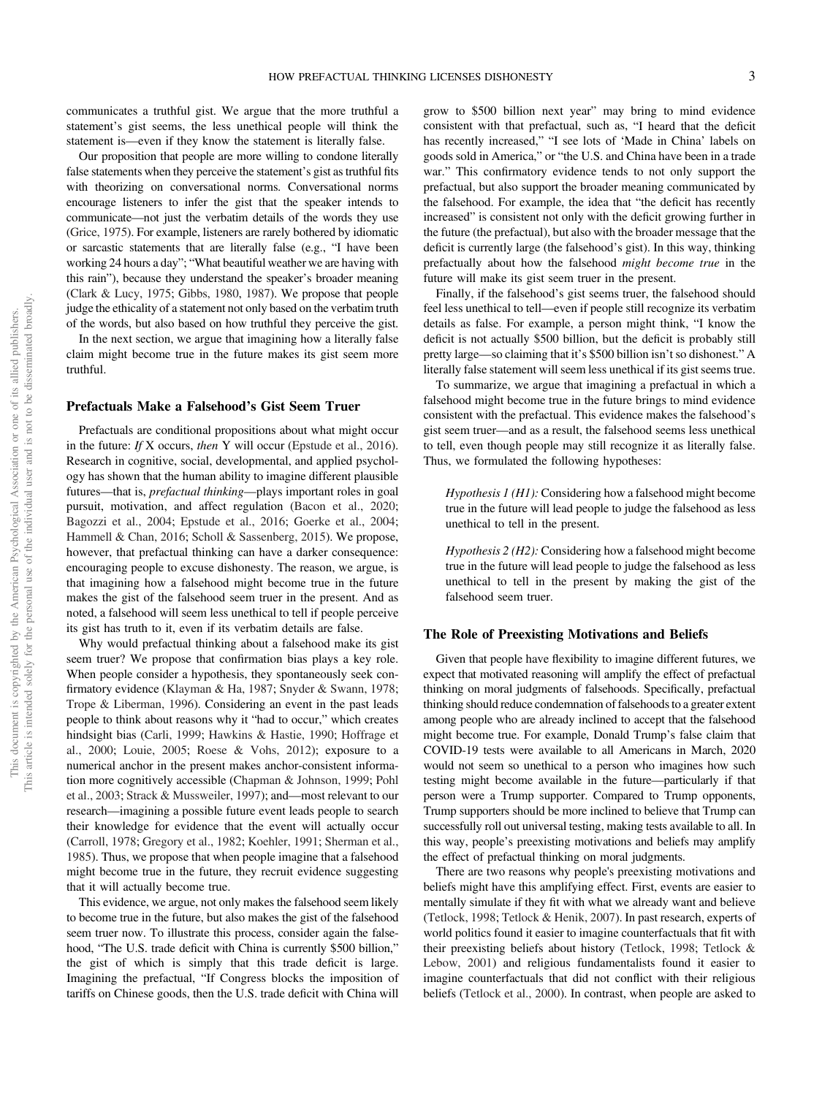communicates a truthful gist. We argue that the more truthful a statement's gist seems, the less unethical people will think the statement is—even if they know the statement is literally false.

Our proposition that people are more willing to condone literally false statements when they perceive the statement's gist as truthful fits with theorizing on conversational norms. Conversational norms encourage listeners to infer the gist that the speaker intends to communicate—not just the verbatim details of the words they use ([Grice, 1975\)](#page-26-0). For example, listeners are rarely bothered by idiomatic or sarcastic statements that are literally false (e.g., "I have been working 24 hours a day"; "What beautiful weather we are having with this rain"), because they understand the speaker's broader meaning ([Clark & Lucy, 1975;](#page-25-0) [Gibbs, 1980](#page-26-0), [1987](#page-26-0)). We propose that people judge the ethicality of a statement not only based on the verbatim truth of the words, but also based on how truthful they perceive the gist.

In the next section, we argue that imagining how a literally false claim might become true in the future makes its gist seem more truthful.

## Prefactuals Make a Falsehood's Gist Seem Truer

Prefactuals are conditional propositions about what might occur in the future: If X occurs, then Y will occur [\(Epstude et al., 2016\)](#page-25-0). Research in cognitive, social, developmental, and applied psychology has shown that the human ability to imagine different plausible futures—that is, prefactual thinking—plays important roles in goal pursuit, motivation, and affect regulation ([Bacon et al., 2020;](#page-24-0) [Bagozzi et al., 2004](#page-25-0); [Epstude et al., 2016](#page-25-0); [Goerke et al., 2004;](#page-26-0) [Hammell & Chan, 2016;](#page-26-0) [Scholl & Sassenberg, 2015](#page-27-0)). We propose, however, that prefactual thinking can have a darker consequence: encouraging people to excuse dishonesty. The reason, we argue, is that imagining how a falsehood might become true in the future makes the gist of the falsehood seem truer in the present. And as noted, a falsehood will seem less unethical to tell if people perceive its gist has truth to it, even if its verbatim details are false.

Why would prefactual thinking about a falsehood make its gist seem truer? We propose that confirmation bias plays a key role. When people consider a hypothesis, they spontaneously seek confirmatory evidence [\(Klayman & Ha, 1987](#page-26-0); [Snyder & Swann, 1978;](#page-27-0) [Trope & Liberman, 1996](#page-28-0)). Considering an event in the past leads people to think about reasons why it "had to occur," which creates hindsight bias [\(Carli, 1999](#page-25-0); [Hawkins & Hastie, 1990](#page-26-0); [Hoffrage et](#page-26-0) [al., 2000;](#page-26-0) [Louie, 2005](#page-26-0); [Roese & Vohs, 2012\)](#page-27-0); exposure to a numerical anchor in the present makes anchor-consistent information more cognitively accessible ([Chapman & Johnson, 1999;](#page-25-0) [Pohl](#page-27-0) [et al., 2003](#page-27-0); [Strack & Mussweiler, 1997](#page-28-0)); and—most relevant to our research—imagining a possible future event leads people to search their knowledge for evidence that the event will actually occur ([Carroll, 1978](#page-25-0); [Gregory et al., 1982](#page-26-0); [Koehler, 1991](#page-26-0); [Sherman et al.,](#page-27-0) [1985](#page-27-0)). Thus, we propose that when people imagine that a falsehood might become true in the future, they recruit evidence suggesting that it will actually become true.

This evidence, we argue, not only makes the falsehood seem likely to become true in the future, but also makes the gist of the falsehood seem truer now. To illustrate this process, consider again the falsehood, "The U.S. trade deficit with China is currently \$500 billion," the gist of which is simply that this trade deficit is large. Imagining the prefactual, "If Congress blocks the imposition of tariffs on Chinese goods, then the U.S. trade deficit with China will

grow to \$500 billion next year" may bring to mind evidence consistent with that prefactual, such as, "I heard that the deficit has recently increased," "I see lots of 'Made in China' labels on goods sold in America," or "the U.S. and China have been in a trade war." This confirmatory evidence tends to not only support the prefactual, but also support the broader meaning communicated by the falsehood. For example, the idea that "the deficit has recently increased" is consistent not only with the deficit growing further in the future (the prefactual), but also with the broader message that the deficit is currently large (the falsehood's gist). In this way, thinking prefactually about how the falsehood might become true in the future will make its gist seem truer in the present.

Finally, if the falsehood's gist seems truer, the falsehood should feel less unethical to tell—even if people still recognize its verbatim details as false. For example, a person might think, "I know the deficit is not actually \$500 billion, but the deficit is probably still pretty large—so claiming that it's \$500 billion isn't so dishonest." A literally false statement will seem less unethical if its gist seems true.

To summarize, we argue that imagining a prefactual in which a falsehood might become true in the future brings to mind evidence consistent with the prefactual. This evidence makes the falsehood's gist seem truer—and as a result, the falsehood seems less unethical to tell, even though people may still recognize it as literally false. Thus, we formulated the following hypotheses:

Hypothesis 1 (H1): Considering how a falsehood might become true in the future will lead people to judge the falsehood as less unethical to tell in the present.

Hypothesis 2 (H2): Considering how a falsehood might become true in the future will lead people to judge the falsehood as less unethical to tell in the present by making the gist of the falsehood seem truer.

#### The Role of Preexisting Motivations and Beliefs

Given that people have flexibility to imagine different futures, we expect that motivated reasoning will amplify the effect of prefactual thinking on moral judgments of falsehoods. Specifically, prefactual thinking should reduce condemnation of falsehoods to a greater extent among people who are already inclined to accept that the falsehood might become true. For example, Donald Trump's false claim that COVID-19 tests were available to all Americans in March, 2020 would not seem so unethical to a person who imagines how such testing might become available in the future—particularly if that person were a Trump supporter. Compared to Trump opponents, Trump supporters should be more inclined to believe that Trump can successfully roll out universal testing, making tests available to all. In this way, people's preexisting motivations and beliefs may amplify the effect of prefactual thinking on moral judgments.

There are two reasons why people's preexisting motivations and beliefs might have this amplifying effect. First, events are easier to mentally simulate if they fit with what we already want and believe ([Tetlock, 1998](#page-28-0); [Tetlock & Henik, 2007\)](#page-28-0). In past research, experts of world politics found it easier to imagine counterfactuals that fit with their preexisting beliefs about history [\(Tetlock, 1998](#page-28-0); [Tetlock &](#page-28-0) [Lebow, 2001\)](#page-28-0) and religious fundamentalists found it easier to imagine counterfactuals that did not conflict with their religious beliefs ([Tetlock et al., 2000\)](#page-28-0). In contrast, when people are asked to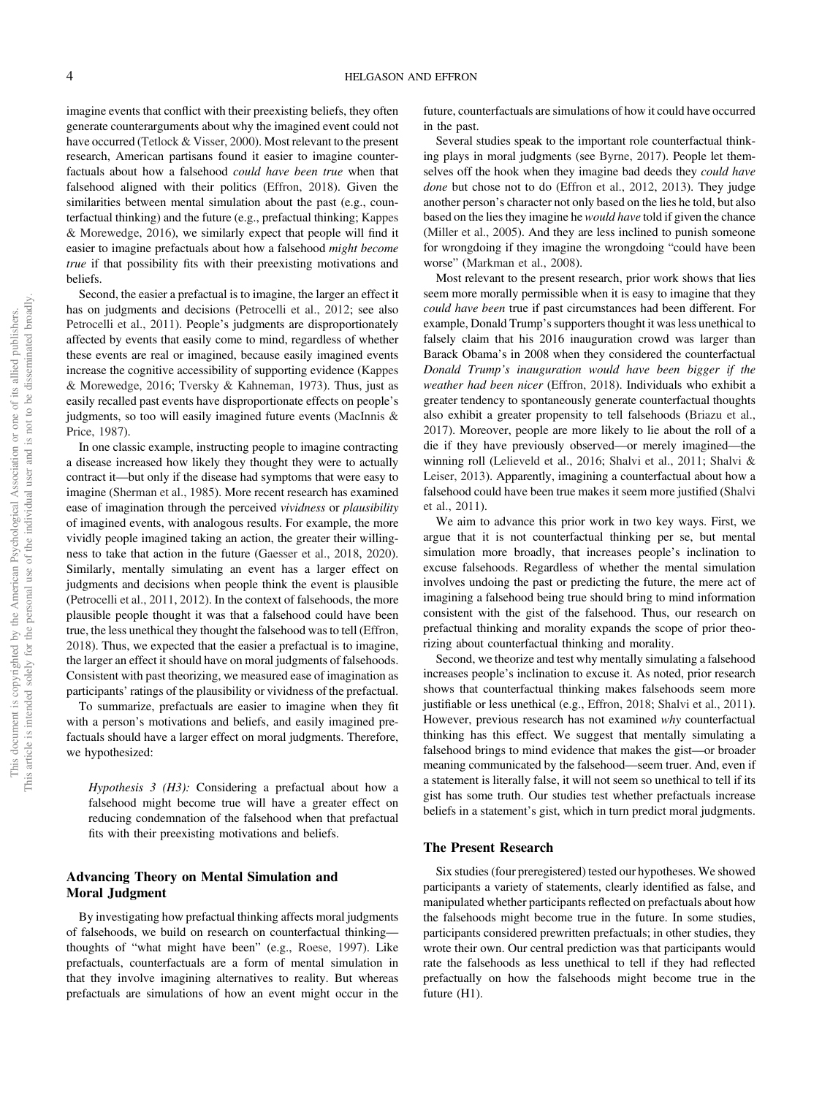imagine events that conflict with their preexisting beliefs, they often generate counterarguments about why the imagined event could not have occurred [\(Tetlock & Visser, 2000](#page-28-0)). Most relevant to the present research, American partisans found it easier to imagine counterfactuals about how a falsehood could have been true when that falsehood aligned with their politics ([Effron, 2018\)](#page-25-0). Given the similarities between mental simulation about the past (e.g., counterfactual thinking) and the future (e.g., prefactual thinking; [Kappes](#page-26-0) [& Morewedge, 2016\)](#page-26-0), we similarly expect that people will find it easier to imagine prefactuals about how a falsehood might become true if that possibility fits with their preexisting motivations and beliefs.

Second, the easier a prefactual is to imagine, the larger an effect it has on judgments and decisions ([Petrocelli et al., 2012;](#page-27-0) see also [Petrocelli et al., 2011](#page-27-0)). People's judgments are disproportionately affected by events that easily come to mind, regardless of whether these events are real or imagined, because easily imagined events increase the cognitive accessibility of supporting evidence [\(Kappes](#page-26-0) [& Morewedge, 2016;](#page-26-0) [Tversky & Kahneman, 1973](#page-28-0)). Thus, just as easily recalled past events have disproportionate effects on people's judgments, so too will easily imagined future events ([MacInnis &](#page-26-0) [Price, 1987](#page-26-0)).

In one classic example, instructing people to imagine contracting a disease increased how likely they thought they were to actually contract it—but only if the disease had symptoms that were easy to imagine ([Sherman et al., 1985](#page-27-0)). More recent research has examined ease of imagination through the perceived vividness or plausibility of imagined events, with analogous results. For example, the more vividly people imagined taking an action, the greater their willingness to take that action in the future ([Gaesser et al., 2018](#page-25-0), [2020\)](#page-25-0). Similarly, mentally simulating an event has a larger effect on judgments and decisions when people think the event is plausible ([Petrocelli et al., 2011,](#page-27-0) [2012\)](#page-27-0). In the context of falsehoods, the more plausible people thought it was that a falsehood could have been true, the less unethical they thought the falsehood was to tell ([Effron,](#page-25-0) [2018](#page-25-0)). Thus, we expected that the easier a prefactual is to imagine, the larger an effect it should have on moral judgments of falsehoods. Consistent with past theorizing, we measured ease of imagination as participants' ratings of the plausibility or vividness of the prefactual.

To summarize, prefactuals are easier to imagine when they fit with a person's motivations and beliefs, and easily imagined prefactuals should have a larger effect on moral judgments. Therefore, we hypothesized:

Hypothesis 3 (H3): Considering a prefactual about how a falsehood might become true will have a greater effect on reducing condemnation of the falsehood when that prefactual fits with their preexisting motivations and beliefs.

## Advancing Theory on Mental Simulation and Moral Judgment

By investigating how prefactual thinking affects moral judgments of falsehoods, we build on research on counterfactual thinking thoughts of "what might have been" (e.g., [Roese, 1997](#page-27-0)). Like prefactuals, counterfactuals are a form of mental simulation in that they involve imagining alternatives to reality. But whereas prefactuals are simulations of how an event might occur in the

future, counterfactuals are simulations of how it could have occurred in the past.

Several studies speak to the important role counterfactual thinking plays in moral judgments (see [Byrne, 2017](#page-25-0)). People let themselves off the hook when they imagine bad deeds they *could have* done but chose not to do ([Effron et al., 2012,](#page-25-0) [2013](#page-25-0)). They judge another person's character not only based on the lies he told, but also based on the lies they imagine he would have told if given the chance ([Miller et al., 2005](#page-26-0)). And they are less inclined to punish someone for wrongdoing if they imagine the wrongdoing "could have been worse" [\(Markman et al., 2008\)](#page-26-0).

Most relevant to the present research, prior work shows that lies seem more morally permissible when it is easy to imagine that they could have been true if past circumstances had been different. For example, Donald Trump's supporters thought it was less unethical to falsely claim that his 2016 inauguration crowd was larger than Barack Obama's in 2008 when they considered the counterfactual Donald Trump's inauguration would have been bigger if the weather had been nicer [\(Effron, 2018\)](#page-25-0). Individuals who exhibit a greater tendency to spontaneously generate counterfactual thoughts also exhibit a greater propensity to tell falsehoods [\(Briazu et al.,](#page-25-0) [2017](#page-25-0)). Moreover, people are more likely to lie about the roll of a die if they have previously observed—or merely imagined—the winning roll ([Lelieveld et al., 2016;](#page-26-0) [Shalvi et al., 2011;](#page-27-0) [Shalvi &](#page-27-0) [Leiser, 2013\)](#page-27-0). Apparently, imagining a counterfactual about how a falsehood could have been true makes it seem more justified [\(Shalvi](#page-27-0) [et al., 2011](#page-27-0)).

We aim to advance this prior work in two key ways. First, we argue that it is not counterfactual thinking per se, but mental simulation more broadly, that increases people's inclination to excuse falsehoods. Regardless of whether the mental simulation involves undoing the past or predicting the future, the mere act of imagining a falsehood being true should bring to mind information consistent with the gist of the falsehood. Thus, our research on prefactual thinking and morality expands the scope of prior theorizing about counterfactual thinking and morality.

Second, we theorize and test why mentally simulating a falsehood increases people's inclination to excuse it. As noted, prior research shows that counterfactual thinking makes falsehoods seem more justifiable or less unethical (e.g., [Effron, 2018;](#page-25-0) [Shalvi et al., 2011\)](#page-27-0). However, previous research has not examined why counterfactual thinking has this effect. We suggest that mentally simulating a falsehood brings to mind evidence that makes the gist—or broader meaning communicated by the falsehood—seem truer. And, even if a statement is literally false, it will not seem so unethical to tell if its gist has some truth. Our studies test whether prefactuals increase beliefs in a statement's gist, which in turn predict moral judgments.

## The Present Research

Six studies (four preregistered) tested our hypotheses. We showed participants a variety of statements, clearly identified as false, and manipulated whether participants reflected on prefactuals about how the falsehoods might become true in the future. In some studies, participants considered prewritten prefactuals; in other studies, they wrote their own. Our central prediction was that participants would rate the falsehoods as less unethical to tell if they had reflected prefactually on how the falsehoods might become true in the future (H1).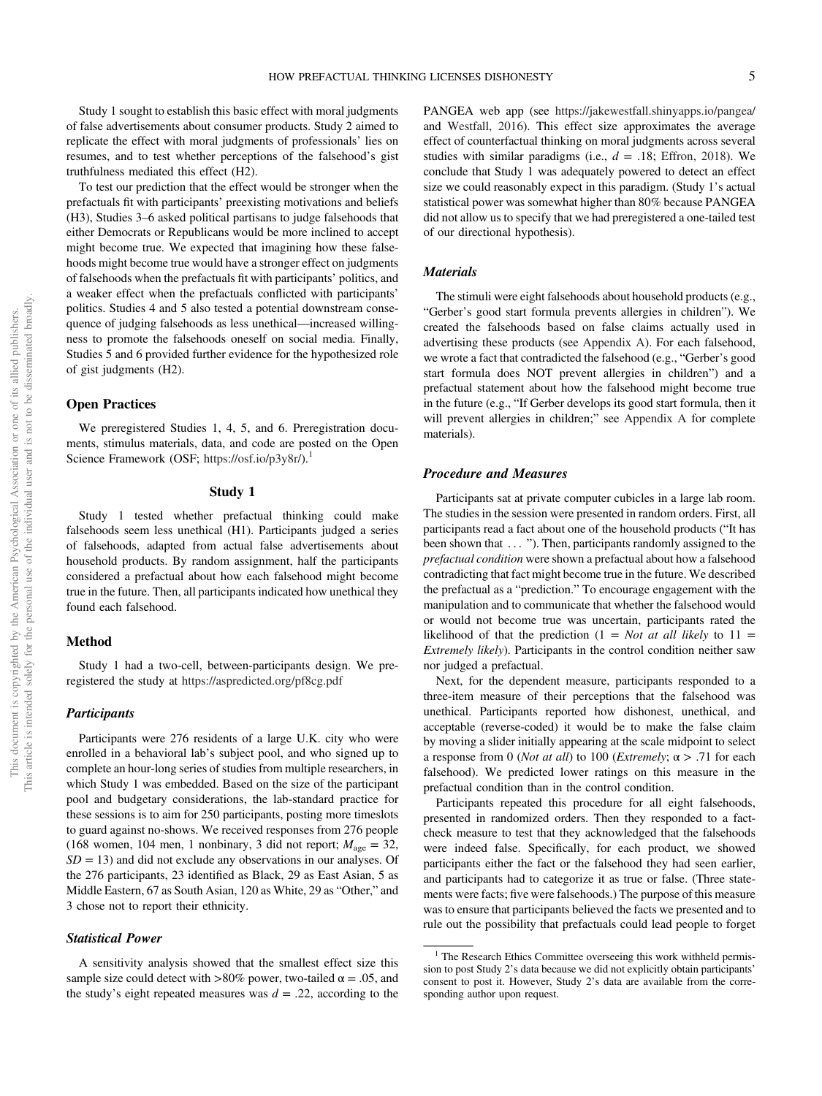Study 1 sought to establish this basic effect with moral judgments of false advertisements about consumer products. Study 2 aimed to replicate the effect with moral judgments of professionals' lies on resumes, and to test whether perceptions of the falsehood's gist truthfulness mediated this effect (H2).

To test our prediction that the effect would be stronger when the prefactuals fit with participants' preexisting motivations and beliefs (H3), Studies 3–6 asked political partisans to judge falsehoods that either Democrats or Republicans would be more inclined to accept might become true. We expected that imagining how these falsehoods might become true would have a stronger effect on judgments of falsehoods when the prefactuals fit with participants' politics, and a weaker effect when the prefactuals conflicted with participants' politics. Studies 4 and 5 also tested a potential downstream consequence of judging falsehoods as less unethical—increased willingness to promote the falsehoods oneself on social media. Finally, Studies 5 and 6 provided further evidence for the hypothesized role of gist judgments (H2).

### Open Practices

We preregistered Studies 1, 4, 5, and 6. Preregistration documents, stimulus materials, data, and code are posted on the Open Science Framework (OSF; [https://osf.io/p3y8r/\)](https://osf.io/p3y8r/).<sup>1</sup>

#### Study 1

Study 1 tested whether prefactual thinking could make falsehoods seem less unethical (H1). Participants judged a series of falsehoods, adapted from actual false advertisements about household products. By random assignment, half the participants considered a prefactual about how each falsehood might become true in the future. Then, all participants indicated how unethical they found each falsehood.

#### Method

Study 1 had a two-cell, between-participants design. We preregistered the study at <https://aspredicted.org/pf8cg.pdf>

## **Participants**

Participants were 276 residents of a large U.K. city who were enrolled in a behavioral lab's subject pool, and who signed up to complete an hour-long series of studies from multiple researchers, in which Study 1 was embedded. Based on the size of the participant pool and budgetary considerations, the lab-standard practice for these sessions is to aim for 250 participants, posting more timeslots to guard against no-shows. We received responses from 276 people (168 women, 104 men, 1 nonbinary, 3 did not report;  $M_{\text{age}} = 32$ ,  $SD = 13$ ) and did not exclude any observations in our analyses. Of the 276 participants, 23 identified as Black, 29 as East Asian, 5 as Middle Eastern, 67 as South Asian, 120 as White, 29 as "Other," and 3 chose not to report their ethnicity.

## Statistical Power

A sensitivity analysis showed that the smallest effect size this sample size could detect with >80% power, two-tailed  $\alpha = .05$ , and the study's eight repeated measures was  $d = .22$ , according to the PANGEA web app (see <https://jakewestfall.shinyapps.io/pangea/> and [Westfall, 2016](#page-28-0)). This effect size approximates the average effect of counterfactual thinking on moral judgments across several studies with similar paradigms (i.e.,  $d = .18$ ; [Effron, 2018\)](#page-25-0). We conclude that Study 1 was adequately powered to detect an effect size we could reasonably expect in this paradigm. (Study 1's actual statistical power was somewhat higher than 80% because PANGEA did not allow us to specify that we had preregistered a one-tailed test of our directional hypothesis).

#### **Materials**

The stimuli were eight falsehoods about household products (e.g., "Gerber's good start formula prevents allergies in children"). We created the falsehoods based on false claims actually used in advertising these products (see [Appendix A](#page-28-0)). For each falsehood, we wrote a fact that contradicted the falsehood (e.g., "Gerber's good start formula does NOT prevent allergies in children") and a prefactual statement about how the falsehood might become true in the future (e.g., "If Gerber develops its good start formula, then it will prevent allergies in children;" see [Appendix A](#page-28-0) for complete materials).

#### Procedure and Measures

Participants sat at private computer cubicles in a large lab room. The studies in the session were presented in random orders. First, all participants read a fact about one of the household products ("It has been shown that ... "). Then, participants randomly assigned to the prefactual condition were shown a prefactual about how a falsehood contradicting that fact might become true in the future. We described the prefactual as a "prediction." To encourage engagement with the manipulation and to communicate that whether the falsehood would or would not become true was uncertain, participants rated the likelihood of that the prediction  $(1 = Not at all likely to 11 =$ Extremely likely). Participants in the control condition neither saw nor judged a prefactual.

Next, for the dependent measure, participants responded to a three-item measure of their perceptions that the falsehood was unethical. Participants reported how dishonest, unethical, and acceptable (reverse-coded) it would be to make the false claim by moving a slider initially appearing at the scale midpoint to select a response from 0 (*Not at all*) to 100 (*Extremely*;  $\alpha$  > .71 for each falsehood). We predicted lower ratings on this measure in the prefactual condition than in the control condition.

Participants repeated this procedure for all eight falsehoods, presented in randomized orders. Then they responded to a factcheck measure to test that they acknowledged that the falsehoods were indeed false. Specifically, for each product, we showed participants either the fact or the falsehood they had seen earlier, and participants had to categorize it as true or false. (Three statements were facts; five were falsehoods.) The purpose of this measure was to ensure that participants believed the facts we presented and to rule out the possibility that prefactuals could lead people to forget

<sup>&</sup>lt;sup>1</sup> The Research Ethics Committee overseeing this work withheld permission to post Study 2's data because we did not explicitly obtain participants' consent to post it. However, Study 2's data are available from the corresponding author upon request.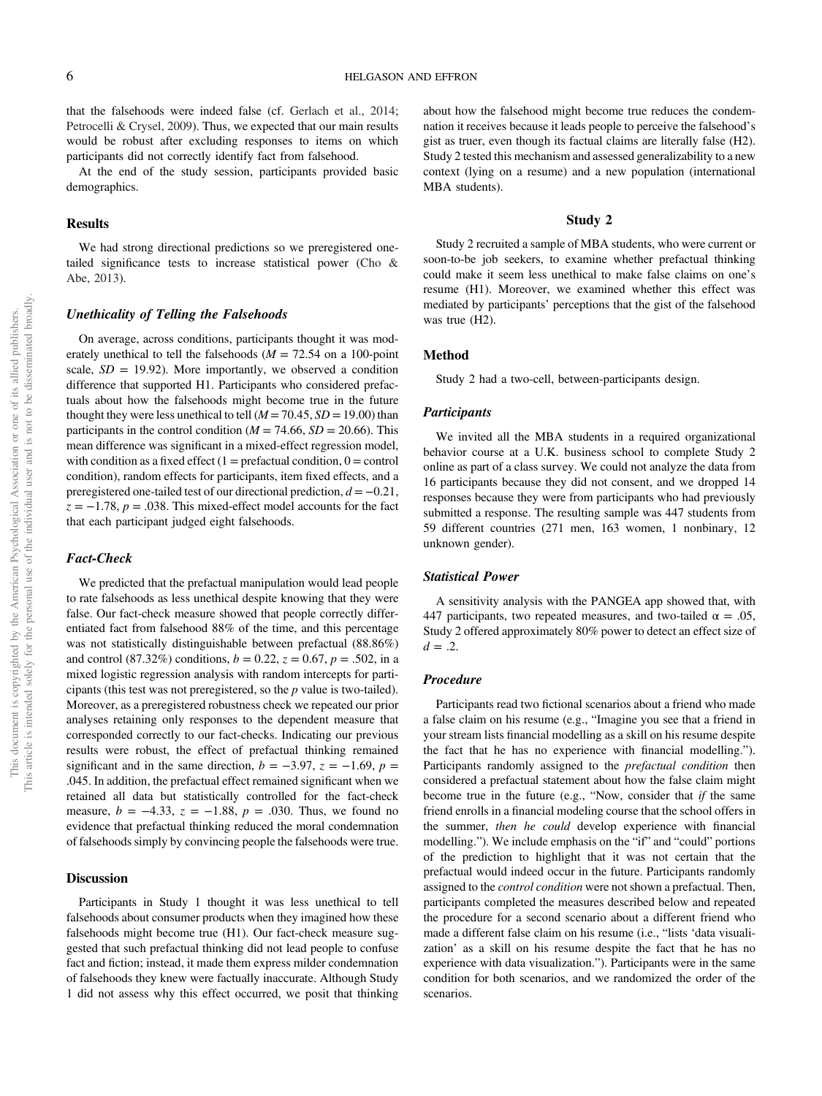that the falsehoods were indeed false (cf. [Gerlach et al., 2014;](#page-25-0) [Petrocelli & Crysel, 2009\)](#page-27-0). Thus, we expected that our main results would be robust after excluding responses to items on which participants did not correctly identify fact from falsehood.

At the end of the study session, participants provided basic demographics.

#### Results

We had strong directional predictions so we preregistered onetailed significance tests to increase statistical power [\(Cho &](#page-25-0) [Abe, 2013](#page-25-0)).

## Unethicality of Telling the Falsehoods

On average, across conditions, participants thought it was moderately unethical to tell the falsehoods ( $M = 72.54$  on a 100-point scale,  $SD = 19.92$ ). More importantly, we observed a condition difference that supported H1. Participants who considered prefactuals about how the falsehoods might become true in the future thought they were less unethical to tell  $(M = 70.45, SD = 19.00)$  than participants in the control condition ( $M = 74.66$ ,  $SD = 20.66$ ). This mean difference was significant in a mixed-effect regression model, with condition as a fixed effect  $(1 =$  prefactual condition,  $0 =$  control condition), random effects for participants, item fixed effects, and a preregistered one-tailed test of our directional prediction,  $d = -0.21$ ,  $z = -1.78$ ,  $p = .038$ . This mixed-effect model accounts for the fact that each participant judged eight falsehoods.

#### Fact-Check

We predicted that the prefactual manipulation would lead people to rate falsehoods as less unethical despite knowing that they were false. Our fact-check measure showed that people correctly differentiated fact from falsehood 88% of the time, and this percentage was not statistically distinguishable between prefactual (88.86%) and control (87.32%) conditions,  $b = 0.22$ ,  $z = 0.67$ ,  $p = .502$ , in a mixed logistic regression analysis with random intercepts for participants (this test was not preregistered, so the p value is two-tailed). Moreover, as a preregistered robustness check we repeated our prior analyses retaining only responses to the dependent measure that corresponded correctly to our fact-checks. Indicating our previous results were robust, the effect of prefactual thinking remained significant and in the same direction,  $b = -3.97$ ,  $z = -1.69$ ,  $p =$ .045. In addition, the prefactual effect remained significant when we retained all data but statistically controlled for the fact-check measure,  $b = -4.33$ ,  $z = -1.88$ ,  $p = .030$ . Thus, we found no evidence that prefactual thinking reduced the moral condemnation of falsehoods simply by convincing people the falsehoods were true.

## **Discussion**

Participants in Study 1 thought it was less unethical to tell falsehoods about consumer products when they imagined how these falsehoods might become true (H1). Our fact-check measure suggested that such prefactual thinking did not lead people to confuse fact and fiction; instead, it made them express milder condemnation of falsehoods they knew were factually inaccurate. Although Study 1 did not assess why this effect occurred, we posit that thinking about how the falsehood might become true reduces the condemnation it receives because it leads people to perceive the falsehood's gist as truer, even though its factual claims are literally false (H2). Study 2 tested this mechanism and assessed generalizability to a new context (lying on a resume) and a new population (international MBA students).

## Study 2

Study 2 recruited a sample of MBA students, who were current or soon-to-be job seekers, to examine whether prefactual thinking could make it seem less unethical to make false claims on one's resume (H1). Moreover, we examined whether this effect was mediated by participants' perceptions that the gist of the falsehood was true (H2).

#### Method

Study 2 had a two-cell, between-participants design.

#### **Participants**

We invited all the MBA students in a required organizational behavior course at a U.K. business school to complete Study 2 online as part of a class survey. We could not analyze the data from 16 participants because they did not consent, and we dropped 14 responses because they were from participants who had previously submitted a response. The resulting sample was 447 students from 59 different countries (271 men, 163 women, 1 nonbinary, 12 unknown gender).

## Statistical Power

A sensitivity analysis with the PANGEA app showed that, with 447 participants, two repeated measures, and two-tailed  $\alpha = .05$ , Study 2 offered approximately 80% power to detect an effect size of  $d = .2$ .

## Procedure

Participants read two fictional scenarios about a friend who made a false claim on his resume (e.g., "Imagine you see that a friend in your stream lists financial modelling as a skill on his resume despite the fact that he has no experience with financial modelling."). Participants randomly assigned to the *prefactual condition* then considered a prefactual statement about how the false claim might become true in the future (e.g., "Now, consider that if the same friend enrolls in a financial modeling course that the school offers in the summer, then he could develop experience with financial modelling."). We include emphasis on the "if" and "could" portions of the prediction to highlight that it was not certain that the prefactual would indeed occur in the future. Participants randomly assigned to the *control condition* were not shown a prefactual. Then, participants completed the measures described below and repeated the procedure for a second scenario about a different friend who made a different false claim on his resume (i.e., "lists 'data visualization' as a skill on his resume despite the fact that he has no experience with data visualization."). Participants were in the same condition for both scenarios, and we randomized the order of the scenarios.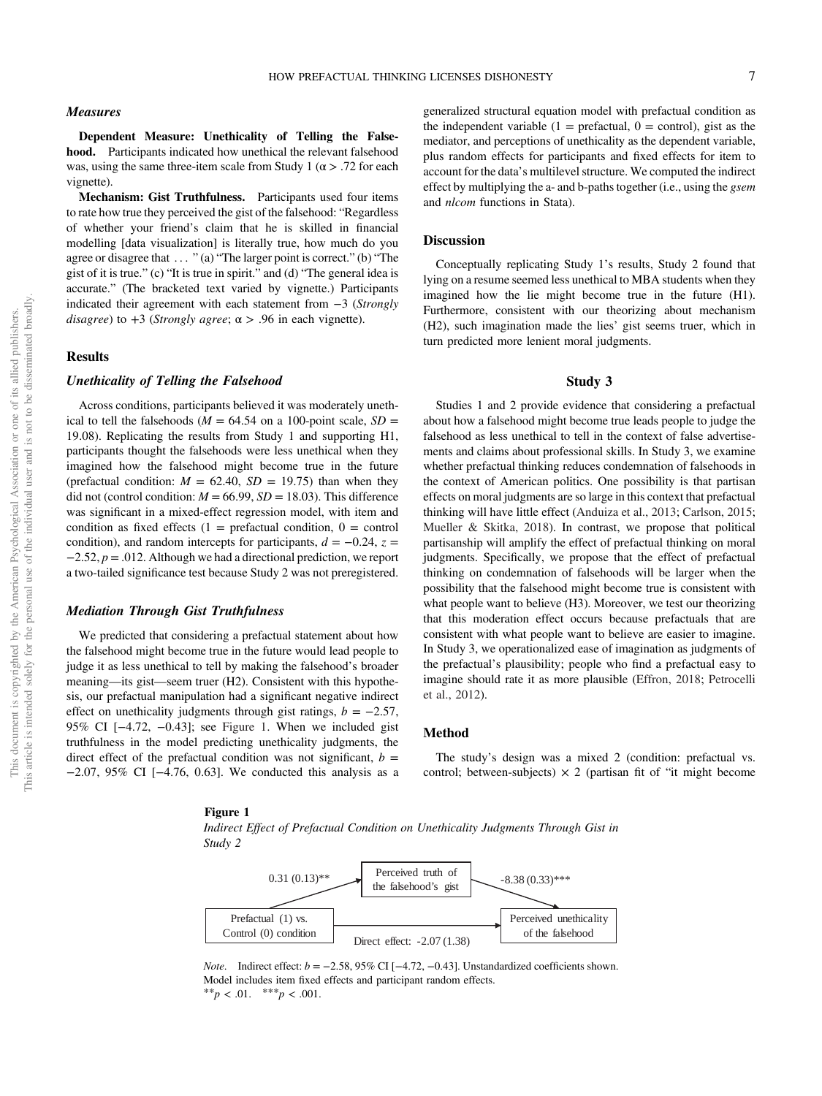Dependent Measure: Unethicality of Telling the Falsehood. Participants indicated how unethical the relevant falsehood was, using the same three-item scale from Study 1 ( $\alpha$  > .72 for each vignette).

Mechanism: Gist Truthfulness. Participants used four items to rate how true they perceived the gist of the falsehood: "Regardless of whether your friend's claim that he is skilled in financial modelling [data visualization] is literally true, how much do you agree or disagree that ... " (a) "The larger point is correct." (b) "The gist of it is true." (c) "It is true in spirit." and (d) "The general idea is accurate." (The bracketed text varied by vignette.) Participants indicated their agreement with each statement from −3 (Strongly disagree) to  $+3$  (Strongly agree;  $\alpha > .96$  in each vignette).

## Results

## Unethicality of Telling the Falsehood

Across conditions, participants believed it was moderately unethical to tell the falsehoods ( $M = 64.54$  on a 100-point scale,  $SD =$ 19.08). Replicating the results from Study 1 and supporting H1, participants thought the falsehoods were less unethical when they imagined how the falsehood might become true in the future (prefactual condition:  $M = 62.40$ ,  $SD = 19.75$ ) than when they did not (control condition:  $M = 66.99$ ,  $SD = 18.03$ ). This difference was significant in a mixed-effect regression model, with item and condition as fixed effects  $(1 =$  prefactual condition,  $0 =$  control condition), and random intercepts for participants,  $d = -0.24$ ,  $z =$  $-2.52$ ,  $p = .012$ . Although we had a directional prediction, we report a two-tailed significance test because Study 2 was not preregistered.

## Mediation Through Gist Truthfulness

We predicted that considering a prefactual statement about how the falsehood might become true in the future would lead people to judge it as less unethical to tell by making the falsehood's broader meaning—its gist—seem truer (H2). Consistent with this hypothesis, our prefactual manipulation had a significant negative indirect effect on unethicality judgments through gist ratings,  $b = -2.57$ , 95% CI [−4.72, −0.43]; see Figure 1. When we included gist truthfulness in the model predicting unethicality judgments, the direct effect of the prefactual condition was not significant,  $b =$ −2.07, 95% CI [−4.76, 0.63]. We conducted this analysis as a

## generalized structural equation model with prefactual condition as the independent variable  $(1 = \text{prefactual}, 0 = \text{control})$ , gist as the mediator, and perceptions of unethicality as the dependent variable, plus random effects for participants and fixed effects for item to account for the data's multilevel structure. We computed the indirect effect by multiplying the a- and b-paths together (i.e., using the gsem and nlcom functions in Stata).

#### **Discussion**

Conceptually replicating Study 1's results, Study 2 found that lying on a resume seemed less unethical to MBA students when they imagined how the lie might become true in the future (H1). Furthermore, consistent with our theorizing about mechanism (H2), such imagination made the lies' gist seems truer, which in turn predicted more lenient moral judgments.

## Study 3

Studies 1 and 2 provide evidence that considering a prefactual about how a falsehood might become true leads people to judge the falsehood as less unethical to tell in the context of false advertisements and claims about professional skills. In Study 3, we examine whether prefactual thinking reduces condemnation of falsehoods in the context of American politics. One possibility is that partisan effects on moral judgments are so large in this context that prefactual thinking will have little effect ([Anduiza et al., 2013;](#page-24-0) [Carlson, 2015;](#page-25-0) [Mueller & Skitka, 2018\)](#page-27-0). In contrast, we propose that political partisanship will amplify the effect of prefactual thinking on moral judgments. Specifically, we propose that the effect of prefactual thinking on condemnation of falsehoods will be larger when the possibility that the falsehood might become true is consistent with what people want to believe (H3). Moreover, we test our theorizing that this moderation effect occurs because prefactuals that are consistent with what people want to believe are easier to imagine. In Study 3, we operationalized ease of imagination as judgments of the prefactual's plausibility; people who find a prefactual easy to imagine should rate it as more plausible ([Effron, 2018](#page-25-0); [Petrocelli](#page-27-0) [et al., 2012](#page-27-0)).

#### Method

The study's design was a mixed 2 (condition: prefactual vs. control; between-subjects)  $\times$  2 (partisan fit of "it might become

## Figure 1

Indirect Effect of Prefactual Condition on Unethicality Judgments Through Gist in Study 2



*Note.* Indirect effect:  $b = -2.58,95\%$  CI [ $-4.72, -0.43$ ]. Unstandardized coefficients shown. Model includes item fixed effects and participant random effects. \*\* $p < .01.$  \*\*\* $p < .001.$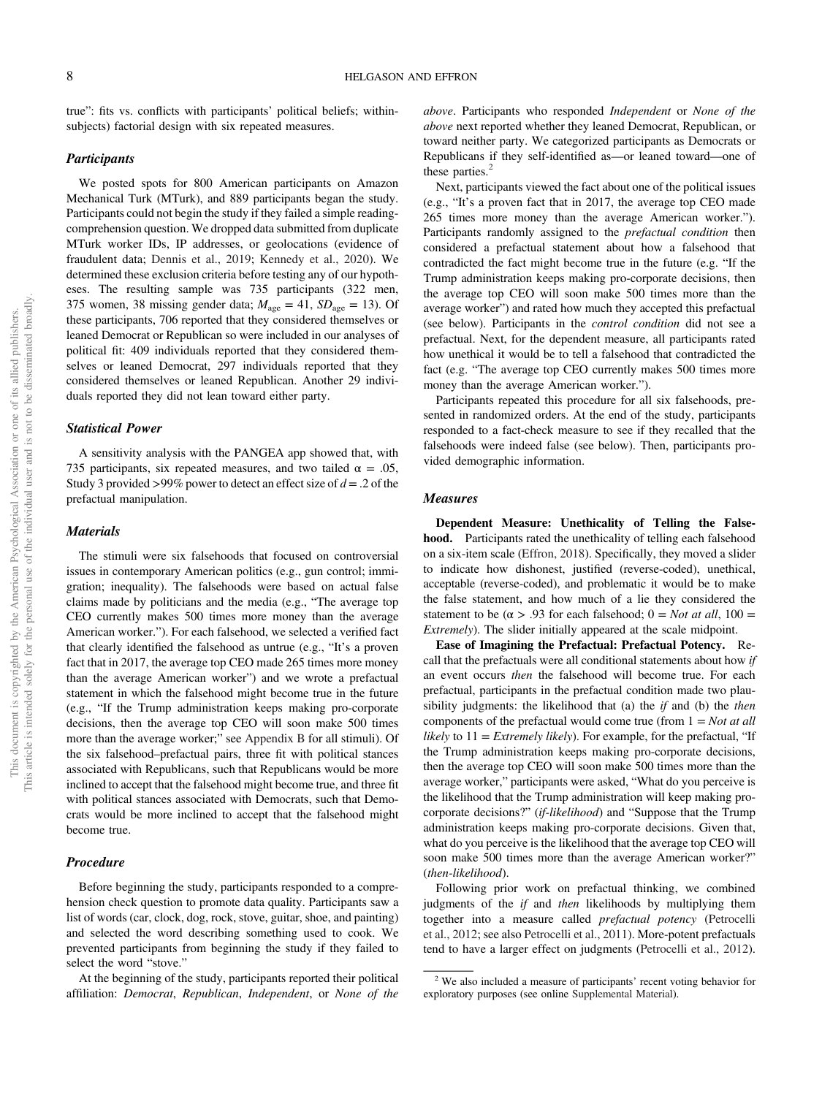true": fits vs. conflicts with participants' political beliefs; withinsubjects) factorial design with six repeated measures.

## **Participants**

We posted spots for 800 American participants on Amazon Mechanical Turk (MTurk), and 889 participants began the study. Participants could not begin the study if they failed a simple readingcomprehension question. We dropped data submitted from duplicate MTurk worker IDs, IP addresses, or geolocations (evidence of fraudulent data; [Dennis et al., 2019](#page-25-0); [Kennedy et al., 2020\)](#page-26-0). We determined these exclusion criteria before testing any of our hypotheses. The resulting sample was 735 participants (322 men, 375 women, 38 missing gender data;  $M_{\text{age}} = 41$ ,  $SD_{\text{age}} = 13$ ). Of these participants, 706 reported that they considered themselves or leaned Democrat or Republican so were included in our analyses of political fit: 409 individuals reported that they considered themselves or leaned Democrat, 297 individuals reported that they considered themselves or leaned Republican. Another 29 individuals reported they did not lean toward either party.

## Statistical Power

A sensitivity analysis with the PANGEA app showed that, with 735 participants, six repeated measures, and two tailed  $\alpha = .05$ , Study 3 provided >99% power to detect an effect size of  $d = 0.2$  of the prefactual manipulation.

#### **Materials**

The stimuli were six falsehoods that focused on controversial issues in contemporary American politics (e.g., gun control; immigration; inequality). The falsehoods were based on actual false claims made by politicians and the media (e.g., "The average top CEO currently makes 500 times more money than the average American worker."). For each falsehood, we selected a verified fact that clearly identified the falsehood as untrue (e.g., "It's a proven fact that in 2017, the average top CEO made 265 times more money than the average American worker") and we wrote a prefactual statement in which the falsehood might become true in the future (e.g., "If the Trump administration keeps making pro-corporate decisions, then the average top CEO will soon make 500 times more than the average worker;" see [Appendix B](#page-29-0) for all stimuli). Of the six falsehood–prefactual pairs, three fit with political stances associated with Republicans, such that Republicans would be more inclined to accept that the falsehood might become true, and three fit with political stances associated with Democrats, such that Democrats would be more inclined to accept that the falsehood might become true.

## Procedure

Before beginning the study, participants responded to a comprehension check question to promote data quality. Participants saw a list of words (car, clock, dog, rock, stove, guitar, shoe, and painting) and selected the word describing something used to cook. We prevented participants from beginning the study if they failed to select the word "stove."

At the beginning of the study, participants reported their political affiliation: Democrat, Republican, Independent, or None of the above. Participants who responded Independent or None of the above next reported whether they leaned Democrat, Republican, or toward neither party. We categorized participants as Democrats or Republicans if they self-identified as—or leaned toward—one of these parties. $<sup>2</sup>$ </sup>

Next, participants viewed the fact about one of the political issues (e.g., "It's a proven fact that in 2017, the average top CEO made 265 times more money than the average American worker."). Participants randomly assigned to the *prefactual condition* then considered a prefactual statement about how a falsehood that contradicted the fact might become true in the future (e.g. "If the Trump administration keeps making pro-corporate decisions, then the average top CEO will soon make 500 times more than the average worker") and rated how much they accepted this prefactual (see below). Participants in the control condition did not see a prefactual. Next, for the dependent measure, all participants rated how unethical it would be to tell a falsehood that contradicted the fact (e.g. "The average top CEO currently makes 500 times more money than the average American worker.").

Participants repeated this procedure for all six falsehoods, presented in randomized orders. At the end of the study, participants responded to a fact-check measure to see if they recalled that the falsehoods were indeed false (see below). Then, participants provided demographic information.

#### Measures

Dependent Measure: Unethicality of Telling the Falsehood. Participants rated the unethicality of telling each falsehood on a six-item scale [\(Effron, 2018\)](#page-25-0). Specifically, they moved a slider to indicate how dishonest, justified (reverse-coded), unethical, acceptable (reverse-coded), and problematic it would be to make the false statement, and how much of a lie they considered the statement to be ( $\alpha > .93$  for each falsehood;  $0 = Not$  *at all*,  $100 =$ Extremely). The slider initially appeared at the scale midpoint.

Ease of Imagining the Prefactual: Prefactual Potency. Recall that the prefactuals were all conditional statements about how if an event occurs then the falsehood will become true. For each prefactual, participants in the prefactual condition made two plausibility judgments: the likelihood that (a) the  $if$  and (b) the then components of the prefactual would come true (from  $1 = Not$  at all likely to  $11 =$  *Extremely likely*). For example, for the prefactual, "If the Trump administration keeps making pro-corporate decisions, then the average top CEO will soon make 500 times more than the average worker," participants were asked, "What do you perceive is the likelihood that the Trump administration will keep making procorporate decisions?" (if-likelihood) and "Suppose that the Trump administration keeps making pro-corporate decisions. Given that, what do you perceive is the likelihood that the average top CEO will soon make 500 times more than the average American worker?" (then-likelihood).

Following prior work on prefactual thinking, we combined judgments of the if and then likelihoods by multiplying them together into a measure called prefactual potency [\(Petrocelli](#page-27-0) [et al., 2012](#page-27-0); see also [Petrocelli et al., 2011\)](#page-27-0). More-potent prefactuals tend to have a larger effect on judgments ([Petrocelli et al., 2012\)](#page-27-0).

<sup>2</sup> We also included a measure of participants' recent voting behavior for exploratory purposes (see online [Supplemental Material](https://doi.org/10.1037/pspa0000308.supp)).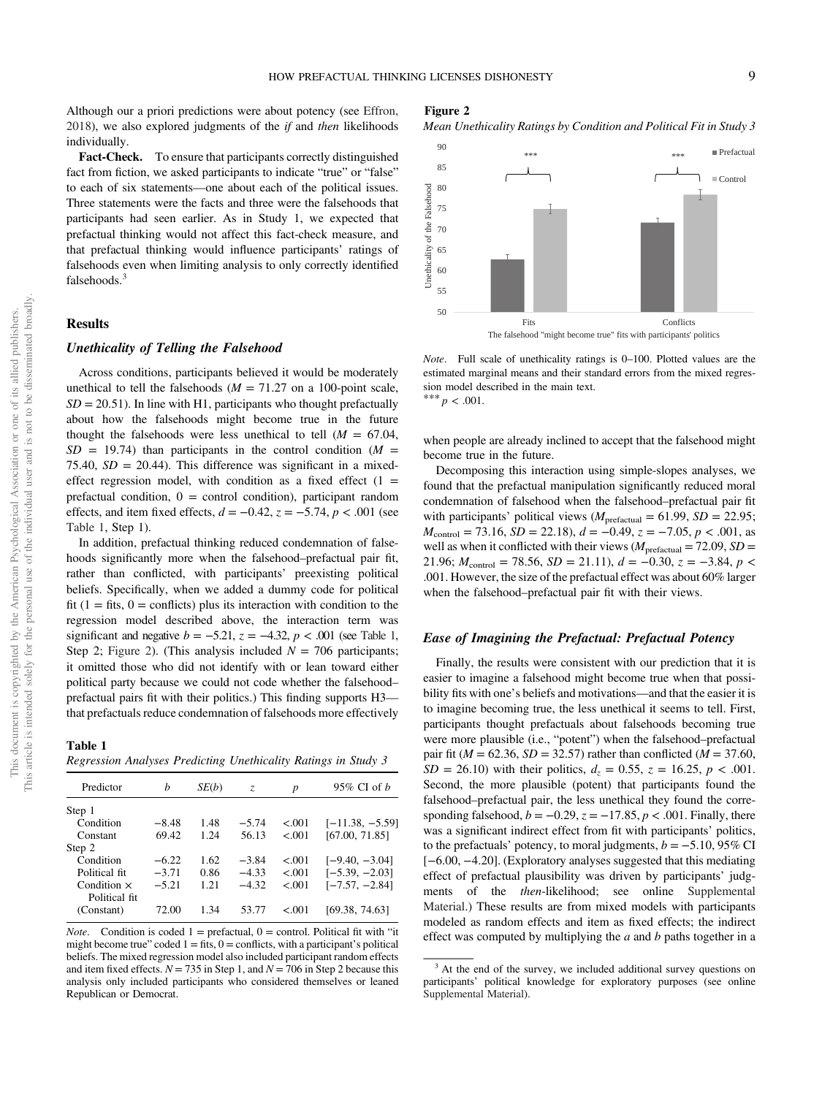<span id="page-8-0"></span>Although our a priori predictions were about potency (see [Effron,](#page-25-0) [2018\)](#page-25-0), we also explored judgments of the  $if$  and then likelihoods individually.

Fact-Check. To ensure that participants correctly distinguished fact from fiction, we asked participants to indicate "true" or "false" to each of six statements—one about each of the political issues. Three statements were the facts and three were the falsehoods that participants had seen earlier. As in Study 1, we expected that prefactual thinking would not affect this fact-check measure, and that prefactual thinking would influence participants' ratings of falsehoods even when limiting analysis to only correctly identified falsehoods.<sup>3</sup>

#### Results

## Unethicality of Telling the Falsehood

Across conditions, participants believed it would be moderately unethical to tell the falsehoods ( $M = 71.27$  on a 100-point scale,  $SD = 20.51$ ). In line with H1, participants who thought prefactually about how the falsehoods might become true in the future thought the falsehoods were less unethical to tell  $(M = 67.04,$  $SD = 19.74$ ) than participants in the control condition ( $M =$ 75.40,  $SD = 20.44$ ). This difference was significant in a mixedeffect regression model, with condition as a fixed effect  $(1 =$ prefactual condition,  $0 =$  control condition), participant random effects, and item fixed effects,  $d = -0.42$ ,  $z = -5.74$ ,  $p < .001$  (see Table 1, Step 1).

In addition, prefactual thinking reduced condemnation of falsehoods significantly more when the falsehood–prefactual pair fit, rather than conflicted, with participants' preexisting political beliefs. Specifically, when we added a dummy code for political fit  $(1 = \text{fits}, 0 = \text{conflicts})$  plus its interaction with condition to the regression model described above, the interaction term was significant and negative  $b = -5.21$ ,  $z = -4.32$ ,  $p < .001$  (see Table 1, Step 2; Figure 2). (This analysis included  $N = 706$  participants; it omitted those who did not identify with or lean toward either political party because we could not code whether the falsehood– prefactual pairs fit with their politics.) This finding supports H3 that prefactuals reduce condemnation of falsehoods more effectively

Table 1 Regression Analyses Predicting Unethicality Ratings in Study 3

| Predictor          | h       | SE(b) | Z.      | p       | $95\%$ CI of $h$  |
|--------------------|---------|-------|---------|---------|-------------------|
| Step 1             |         |       |         |         |                   |
| Condition          | $-8.48$ | 1.48  | $-5.74$ | < 0.001 | $[-11.38, -5.59]$ |
| Constant           | 69.42   | 1.24  | 56.13   | < 0.01  | [67.00, 71.85]    |
| Step 2             |         |       |         |         |                   |
| Condition          | $-6.22$ | 1.62  | $-3.84$ | < 0.001 | $[-9.40, -3.04]$  |
| Political fit      | $-3.71$ | 0.86  | $-4.33$ | < 0.01  | $[-5.39, -2.03]$  |
| Condition $\times$ | $-5.21$ | 1.21  | $-4.32$ | < 0.001 | $[-7.57, -2.84]$  |
| Political fit.     |         |       |         |         |                   |
| (Constant)         | 72.00   | 1.34  | 53.77   | < 0.01  | [69.38, 74.63]    |
|                    |         |       |         |         |                   |

*Note.* Condition is coded  $1 =$  prefactual,  $0 =$  control. Political fit with "it might become true" coded  $1 =$  fits,  $0 =$  conflicts, with a participant's political beliefs. The mixed regression model also included participant random effects and item fixed effects.  $N = 735$  in Step 1, and  $N = 706$  in Step 2 because this analysis only included participants who considered themselves or leaned Republican or Democrat.

#### Figure 2

Mean Unethicality Ratings by Condition and Political Fit in Study 3



Note. Full scale of unethicality ratings is 0–100. Plotted values are the estimated marginal means and their standard errors from the mixed regression model described in the main text. \*\*\*  $p < .001$ .

when people are already inclined to accept that the falsehood might become true in the future.

Decomposing this interaction using simple-slopes analyses, we found that the prefactual manipulation significantly reduced moral condemnation of falsehood when the falsehood–prefactual pair fit with participants' political views ( $M_{\text{prefactual}} = 61.99$ ,  $SD = 22.95$ ;  $M_{\text{control}} = 73.16, SD = 22.18, d = -0.49, z = -7.05, p < .001$ , as well as when it conflicted with their views ( $M_{\text{prefactual}} = 72.09$ ,  $SD =$ 21.96;  $M_{\text{control}} = 78.56$ ,  $SD = 21.11$ ),  $d = -0.30$ ,  $z = -3.84$ ,  $p <$ .001. However, the size of the prefactual effect was about 60% larger when the falsehood–prefactual pair fit with their views.

## Ease of Imagining the Prefactual: Prefactual Potency

Finally, the results were consistent with our prediction that it is easier to imagine a falsehood might become true when that possibility fits with one's beliefs and motivations—and that the easier it is to imagine becoming true, the less unethical it seems to tell. First, participants thought prefactuals about falsehoods becoming true were more plausible (i.e., "potent") when the falsehood–prefactual pair fit ( $M = 62.36$ ,  $SD = 32.57$ ) rather than conflicted ( $M = 37.60$ ,  $SD = 26.10$ ) with their politics,  $d_z = 0.55$ ,  $z = 16.25$ ,  $p < .001$ . Second, the more plausible (potent) that participants found the falsehood–prefactual pair, the less unethical they found the corresponding falsehood,  $b = -0.29$ ,  $z = -17.85$ ,  $p < .001$ . Finally, there was a significant indirect effect from fit with participants' politics, to the prefactuals' potency, to moral judgments,  $b = -5.10, 95\%$  CI [−6.00, −4.20]. (Exploratory analyses suggested that this mediating effect of prefactual plausibility was driven by participants' judgments of the then-likelihood; see online [Supplemental](https://doi.org/10.1037/pspa0000308.supp) [Material.](https://doi.org/10.1037/pspa0000308.supp)) These results are from mixed models with participants modeled as random effects and item as fixed effects; the indirect effect was computed by multiplying the  $a$  and  $b$  paths together in a

<sup>&</sup>lt;sup>3</sup> At the end of the survey, we included additional survey questions on participants' political knowledge for exploratory purposes (see online [Supplemental Material\)](https://doi.org/10.1037/pspa0000308.supp).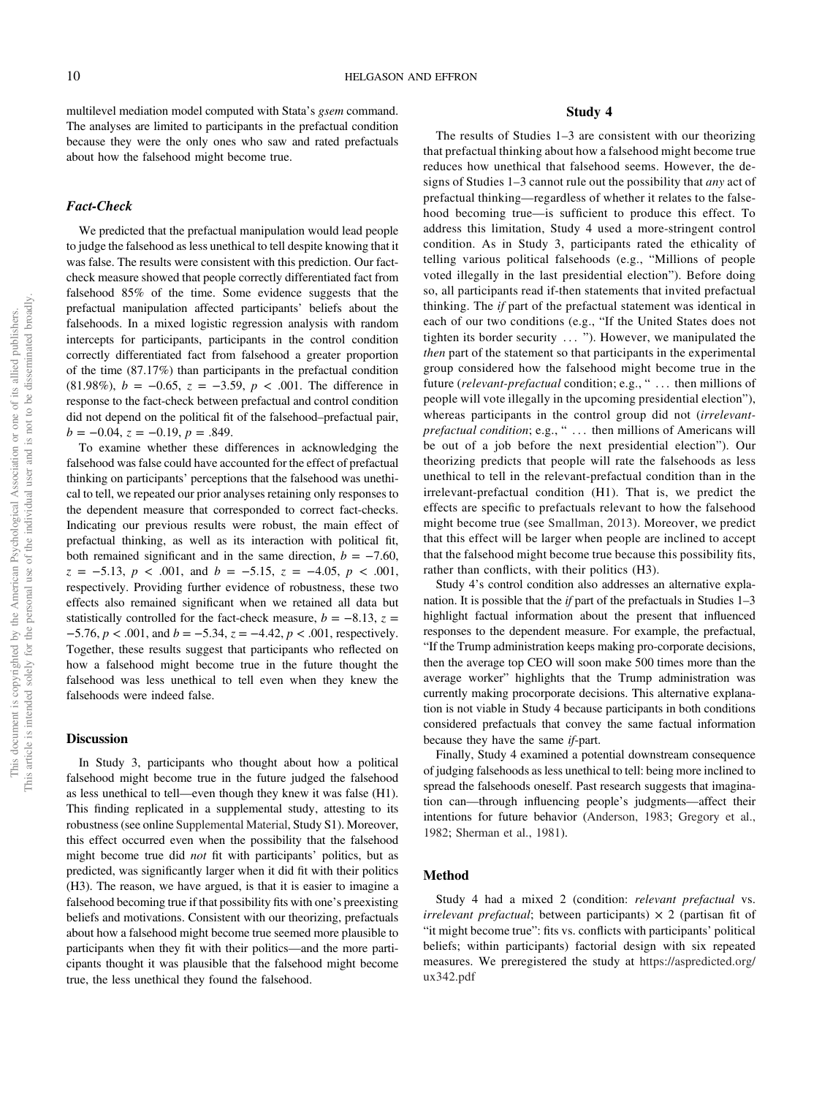multilevel mediation model computed with Stata's gsem command. The analyses are limited to participants in the prefactual condition because they were the only ones who saw and rated prefactuals about how the falsehood might become true.

## Fact-Check

We predicted that the prefactual manipulation would lead people to judge the falsehood as less unethical to tell despite knowing that it was false. The results were consistent with this prediction. Our factcheck measure showed that people correctly differentiated fact from falsehood 85% of the time. Some evidence suggests that the prefactual manipulation affected participants' beliefs about the falsehoods. In a mixed logistic regression analysis with random intercepts for participants, participants in the control condition correctly differentiated fact from falsehood a greater proportion of the time (87.17%) than participants in the prefactual condition (81.98%),  $b = -0.65$ ,  $z = -3.59$ ,  $p < .001$ . The difference in response to the fact-check between prefactual and control condition did not depend on the political fit of the falsehood–prefactual pair,  $b = -0.04$ ,  $z = -0.19$ ,  $p = .849$ .

To examine whether these differences in acknowledging the falsehood was false could have accounted for the effect of prefactual thinking on participants' perceptions that the falsehood was unethical to tell, we repeated our prior analyses retaining only responses to the dependent measure that corresponded to correct fact-checks. Indicating our previous results were robust, the main effect of prefactual thinking, as well as its interaction with political fit, both remained significant and in the same direction,  $b = -7.60$ ,  $z = -5.13$ ,  $p < .001$ , and  $b = -5.15$ ,  $z = -4.05$ ,  $p < .001$ , respectively. Providing further evidence of robustness, these two effects also remained significant when we retained all data but statistically controlled for the fact-check measure,  $b = -8.13$ ,  $z =$  $-5.76$ ,  $p < .001$ , and  $b = -5.34$ ,  $z = -4.42$ ,  $p < .001$ , respectively. Together, these results suggest that participants who reflected on how a falsehood might become true in the future thought the falsehood was less unethical to tell even when they knew the falsehoods were indeed false.

## **Discussion**

In Study 3, participants who thought about how a political falsehood might become true in the future judged the falsehood as less unethical to tell—even though they knew it was false (H1). This finding replicated in a supplemental study, attesting to its robustness (see online [Supplemental Material,](https://doi.org/10.1037/pspa0000308.supp) Study S1). Moreover, this effect occurred even when the possibility that the falsehood might become true did not fit with participants' politics, but as predicted, was significantly larger when it did fit with their politics (H3). The reason, we have argued, is that it is easier to imagine a falsehood becoming true if that possibility fits with one's preexisting beliefs and motivations. Consistent with our theorizing, prefactuals about how a falsehood might become true seemed more plausible to participants when they fit with their politics—and the more participants thought it was plausible that the falsehood might become true, the less unethical they found the falsehood.

## Study 4

The results of Studies 1–3 are consistent with our theorizing that prefactual thinking about how a falsehood might become true reduces how unethical that falsehood seems. However, the designs of Studies 1–3 cannot rule out the possibility that any act of prefactual thinking—regardless of whether it relates to the falsehood becoming true—is sufficient to produce this effect. To address this limitation, Study 4 used a more-stringent control condition. As in Study 3, participants rated the ethicality of telling various political falsehoods (e.g., "Millions of people voted illegally in the last presidential election"). Before doing so, all participants read if-then statements that invited prefactual thinking. The if part of the prefactual statement was identical in each of our two conditions (e.g., "If the United States does not tighten its border security ... "). However, we manipulated the then part of the statement so that participants in the experimental group considered how the falsehood might become true in the future (relevant-prefactual condition; e.g., "... then millions of people will vote illegally in the upcoming presidential election"), whereas participants in the control group did not *(irrelevant*prefactual condition; e.g., " ... then millions of Americans will be out of a job before the next presidential election"). Our theorizing predicts that people will rate the falsehoods as less unethical to tell in the relevant-prefactual condition than in the irrelevant-prefactual condition (H1). That is, we predict the effects are specific to prefactuals relevant to how the falsehood might become true (see [Smallman, 2013](#page-27-0)). Moreover, we predict that this effect will be larger when people are inclined to accept that the falsehood might become true because this possibility fits, rather than conflicts, with their politics (H3).

Study 4's control condition also addresses an alternative explanation. It is possible that the *if* part of the prefactuals in Studies  $1-3$ highlight factual information about the present that influenced responses to the dependent measure. For example, the prefactual, "If the Trump administration keeps making pro-corporate decisions, then the average top CEO will soon make 500 times more than the average worker" highlights that the Trump administration was currently making procorporate decisions. This alternative explanation is not viable in Study 4 because participants in both conditions considered prefactuals that convey the same factual information because they have the same if-part.

Finally, Study 4 examined a potential downstream consequence of judging falsehoods as less unethical to tell: being more inclined to spread the falsehoods oneself. Past research suggests that imagination can—through influencing people's judgments—affect their intentions for future behavior [\(Anderson, 1983;](#page-24-0) [Gregory et al.,](#page-26-0) [1982](#page-26-0); [Sherman et al., 1981](#page-27-0)).

### Method

Study 4 had a mixed 2 (condition: *relevant prefactual* vs. irrelevant prefactual; between participants)  $\times$  2 (partisan fit of "it might become true": fits vs. conflicts with participants' political beliefs; within participants) factorial design with six repeated measures. We preregistered the study at [https://aspredicted.org/](https://jakewestfall.shinyapps.io/pangea/) [ux342.pdf](https://jakewestfall.shinyapps.io/pangea/)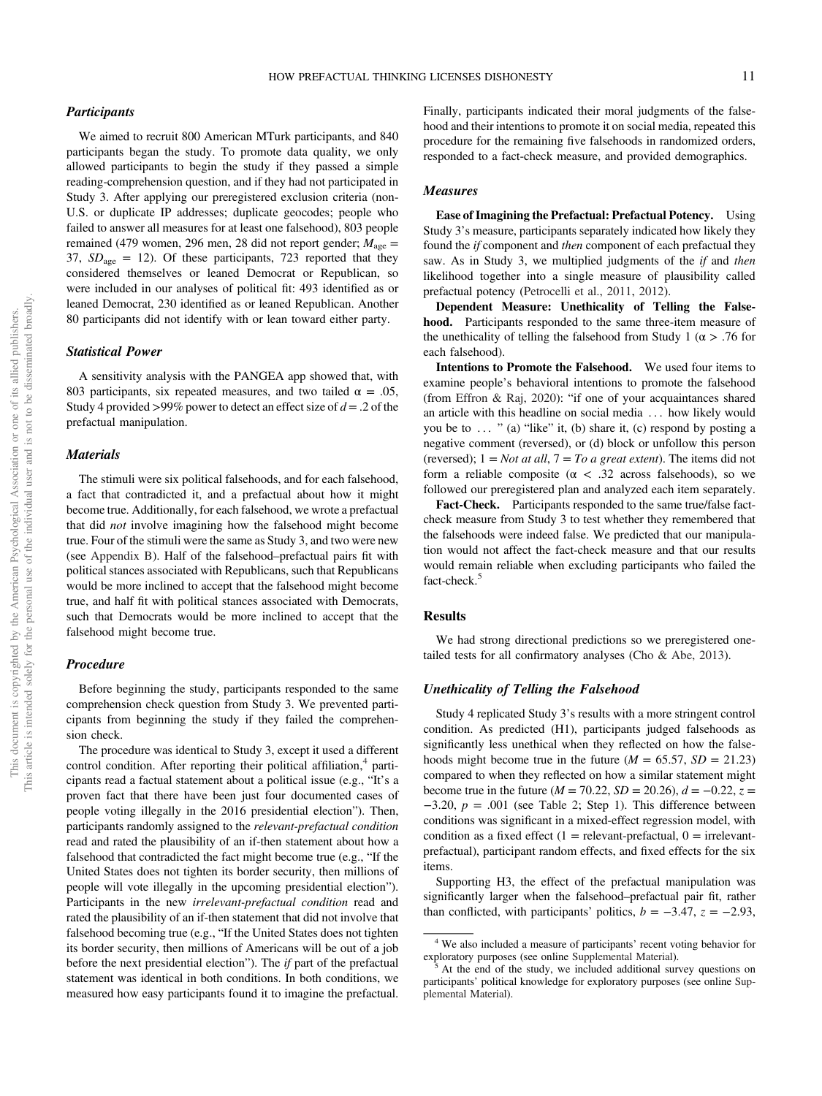## **Participants**

We aimed to recruit 800 American MTurk participants, and 840 participants began the study. To promote data quality, we only allowed participants to begin the study if they passed a simple reading-comprehension question, and if they had not participated in Study 3. After applying our preregistered exclusion criteria (non-U.S. or duplicate IP addresses; duplicate geocodes; people who failed to answer all measures for at least one falsehood), 803 people remained (479 women, 296 men, 28 did not report gender;  $M_{\text{age}} =$ 37,  $SD<sub>age</sub> = 12$ ). Of these participants, 723 reported that they considered themselves or leaned Democrat or Republican, so were included in our analyses of political fit: 493 identified as or leaned Democrat, 230 identified as or leaned Republican. Another 80 participants did not identify with or lean toward either party.

## Statistical Power

A sensitivity analysis with the PANGEA app showed that, with 803 participants, six repeated measures, and two tailed  $\alpha = .05$ , Study 4 provided >99% power to detect an effect size of  $d = 0.2$  of the prefactual manipulation.

## **Materials**

The stimuli were six political falsehoods, and for each falsehood, a fact that contradicted it, and a prefactual about how it might become true. Additionally, for each falsehood, we wrote a prefactual that did not involve imagining how the falsehood might become true. Four of the stimuli were the same as Study 3, and two were new (see [Appendix B](#page-29-0)). Half of the falsehood–prefactual pairs fit with political stances associated with Republicans, such that Republicans would be more inclined to accept that the falsehood might become true, and half fit with political stances associated with Democrats, such that Democrats would be more inclined to accept that the falsehood might become true.

#### Procedure

Before beginning the study, participants responded to the same comprehension check question from Study 3. We prevented participants from beginning the study if they failed the comprehension check.

The procedure was identical to Study 3, except it used a different control condition. After reporting their political affiliation, $4$  participants read a factual statement about a political issue (e.g., "It's a proven fact that there have been just four documented cases of people voting illegally in the 2016 presidential election"). Then, participants randomly assigned to the relevant-prefactual condition read and rated the plausibility of an if-then statement about how a falsehood that contradicted the fact might become true (e.g., "If the United States does not tighten its border security, then millions of people will vote illegally in the upcoming presidential election"). Participants in the new irrelevant-prefactual condition read and rated the plausibility of an if-then statement that did not involve that falsehood becoming true (e.g., "If the United States does not tighten its border security, then millions of Americans will be out of a job before the next presidential election"). The if part of the prefactual statement was identical in both conditions. In both conditions, we measured how easy participants found it to imagine the prefactual.

Finally, participants indicated their moral judgments of the falsehood and their intentions to promote it on social media, repeated this procedure for the remaining five falsehoods in randomized orders, responded to a fact-check measure, and provided demographics.

## Measures

Ease of Imagining the Prefactual: Prefactual Potency. Using Study 3's measure, participants separately indicated how likely they found the if component and then component of each prefactual they saw. As in Study 3, we multiplied judgments of the *if* and *then* likelihood together into a single measure of plausibility called prefactual potency ([Petrocelli et al., 2011,](#page-27-0) [2012\)](#page-27-0).

Dependent Measure: Unethicality of Telling the Falsehood. Participants responded to the same three-item measure of the unethicality of telling the falsehood from Study 1 ( $\alpha$  > .76 for each falsehood).

Intentions to Promote the Falsehood. We used four items to examine people's behavioral intentions to promote the falsehood (from [Effron & Raj, 2020\)](#page-25-0): "if one of your acquaintances shared an article with this headline on social media ... how likely would you be to  $\ldots$  " (a) "like" it, (b) share it, (c) respond by posting a negative comment (reversed), or (d) block or unfollow this person (reversed);  $1 = Not$  at all,  $7 = To$  a great extent). The items did not form a reliable composite ( $\alpha$  < .32 across falsehoods), so we followed our preregistered plan and analyzed each item separately.

Fact-Check. Participants responded to the same true/false factcheck measure from Study 3 to test whether they remembered that the falsehoods were indeed false. We predicted that our manipulation would not affect the fact-check measure and that our results would remain reliable when excluding participants who failed the fact-check.<sup>5</sup>

#### Results

We had strong directional predictions so we preregistered onetailed tests for all confirmatory analyses [\(Cho & Abe, 2013](#page-25-0)).

## Unethicality of Telling the Falsehood

Study 4 replicated Study 3's results with a more stringent control condition. As predicted (H1), participants judged falsehoods as significantly less unethical when they reflected on how the falsehoods might become true in the future ( $M = 65.57$ ,  $SD = 21.23$ ) compared to when they reflected on how a similar statement might become true in the future ( $M = 70.22$ ,  $SD = 20.26$ ),  $d = -0.22$ ,  $z =$  $-3.20, p = .001$  (see [Table 2;](#page-11-0) Step 1). This difference between conditions was significant in a mixed-effect regression model, with condition as a fixed effect  $(1 =$  relevant-prefactual,  $0 =$  irrelevantprefactual), participant random effects, and fixed effects for the six items.

Supporting H3, the effect of the prefactual manipulation was significantly larger when the falsehood–prefactual pair fit, rather than conflicted, with participants' politics,  $b = -3.47$ ,  $z = -2.93$ ,

<sup>&</sup>lt;sup>4</sup> We also included a measure of participants' recent voting behavior for exploratory purposes (see online Supplemental Material).

At the end of the study, we included additional survey questions on participants' political knowledge for exploratory purposes (see online [Sup](https://doi.org/10.1037/pspa0000308.supp)[plemental Material](https://doi.org/10.1037/pspa0000308.supp)).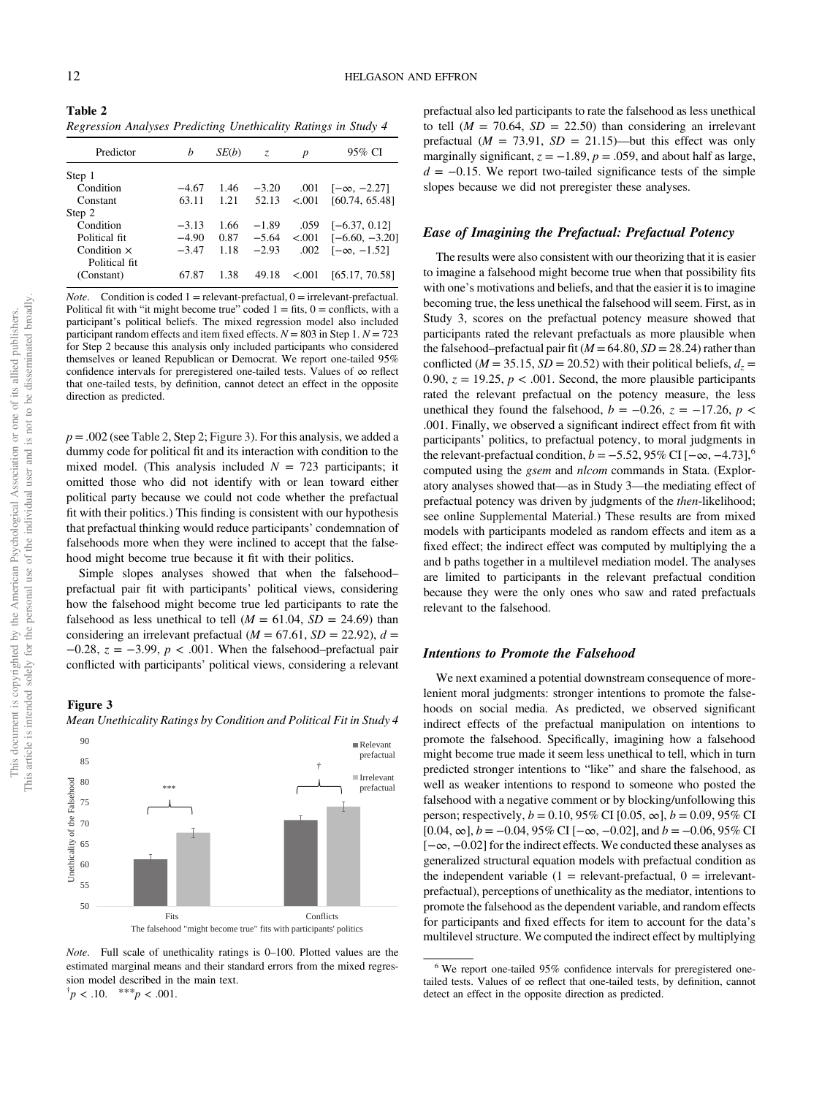<span id="page-11-0"></span>Table 2 Regression Analyses Predicting Unethicality Ratings in Study 4

| Predictor                   | h       | SE(b) | Z.      | р       | 95% CI             |
|-----------------------------|---------|-------|---------|---------|--------------------|
| Step 1                      |         |       |         |         |                    |
| Condition                   | $-4.67$ | 1.46  | $-3.20$ | .001    | $[-\infty, -2.27]$ |
| Constant                    | 63.11   | 1.21  | 52.13   | < 0.01  | [60.74, 65.48]     |
| Step 2                      |         |       |         |         |                    |
| Condition                   | $-3.13$ | 1.66  | $-1.89$ | .059    | $[-6.37, 0.12]$    |
| Political fit               | $-4.90$ | 0.87  | $-5.64$ | < 0.001 | $[-6.60, -3.20]$   |
| Condition $\times$          | $-3.47$ | 1.18  | $-2.93$ | .002    | $[-\infty, -1.52]$ |
| Political fit<br>(Constant) | 67.87   | 1.38  | 49.18   | < 0.001 | [65.17, 70.58]     |

*Note.* Condition is coded  $1$  = relevant-prefactual,  $0$  = irrelevant-prefactual. Political fit with "it might become true" coded  $1 =$  fits,  $0 =$  conflicts, with a participant's political beliefs. The mixed regression model also included participant random effects and item fixed effects.  $N = 803$  in Step 1.  $N = 723$ for Step 2 because this analysis only included participants who considered themselves or leaned Republican or Democrat. We report one-tailed 95% confidence intervals for preregistered one-tailed tests. Values of ∞ reflect that one-tailed tests, by definition, cannot detect an effect in the opposite direction as predicted.

 $p = .002$  (see Table 2, Step 2; Figure 3). For this analysis, we added a dummy code for political fit and its interaction with condition to the mixed model. (This analysis included  $N = 723$  participants; it omitted those who did not identify with or lean toward either political party because we could not code whether the prefactual fit with their politics.) This finding is consistent with our hypothesis that prefactual thinking would reduce participants' condemnation of falsehoods more when they were inclined to accept that the falsehood might become true because it fit with their politics.

Simple slopes analyses showed that when the falsehood– prefactual pair fit with participants' political views, considering how the falsehood might become true led participants to rate the falsehood as less unethical to tell ( $M = 61.04$ ,  $SD = 24.69$ ) than considering an irrelevant prefactual ( $M = 67.61$ ,  $SD = 22.92$ ),  $d =$  $-0.28$ ,  $z = -3.99$ ,  $p < .001$ . When the falsehood–prefactual pair conflicted with participants' political views, considering a relevant

## Figure 3



Mean Unethicality Ratings by Condition and Political Fit in Study 4

Note. Full scale of unethicality ratings is 0–100. Plotted values are the estimated marginal means and their standard errors from the mixed regression model described in the main text.  $\phi^{\dagger} p < .10.$  \*\*\* $p < .001.$ 

prefactual also led participants to rate the falsehood as less unethical to tell ( $M = 70.64$ ,  $SD = 22.50$ ) than considering an irrelevant prefactual ( $M = 73.91$ ,  $SD = 21.15$ )—but this effect was only marginally significant,  $z = -1.89$ ,  $p = .059$ , and about half as large,  $d = -0.15$ . We report two-tailed significance tests of the simple slopes because we did not preregister these analyses.

## Ease of Imagining the Prefactual: Prefactual Potency

The results were also consistent with our theorizing that it is easier to imagine a falsehood might become true when that possibility fits with one's motivations and beliefs, and that the easier it is to imagine becoming true, the less unethical the falsehood will seem. First, as in Study 3, scores on the prefactual potency measure showed that participants rated the relevant prefactuals as more plausible when the falsehood–prefactual pair fit ( $M = 64.80$ ,  $SD = 28.24$ ) rather than conflicted ( $M = 35.15$ ,  $SD = 20.52$ ) with their political beliefs,  $d_z =$ 0.90,  $z = 19.25$ ,  $p < .001$ . Second, the more plausible participants rated the relevant prefactual on the potency measure, the less unethical they found the falsehood,  $b = -0.26$ ,  $z = -17.26$ ,  $p <$ .001. Finally, we observed a significant indirect effect from fit with participants' politics, to prefactual potency, to moral judgments in the relevant-prefactual condition,  $b = -5.52$ , 95% CI  $[-\infty, -4.73]$ ,<sup>6</sup> computed using the *gsem* and *nlcom* commands in Stata. (Exploratory analyses showed that—as in Study 3—the mediating effect of prefactual potency was driven by judgments of the then-likelihood; see online [Supplemental Material.](https://doi.org/10.1037/pspa0000308.supp)) These results are from mixed models with participants modeled as random effects and item as a fixed effect; the indirect effect was computed by multiplying the a and b paths together in a multilevel mediation model. The analyses are limited to participants in the relevant prefactual condition because they were the only ones who saw and rated prefactuals relevant to the falsehood.

#### Intentions to Promote the Falsehood

We next examined a potential downstream consequence of morelenient moral judgments: stronger intentions to promote the falsehoods on social media. As predicted, we observed significant indirect effects of the prefactual manipulation on intentions to promote the falsehood. Specifically, imagining how a falsehood might become true made it seem less unethical to tell, which in turn predicted stronger intentions to "like" and share the falsehood, as well as weaker intentions to respond to someone who posted the falsehood with a negative comment or by blocking/unfollowing this person; respectively,  $b = 0.10$ , 95% CI [0.05,  $\infty$ ],  $b = 0.09$ , 95% CI  $[0.04, \infty]$ ,  $b = -0.04, 95\%$  CI  $[-\infty, -0.02]$ , and  $b = -0.06, 95\%$  CI [−∞, −0.02] for the indirect effects. We conducted these analyses as generalized structural equation models with prefactual condition as the independent variable  $(1 =$  relevant-prefactual,  $0 =$  irrelevantprefactual), perceptions of unethicality as the mediator, intentions to promote the falsehood as the dependent variable, and random effects for participants and fixed effects for item to account for the data's multilevel structure. We computed the indirect effect by multiplying

<sup>&</sup>lt;sup>6</sup> We report one-tailed 95% confidence intervals for preregistered onetailed tests. Values of  $\infty$  reflect that one-tailed tests, by definition, cannot detect an effect in the opposite direction as predicted.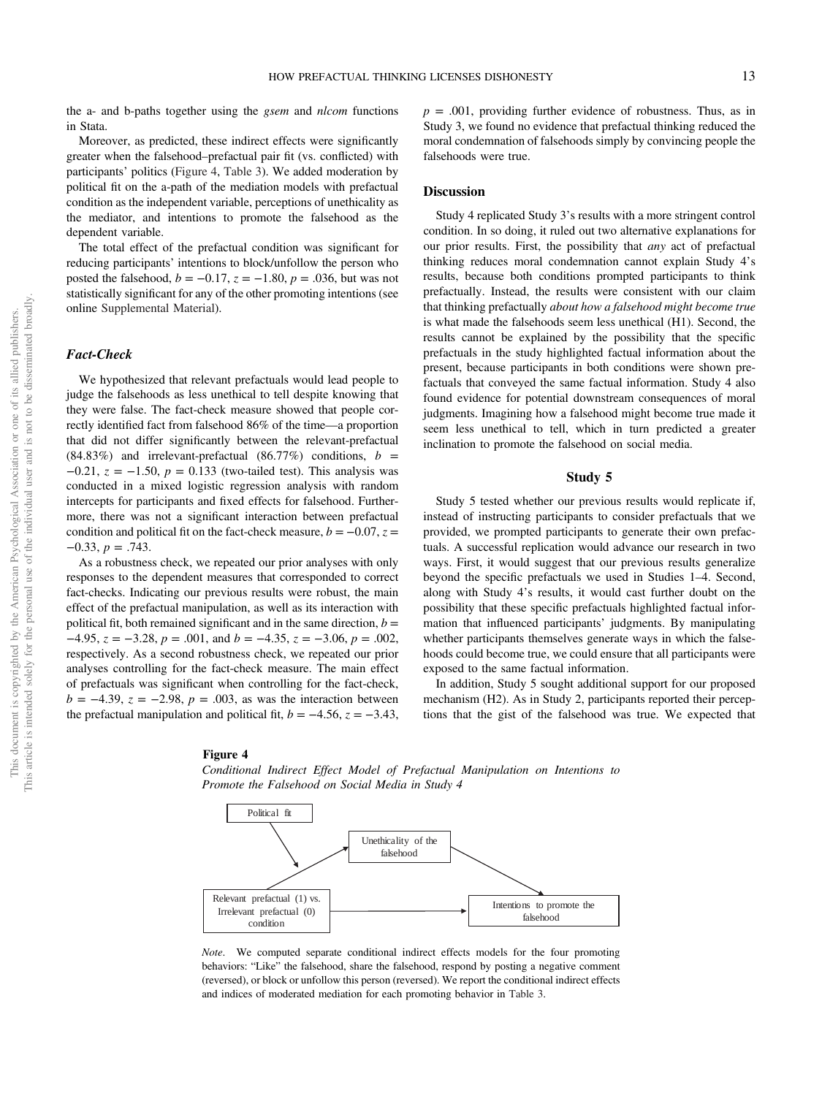the a- and b-paths together using the *gsem* and *nlcom* functions in Stata.

Moreover, as predicted, these indirect effects were significantly greater when the falsehood–prefactual pair fit (vs. conflicted) with participants' politics (Figure 4, [Table 3](#page-13-0)). We added moderation by political fit on the a-path of the mediation models with prefactual condition as the independent variable, perceptions of unethicality as the mediator, and intentions to promote the falsehood as the dependent variable.

The total effect of the prefactual condition was significant for reducing participants' intentions to block/unfollow the person who posted the falsehood,  $b = -0.17$ ,  $z = -1.80$ ,  $p = .036$ , but was not statistically significant for any of the other promoting intentions (see online [Supplemental Material](https://doi.org/10.1037/pspa0000308.supp)).

### Fact-Check

We hypothesized that relevant prefactuals would lead people to judge the falsehoods as less unethical to tell despite knowing that they were false. The fact-check measure showed that people correctly identified fact from falsehood 86% of the time—a proportion that did not differ significantly between the relevant-prefactual (84.83%) and irrelevant-prefactual (86.77%) conditions,  $b =$  $-0.21$ ,  $z = -1.50$ ,  $p = 0.133$  (two-tailed test). This analysis was conducted in a mixed logistic regression analysis with random intercepts for participants and fixed effects for falsehood. Furthermore, there was not a significant interaction between prefactual condition and political fit on the fact-check measure,  $b = -0.07$ ,  $z =$  $-0.33, p = .743.$ 

As a robustness check, we repeated our prior analyses with only responses to the dependent measures that corresponded to correct fact-checks. Indicating our previous results were robust, the main effect of the prefactual manipulation, as well as its interaction with political fit, both remained significant and in the same direction,  $b =$  $-4.95$ ,  $z = -3.28$ ,  $p = .001$ , and  $b = -4.35$ ,  $z = -3.06$ ,  $p = .002$ , respectively. As a second robustness check, we repeated our prior analyses controlling for the fact-check measure. The main effect of prefactuals was significant when controlling for the fact-check,  $b = -4.39$ ,  $z = -2.98$ ,  $p = .003$ , as was the interaction between the prefactual manipulation and political fit,  $b = -4.56$ ,  $z = -3.43$ ,  $p = .001$ , providing further evidence of robustness. Thus, as in Study 3, we found no evidence that prefactual thinking reduced the moral condemnation of falsehoods simply by convincing people the falsehoods were true.

## **Discussion**

Study 4 replicated Study 3's results with a more stringent control condition. In so doing, it ruled out two alternative explanations for our prior results. First, the possibility that any act of prefactual thinking reduces moral condemnation cannot explain Study 4's results, because both conditions prompted participants to think prefactually. Instead, the results were consistent with our claim that thinking prefactually about how a falsehood might become true is what made the falsehoods seem less unethical (H1). Second, the results cannot be explained by the possibility that the specific prefactuals in the study highlighted factual information about the present, because participants in both conditions were shown prefactuals that conveyed the same factual information. Study 4 also found evidence for potential downstream consequences of moral judgments. Imagining how a falsehood might become true made it seem less unethical to tell, which in turn predicted a greater inclination to promote the falsehood on social media.

#### Study 5

Study 5 tested whether our previous results would replicate if, instead of instructing participants to consider prefactuals that we provided, we prompted participants to generate their own prefactuals. A successful replication would advance our research in two ways. First, it would suggest that our previous results generalize beyond the specific prefactuals we used in Studies 1–4. Second, along with Study 4's results, it would cast further doubt on the possibility that these specific prefactuals highlighted factual information that influenced participants' judgments. By manipulating whether participants themselves generate ways in which the falsehoods could become true, we could ensure that all participants were exposed to the same factual information.

In addition, Study 5 sought additional support for our proposed mechanism (H2). As in Study 2, participants reported their perceptions that the gist of the falsehood was true. We expected that

## Figure 4

Conditional Indirect Effect Model of Prefactual Manipulation on Intentions to Promote the Falsehood on Social Media in Study 4



Note. We computed separate conditional indirect effects models for the four promoting behaviors: "Like" the falsehood, share the falsehood, respond by posting a negative comment (reversed), or block or unfollow this person (reversed). We report the conditional indirect effects and indices of moderated mediation for each promoting behavior in [Table 3](#page-13-0).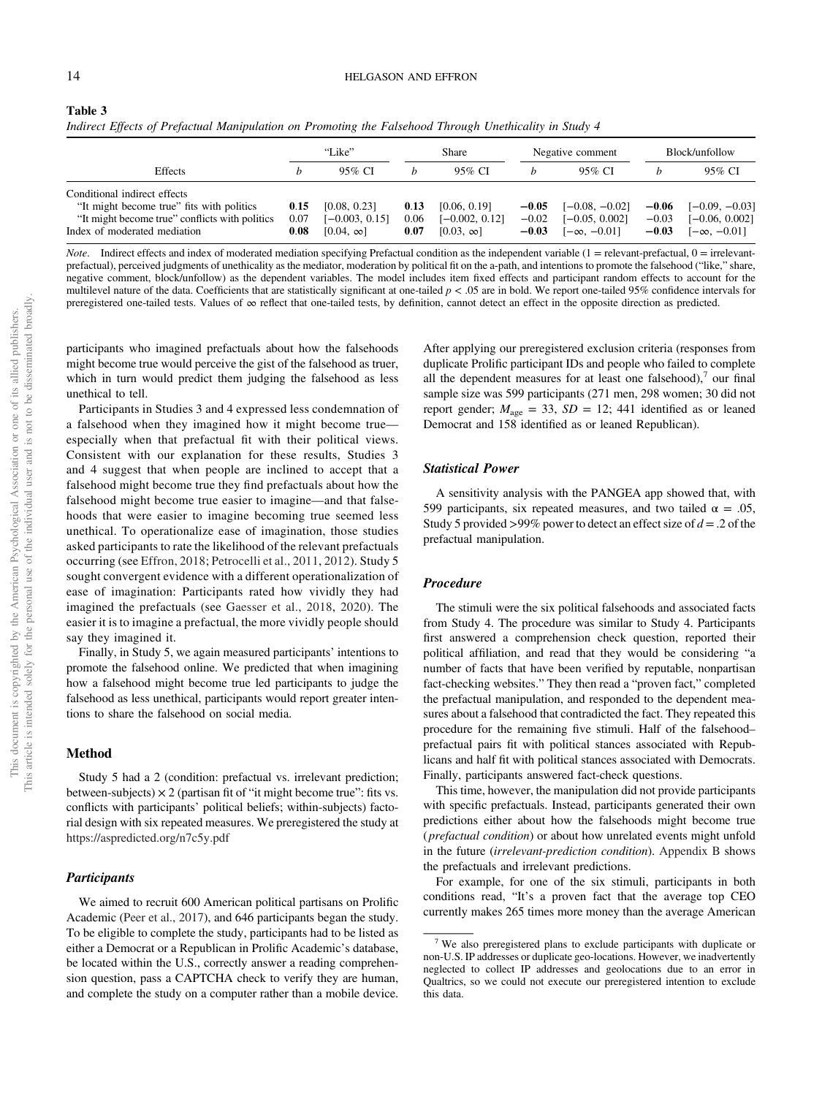<span id="page-13-0"></span>

| Table 3                                                                                                |  |
|--------------------------------------------------------------------------------------------------------|--|
| Indirect Effects of Prefactual Manipulation on Promoting the Falsehood Through Unethicality in Study 4 |  |

|                                                                                                                                                             |                      | "Like"                                               |                      | Share                                                |                               | Negative comment                                           |                               | Block/unfollow                                             |
|-------------------------------------------------------------------------------------------------------------------------------------------------------------|----------------------|------------------------------------------------------|----------------------|------------------------------------------------------|-------------------------------|------------------------------------------------------------|-------------------------------|------------------------------------------------------------|
| <b>Effects</b>                                                                                                                                              |                      | 95% CI                                               |                      | 95% CI                                               |                               | 95% CI                                                     |                               | 95% CI                                                     |
| Conditional indirect effects<br>"It might become true" fits with politics<br>"It might become true" conflicts with politics<br>Index of moderated mediation | 0.15<br>0.07<br>0.08 | [0.08, 0.23]<br>$[-0.003, 0.15]$<br>$[0.04, \infty]$ | 0.13<br>0.06<br>0.07 | [0.06, 0.19]<br>$[-0.002, 0.12]$<br>$[0.03, \infty]$ | $-0.05$<br>$-0.02$<br>$-0.03$ | $[-0.08, -0.02]$<br>$[-0.05, 0.002]$<br>$[-\infty, -0.01]$ | $-0.06$<br>$-0.03$<br>$-0.03$ | $[-0.09, -0.03]$<br>$[-0.06, 0.002]$<br>$[-\infty, -0.01]$ |

*Note.* Indirect effects and index of moderated mediation specifying Prefactual condition as the independent variable  $(1 =$  relevant-prefactual,  $0 =$  irrelevantprefactual), perceived judgments of unethicality as the mediator, moderation by political fit on the a-path, and intentions to promote the falsehood ("like," share, negative comment, block/unfollow) as the dependent variables. The model includes item fixed effects and participant random effects to account for the multilevel nature of the data. Coefficients that are statistically significant at one-tailed  $p < .05$  are in bold. We report one-tailed 95% confidence intervals for preregistered one-tailed tests. Values of ∞ reflect that one-tailed tests, by definition, cannot detect an effect in the opposite direction as predicted.

participants who imagined prefactuals about how the falsehoods might become true would perceive the gist of the falsehood as truer, which in turn would predict them judging the falsehood as less unethical to tell.

Participants in Studies 3 and 4 expressed less condemnation of a falsehood when they imagined how it might become true especially when that prefactual fit with their political views. Consistent with our explanation for these results, Studies 3 and 4 suggest that when people are inclined to accept that a falsehood might become true they find prefactuals about how the falsehood might become true easier to imagine—and that falsehoods that were easier to imagine becoming true seemed less unethical. To operationalize ease of imagination, those studies asked participants to rate the likelihood of the relevant prefactuals occurring (see [Effron, 2018;](#page-25-0) [Petrocelli et al., 2011](#page-27-0), [2012](#page-27-0)). Study 5 sought convergent evidence with a different operationalization of ease of imagination: Participants rated how vividly they had imagined the prefactuals (see [Gaesser et al., 2018](#page-25-0), [2020\)](#page-25-0). The easier it is to imagine a prefactual, the more vividly people should say they imagined it.

Finally, in Study 5, we again measured participants' intentions to promote the falsehood online. We predicted that when imagining how a falsehood might become true led participants to judge the falsehood as less unethical, participants would report greater intentions to share the falsehood on social media.

## Method

Study 5 had a 2 (condition: prefactual vs. irrelevant prediction; between-subjects)  $\times$  2 (partisan fit of "it might become true": fits vs. conflicts with participants' political beliefs; within-subjects) factorial design with six repeated measures. We preregistered the study at <https://aspredicted.org/n7c5y.pdf>

## **Participants**

We aimed to recruit 600 American political partisans on Prolific Academic [\(Peer et al., 2017](#page-27-0)), and 646 participants began the study. To be eligible to complete the study, participants had to be listed as either a Democrat or a Republican in Prolific Academic's database, be located within the U.S., correctly answer a reading comprehension question, pass a CAPTCHA check to verify they are human, and complete the study on a computer rather than a mobile device.

After applying our preregistered exclusion criteria (responses from duplicate Prolific participant IDs and people who failed to complete all the dependent measures for at least one falsehood), $\prime$  our final sample size was 599 participants (271 men, 298 women; 30 did not report gender;  $M_{\text{age}} = 33$ ,  $SD = 12$ ; 441 identified as or leaned Democrat and 158 identified as or leaned Republican).

#### Statistical Power

A sensitivity analysis with the PANGEA app showed that, with 599 participants, six repeated measures, and two tailed  $\alpha = .05$ , Study 5 provided >99% power to detect an effect size of  $d = 0.2$  of the prefactual manipulation.

#### Procedure

The stimuli were the six political falsehoods and associated facts from Study 4. The procedure was similar to Study 4. Participants first answered a comprehension check question, reported their political affiliation, and read that they would be considering "a number of facts that have been verified by reputable, nonpartisan fact-checking websites." They then read a "proven fact," completed the prefactual manipulation, and responded to the dependent measures about a falsehood that contradicted the fact. They repeated this procedure for the remaining five stimuli. Half of the falsehood– prefactual pairs fit with political stances associated with Republicans and half fit with political stances associated with Democrats. Finally, participants answered fact-check questions.

This time, however, the manipulation did not provide participants with specific prefactuals. Instead, participants generated their own predictions either about how the falsehoods might become true (prefactual condition) or about how unrelated events might unfold in the future (irrelevant-prediction condition). [Appendix B](#page-29-0) shows the prefactuals and irrelevant predictions.

For example, for one of the six stimuli, participants in both conditions read, "It's a proven fact that the average top CEO currently makes 265 times more money than the average American

<sup>7</sup> We also preregistered plans to exclude participants with duplicate or non-U.S. IP addresses or duplicate geo-locations. However, we inadvertently neglected to collect IP addresses and geolocations due to an error in Qualtrics, so we could not execute our preregistered intention to exclude this data.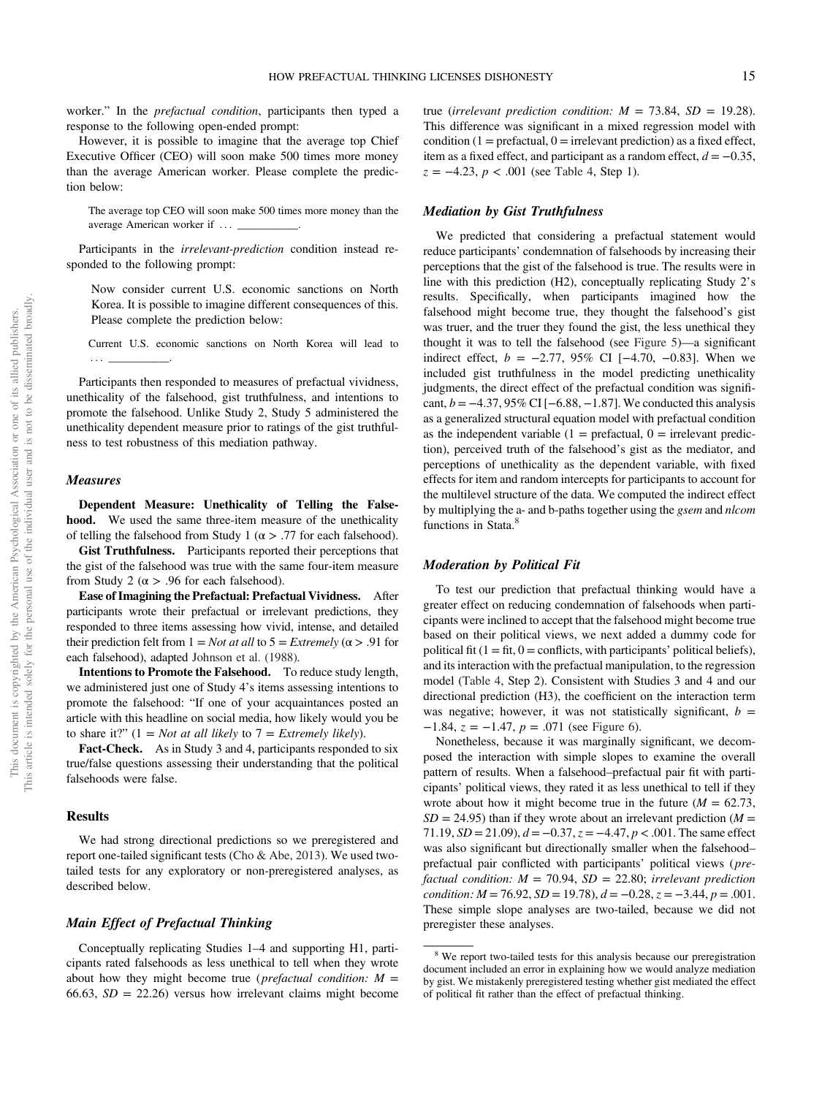worker." In the prefactual condition, participants then typed a response to the following open-ended prompt:

However, it is possible to imagine that the average top Chief Executive Officer (CEO) will soon make 500 times more money than the average American worker. Please complete the prediction below:

The average top CEO will soon make 500 times more money than the average American worker if ::: \_\_\_\_\_\_\_\_\_\_\_.

Participants in the irrelevant-prediction condition instead responded to the following prompt:

Now consider current U.S. economic sanctions on North Korea. It is possible to imagine different consequences of this. Please complete the prediction below:

Current U.S. economic sanctions on North Korea will lead to ::: \_\_\_\_\_\_\_\_\_\_\_.

Participants then responded to measures of prefactual vividness, unethicality of the falsehood, gist truthfulness, and intentions to promote the falsehood. Unlike Study 2, Study 5 administered the unethicality dependent measure prior to ratings of the gist truthfulness to test robustness of this mediation pathway.

#### Measures

Dependent Measure: Unethicality of Telling the Falsehood. We used the same three-item measure of the unethicality of telling the falsehood from Study 1 ( $\alpha$  > .77 for each falsehood).

Gist Truthfulness. Participants reported their perceptions that the gist of the falsehood was true with the same four-item measure from Study 2 ( $\alpha$  > .96 for each falsehood).

Ease of Imagining the Prefactual: Prefactual Vividness. After participants wrote their prefactual or irrelevant predictions, they responded to three items assessing how vivid, intense, and detailed their prediction felt from  $1 = Not$  at all to  $5 = Extremely$  ( $\alpha > .91$  for each falsehood), adapted [Johnson et al. \(1988\).](#page-26-0)

Intentions to Promote the Falsehood. To reduce study length, we administered just one of Study 4's items assessing intentions to promote the falsehood: "If one of your acquaintances posted an article with this headline on social media, how likely would you be to share it?"  $(1 = Not at all likely to 7 = Extremely likely).$ 

Fact-Check. As in Study 3 and 4, participants responded to six true/false questions assessing their understanding that the political falsehoods were false.

## Results

We had strong directional predictions so we preregistered and report one-tailed significant tests ([Cho & Abe, 2013\)](#page-25-0). We used twotailed tests for any exploratory or non-preregistered analyses, as described below.

## Main Effect of Prefactual Thinking

Conceptually replicating Studies 1–4 and supporting H1, participants rated falsehoods as less unethical to tell when they wrote about how they might become true (*prefactual condition:*  $M =$ 66.63,  $SD = 22.26$ ) versus how irrelevant claims might become

true (irrelevant prediction condition:  $M = 73.84$ ,  $SD = 19.28$ ). This difference was significant in a mixed regression model with condition  $(1 = \text{prefactual}, 0 = \text{irrelevant prediction})$  as a fixed effect, item as a fixed effect, and participant as a random effect,  $d = -0.35$ ,  $z = -4.23$ ,  $p < .001$  (see [Table 4,](#page-15-0) Step 1).

## Mediation by Gist Truthfulness

We predicted that considering a prefactual statement would reduce participants' condemnation of falsehoods by increasing their perceptions that the gist of the falsehood is true. The results were in line with this prediction (H2), conceptually replicating Study 2's results. Specifically, when participants imagined how the falsehood might become true, they thought the falsehood's gist was truer, and the truer they found the gist, the less unethical they thought it was to tell the falsehood (see [Figure 5\)](#page-15-0)—a significant indirect effect,  $b = -2.77$ , 95% CI [−4.70, −0.83]. When we included gist truthfulness in the model predicting unethicality judgments, the direct effect of the prefactual condition was significant,  $b = -4.37,95\%$  CI [ $-6.88, -1.87$ ]. We conducted this analysis as a generalized structural equation model with prefactual condition as the independent variable  $(1 = \text{prefactual}, 0 = \text{irrelevant~predicted})$ tion), perceived truth of the falsehood's gist as the mediator, and perceptions of unethicality as the dependent variable, with fixed effects for item and random intercepts for participants to account for the multilevel structure of the data. We computed the indirect effect by multiplying the a- and b-paths together using the gsem and nlcom functions in Stata.<sup>8</sup>

## Moderation by Political Fit

To test our prediction that prefactual thinking would have a greater effect on reducing condemnation of falsehoods when participants were inclined to accept that the falsehood might become true based on their political views, we next added a dummy code for political fit  $(1 = fit, 0 = conflict, with participants' political beliefs)$ , and its interaction with the prefactual manipulation, to the regression model [\(Table 4,](#page-15-0) Step 2). Consistent with Studies 3 and 4 and our directional prediction (H3), the coefficient on the interaction term was negative; however, it was not statistically significant,  $b =$  $-1.84$ ,  $z = -1.47$ ,  $p = .071$  (see [Figure 6\)](#page-16-0).

Nonetheless, because it was marginally significant, we decomposed the interaction with simple slopes to examine the overall pattern of results. When a falsehood–prefactual pair fit with participants' political views, they rated it as less unethical to tell if they wrote about how it might become true in the future  $(M = 62.73,$  $SD = 24.95$ ) than if they wrote about an irrelevant prediction ( $M =$ 71.19,  $SD = 21.09$ ),  $d = -0.37$ ,  $z = -4.47$ ,  $p < .001$ . The same effect was also significant but directionally smaller when the falsehood– prefactual pair conflicted with participants' political views (prefactual condition:  $M = 70.94$ ,  $SD = 22.80$ ; irrelevant prediction condition:  $M = 76.92$ ,  $SD = 19.78$ ),  $d = -0.28$ ,  $z = -3.44$ ,  $p = .001$ . These simple slope analyses are two-tailed, because we did not preregister these analyses.

<sup>&</sup>lt;sup>8</sup> We report two-tailed tests for this analysis because our preregistration document included an error in explaining how we would analyze mediation by gist. We mistakenly preregistered testing whether gist mediated the effect of political fit rather than the effect of prefactual thinking.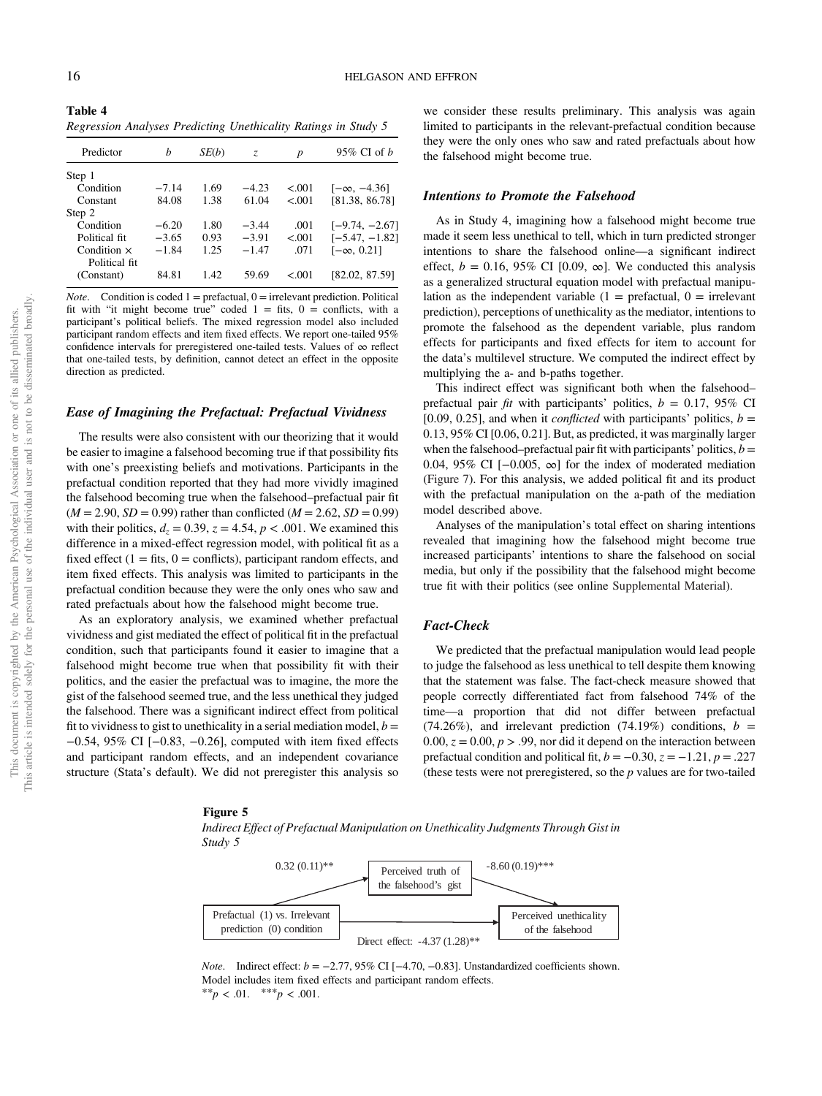<span id="page-15-0"></span>Table 4 Regression Analyses Predicting Unethicality Ratings in Study 5

| Predictor          | h       | SE(b) | Z.      | p      | $95\%$ CI of <i>b</i> |
|--------------------|---------|-------|---------|--------|-----------------------|
| Step 1             |         |       |         |        |                       |
| Condition          | $-7.14$ | 1.69  | $-4.23$ | < 0.01 | $[-\infty, -4.36]$    |
| Constant           | 84.08   | 1.38  | 61.04   | < 0.01 | [81.38, 86.78]        |
| Step 2             |         |       |         |        |                       |
| Condition          | $-6.20$ | 1.80  | $-3.44$ | .001   | $[-9.74, -2.67]$      |
| Political fit      | $-3.65$ | 0.93  | $-3.91$ | < 0.01 | $[-5.47, -1.82]$      |
| Condition $\times$ | $-1.84$ | 1.25  | $-1.47$ | .071   | $[-\infty, 0.21]$     |
| Political fit.     |         |       |         |        |                       |
| (Constant)         | 84.81   | 1.42  | 59.69   | < 0.01 | 182.02.87.591         |

*Note.* Condition is coded  $1 =$  prefactual,  $0 =$  irrelevant prediction. Political fit with "it might become true" coded  $1 =$  fits,  $0 =$  conflicts, with a participant's political beliefs. The mixed regression model also included participant random effects and item fixed effects. We report one-tailed 95% confidence intervals for preregistered one-tailed tests. Values of ∞ reflect that one-tailed tests, by definition, cannot detect an effect in the opposite direction as predicted.

## Ease of Imagining the Prefactual: Prefactual Vividness

The results were also consistent with our theorizing that it would be easier to imagine a falsehood becoming true if that possibility fits with one's preexisting beliefs and motivations. Participants in the prefactual condition reported that they had more vividly imagined the falsehood becoming true when the falsehood–prefactual pair fit  $(M = 2.90, SD = 0.99)$  rather than conflicted  $(M = 2.62, SD = 0.99)$ with their politics,  $d_z = 0.39$ ,  $z = 4.54$ ,  $p < .001$ . We examined this difference in a mixed-effect regression model, with political fit as a fixed effect  $(1 =$  fits,  $0 =$  conflicts), participant random effects, and item fixed effects. This analysis was limited to participants in the prefactual condition because they were the only ones who saw and rated prefactuals about how the falsehood might become true.

As an exploratory analysis, we examined whether prefactual vividness and gist mediated the effect of political fit in the prefactual condition, such that participants found it easier to imagine that a falsehood might become true when that possibility fit with their politics, and the easier the prefactual was to imagine, the more the gist of the falsehood seemed true, and the less unethical they judged the falsehood. There was a significant indirect effect from political fit to vividness to gist to unethicality in a serial mediation model,  $b =$ −0.54, 95% CI [−0.83, −0.26], computed with item fixed effects and participant random effects, and an independent covariance structure (Stata's default). We did not preregister this analysis so

#### Figure 5

Indirect Effect of Prefactual Manipulation on Unethicality Judgments Through Gist in Study 5



*Note.* Indirect effect:  $b = -2.77,95\%$  CI [ $-4.70, -0.83$ ]. Unstandardized coefficients shown. Model includes item fixed effects and participant random effects. \*\* $p < .01.$  \*\*\* $p < .001.$ 

## Intentions to Promote the Falsehood

As in Study 4, imagining how a falsehood might become true made it seem less unethical to tell, which in turn predicted stronger intentions to share the falsehood online—a significant indirect effect,  $b = 0.16$ , 95% CI [0.09,  $\infty$ ]. We conducted this analysis as a generalized structural equation model with prefactual manipulation as the independent variable  $(1 = \text{prefactual}, 0 = \text{irrelevant})$ prediction), perceptions of unethicality as the mediator, intentions to promote the falsehood as the dependent variable, plus random effects for participants and fixed effects for item to account for the data's multilevel structure. We computed the indirect effect by multiplying the a- and b-paths together.

This indirect effect was significant both when the falsehood– prefactual pair *fit* with participants' politics,  $b = 0.17$ , 95% CI [0.09, 0.25], and when it *conflicted* with participants' politics,  $b =$ 0.13, 95% CI [0.06, 0.21]. But, as predicted, it was marginally larger when the falsehood–prefactual pair fit with participants' politics,  $b =$ 0.04, 95% CI [−0.005, ∞] for the index of moderated mediation ([Figure 7\)](#page-16-0). For this analysis, we added political fit and its product with the prefactual manipulation on the a-path of the mediation model described above.

Analyses of the manipulation's total effect on sharing intentions revealed that imagining how the falsehood might become true increased participants' intentions to share the falsehood on social media, but only if the possibility that the falsehood might become true fit with their politics (see online [Supplemental Material\)](https://doi.org/10.1037/pspa0000308.supp).

## Fact-Check

We predicted that the prefactual manipulation would lead people to judge the falsehood as less unethical to tell despite them knowing that the statement was false. The fact-check measure showed that people correctly differentiated fact from falsehood 74% of the time—a proportion that did not differ between prefactual (74.26%), and irrelevant prediction (74.19%) conditions,  $b =$ 0.00,  $z = 0.00$ ,  $p > .99$ , nor did it depend on the interaction between prefactual condition and political fit,  $b = -0.30$ ,  $z = -1.21$ ,  $p = .227$ (these tests were not preregistered, so the  $p$  values are for two-tailed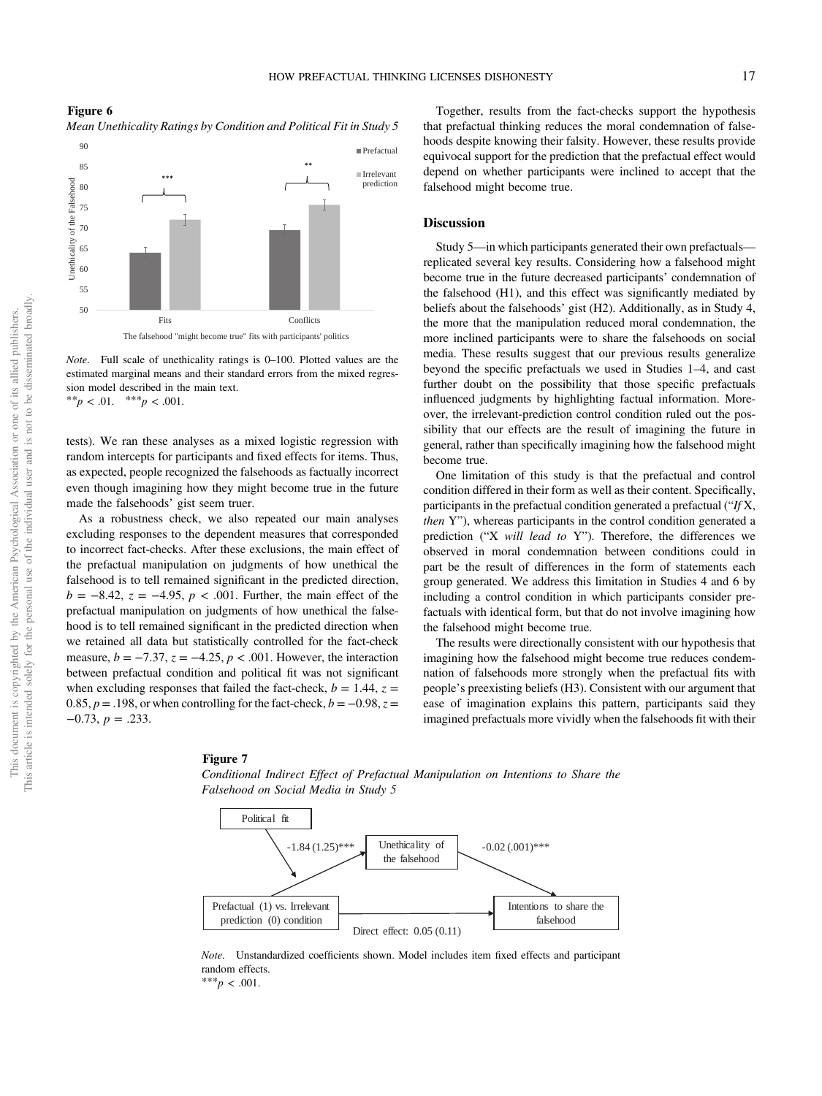<span id="page-16-0"></span>Figure 6 Mean Unethicality Ratings by Condition and Political Fit in Study 5



Note. Full scale of unethicality ratings is 0–100. Plotted values are the estimated marginal means and their standard errors from the mixed regression model described in the main text. \*\* $p < .01.$  \*\*\* $p < .001.$ 

tests). We ran these analyses as a mixed logistic regression with random intercepts for participants and fixed effects for items. Thus, as expected, people recognized the falsehoods as factually incorrect even though imagining how they might become true in the future made the falsehoods' gist seem truer.

As a robustness check, we also repeated our main analyses excluding responses to the dependent measures that corresponded to incorrect fact-checks. After these exclusions, the main effect of the prefactual manipulation on judgments of how unethical the falsehood is to tell remained significant in the predicted direction,  $b = -8.42$ ,  $z = -4.95$ ,  $p < .001$ . Further, the main effect of the prefactual manipulation on judgments of how unethical the falsehood is to tell remained significant in the predicted direction when we retained all data but statistically controlled for the fact-check measure,  $b = -7.37$ ,  $z = -4.25$ ,  $p < .001$ . However, the interaction between prefactual condition and political fit was not significant when excluding responses that failed the fact-check,  $b = 1.44$ ,  $z =$ 0.85,  $p = .198$ , or when controlling for the fact-check,  $b = -0.98$ ,  $z =$  $-0.73$ ,  $p = .233$ .

#### Figure 7

This article is intended solely for the personal use of the individual user and is not to be disseminated broadly.

Together, results from the fact-checks support the hypothesis that prefactual thinking reduces the moral condemnation of falsehoods despite knowing their falsity. However, these results provide equivocal support for the prediction that the prefactual effect would depend on whether participants were inclined to accept that the falsehood might become true.

## **Discussion**

Study 5—in which participants generated their own prefactuals replicated several key results. Considering how a falsehood might become true in the future decreased participants' condemnation of the falsehood (H1), and this effect was significantly mediated by beliefs about the falsehoods' gist (H2). Additionally, as in Study 4, the more that the manipulation reduced moral condemnation, the more inclined participants were to share the falsehoods on social media. These results suggest that our previous results generalize beyond the specific prefactuals we used in Studies 1–4, and cast further doubt on the possibility that those specific prefactuals influenced judgments by highlighting factual information. Moreover, the irrelevant-prediction control condition ruled out the possibility that our effects are the result of imagining the future in general, rather than specifically imagining how the falsehood might become true.

One limitation of this study is that the prefactual and control condition differed in their form as well as their content. Specifically, participants in the prefactual condition generated a prefactual ("If X, then Y"), whereas participants in the control condition generated a prediction ("X will lead to Y"). Therefore, the differences we observed in moral condemnation between conditions could in part be the result of differences in the form of statements each group generated. We address this limitation in Studies 4 and 6 by including a control condition in which participants consider prefactuals with identical form, but that do not involve imagining how the falsehood might become true.

The results were directionally consistent with our hypothesis that imagining how the falsehood might become true reduces condemnation of falsehoods more strongly when the prefactual fits with people's preexisting beliefs (H3). Consistent with our argument that ease of imagination explains this pattern, participants said they imagined prefactuals more vividly when the falsehoods fit with their

Conditional Indirect Effect of Prefactual Manipulation on Intentions to Share the Falsehood on Social Media in Study 5



Note. Unstandardized coefficients shown. Model includes item fixed effects and participant random effects.

\*\*\* $p < .001$ .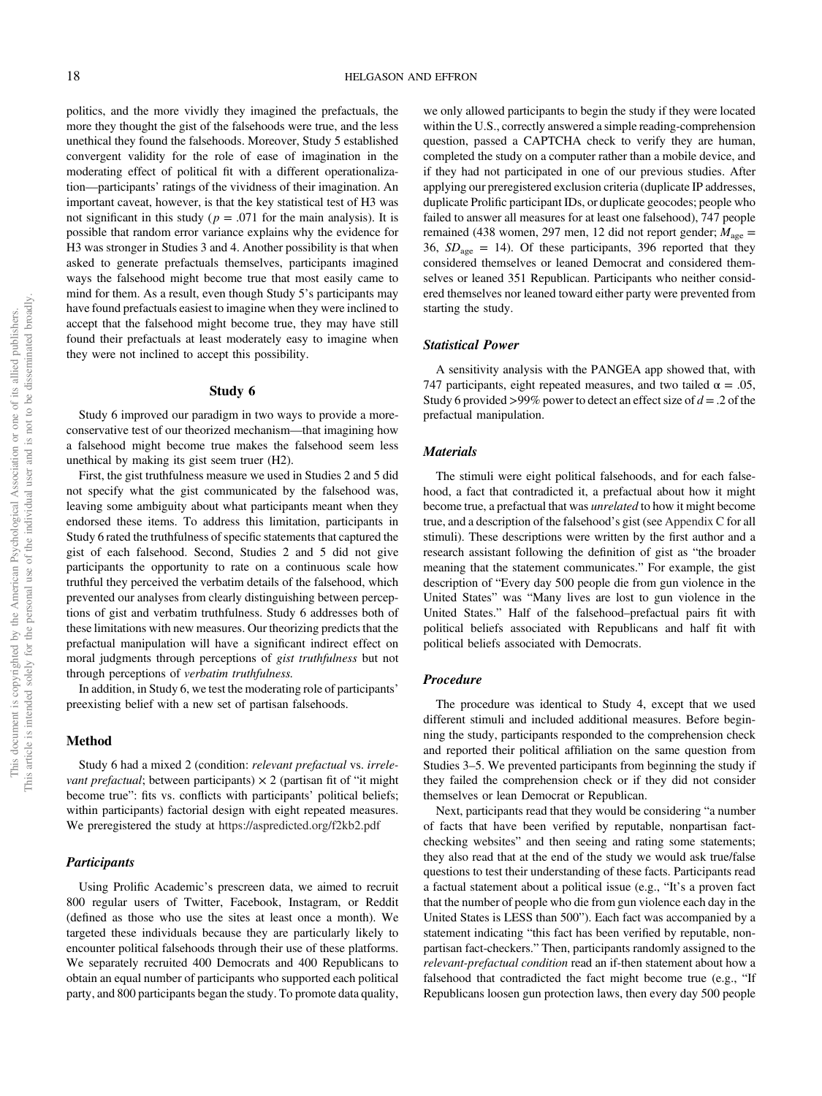politics, and the more vividly they imagined the prefactuals, the more they thought the gist of the falsehoods were true, and the less unethical they found the falsehoods. Moreover, Study 5 established convergent validity for the role of ease of imagination in the moderating effect of political fit with a different operationalization—participants' ratings of the vividness of their imagination. An important caveat, however, is that the key statistical test of H3 was not significant in this study ( $p = .071$  for the main analysis). It is possible that random error variance explains why the evidence for H3 was stronger in Studies 3 and 4. Another possibility is that when asked to generate prefactuals themselves, participants imagined ways the falsehood might become true that most easily came to mind for them. As a result, even though Study 5's participants may have found prefactuals easiest to imagine when they were inclined to accept that the falsehood might become true, they may have still found their prefactuals at least moderately easy to imagine when they were not inclined to accept this possibility.

#### Study 6

Study 6 improved our paradigm in two ways to provide a moreconservative test of our theorized mechanism—that imagining how a falsehood might become true makes the falsehood seem less unethical by making its gist seem truer (H2).

First, the gist truthfulness measure we used in Studies 2 and 5 did not specify what the gist communicated by the falsehood was, leaving some ambiguity about what participants meant when they endorsed these items. To address this limitation, participants in Study 6 rated the truthfulness of specific statements that captured the gist of each falsehood. Second, Studies 2 and 5 did not give participants the opportunity to rate on a continuous scale how truthful they perceived the verbatim details of the falsehood, which prevented our analyses from clearly distinguishing between perceptions of gist and verbatim truthfulness. Study 6 addresses both of these limitations with new measures. Our theorizing predicts that the prefactual manipulation will have a significant indirect effect on moral judgments through perceptions of gist truthfulness but not through perceptions of verbatim truthfulness.

In addition, in Study 6, we test the moderating role of participants' preexisting belief with a new set of partisan falsehoods.

#### Method

Study 6 had a mixed 2 (condition: relevant prefactual vs. irrele*vant prefactual*; between participants)  $\times$  2 (partisan fit of "it might become true": fits vs. conflicts with participants' political beliefs; within participants) factorial design with eight repeated measures. We preregistered the study at <https://aspredicted.org/f2kb2.pdf>

## **Participants**

Using Prolific Academic's prescreen data, we aimed to recruit 800 regular users of Twitter, Facebook, Instagram, or Reddit (defined as those who use the sites at least once a month). We targeted these individuals because they are particularly likely to encounter political falsehoods through their use of these platforms. We separately recruited 400 Democrats and 400 Republicans to obtain an equal number of participants who supported each political party, and 800 participants began the study. To promote data quality,

we only allowed participants to begin the study if they were located within the U.S., correctly answered a simple reading-comprehension question, passed a CAPTCHA check to verify they are human, completed the study on a computer rather than a mobile device, and if they had not participated in one of our previous studies. After applying our preregistered exclusion criteria (duplicate IP addresses, duplicate Prolific participant IDs, or duplicate geocodes; people who failed to answer all measures for at least one falsehood), 747 people remained (438 women, 297 men, 12 did not report gender;  $M_{\text{age}} =$ 36,  $SD<sub>age</sub> = 14$ ). Of these participants, 396 reported that they considered themselves or leaned Democrat and considered themselves or leaned 351 Republican. Participants who neither considered themselves nor leaned toward either party were prevented from starting the study.

## Statistical Power

A sensitivity analysis with the PANGEA app showed that, with 747 participants, eight repeated measures, and two tailed  $\alpha = .05$ , Study 6 provided >99% power to detect an effect size of  $d = 0.2$  of the prefactual manipulation.

## **Materials**

The stimuli were eight political falsehoods, and for each falsehood, a fact that contradicted it, a prefactual about how it might become true, a prefactual that was unrelated to how it might become true, and a description of the falsehood's gist (see [Appendix C](#page-30-0) for all stimuli). These descriptions were written by the first author and a research assistant following the definition of gist as "the broader meaning that the statement communicates." For example, the gist description of "Every day 500 people die from gun violence in the United States" was "Many lives are lost to gun violence in the United States." Half of the falsehood–prefactual pairs fit with political beliefs associated with Republicans and half fit with political beliefs associated with Democrats.

## Procedure

The procedure was identical to Study 4, except that we used different stimuli and included additional measures. Before beginning the study, participants responded to the comprehension check and reported their political affiliation on the same question from Studies 3–5. We prevented participants from beginning the study if they failed the comprehension check or if they did not consider themselves or lean Democrat or Republican.

Next, participants read that they would be considering "a number of facts that have been verified by reputable, nonpartisan factchecking websites" and then seeing and rating some statements; they also read that at the end of the study we would ask true/false questions to test their understanding of these facts. Participants read a factual statement about a political issue (e.g., "It's a proven fact that the number of people who die from gun violence each day in the United States is LESS than 500"). Each fact was accompanied by a statement indicating "this fact has been verified by reputable, nonpartisan fact-checkers." Then, participants randomly assigned to the relevant-prefactual condition read an if-then statement about how a falsehood that contradicted the fact might become true (e.g., "If Republicans loosen gun protection laws, then every day 500 people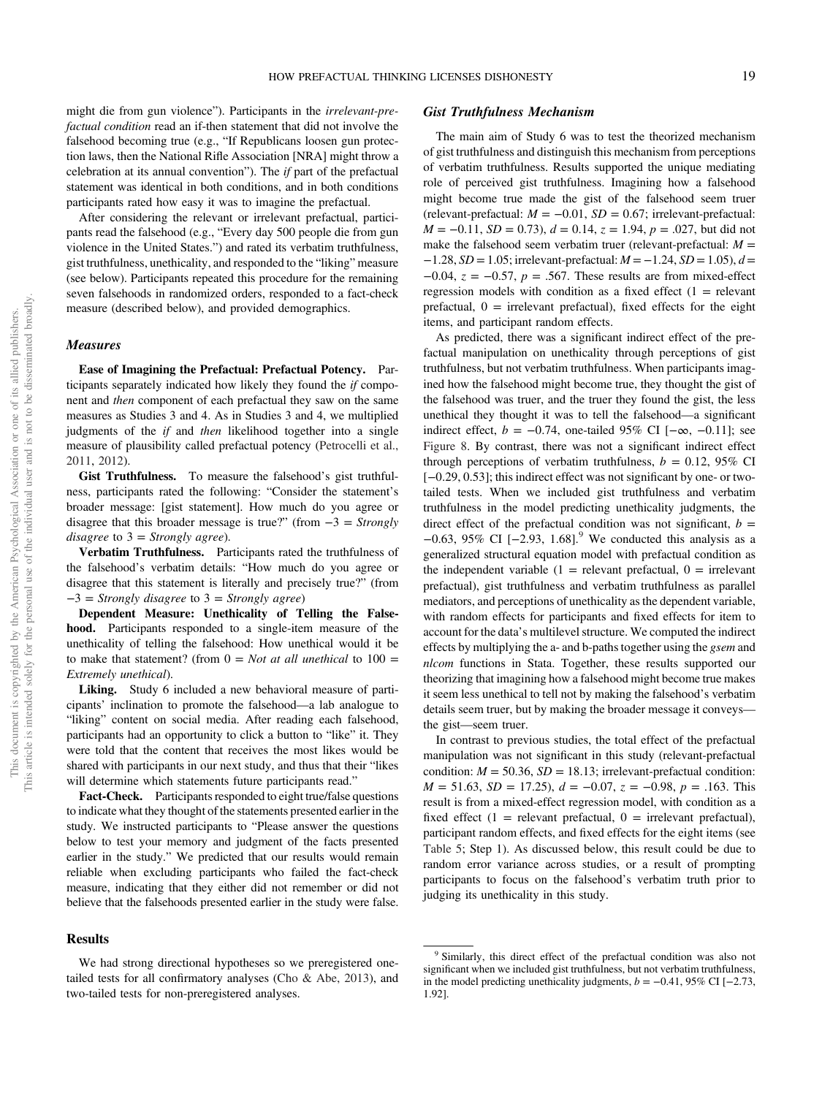might die from gun violence"). Participants in the irrelevant-prefactual condition read an if-then statement that did not involve the falsehood becoming true (e.g., "If Republicans loosen gun protection laws, then the National Rifle Association [NRA] might throw a celebration at its annual convention"). The if part of the prefactual statement was identical in both conditions, and in both conditions participants rated how easy it was to imagine the prefactual.

After considering the relevant or irrelevant prefactual, participants read the falsehood (e.g., "Every day 500 people die from gun violence in the United States.") and rated its verbatim truthfulness, gist truthfulness, unethicality, and responded to the "liking" measure (see below). Participants repeated this procedure for the remaining seven falsehoods in randomized orders, responded to a fact-check measure (described below), and provided demographics.

## Measures

Ease of Imagining the Prefactual: Prefactual Potency. Participants separately indicated how likely they found the if component and then component of each prefactual they saw on the same measures as Studies 3 and 4. As in Studies 3 and 4, we multiplied judgments of the *if* and *then* likelihood together into a single measure of plausibility called prefactual potency ([Petrocelli et al.,](#page-27-0) [2011](#page-27-0), [2012](#page-27-0)).

Gist Truthfulness. To measure the falsehood's gist truthfulness, participants rated the following: "Consider the statement's broader message: [gist statement]. How much do you agree or disagree that this broader message is true?" (from  $-3 =$  Strongly disagree to  $3 =$  Strongly agree).

Verbatim Truthfulness. Participants rated the truthfulness of the falsehood's verbatim details: "How much do you agree or disagree that this statement is literally and precisely true?" (from −3 = Strongly disagree to 3 = Strongly agree)

Dependent Measure: Unethicality of Telling the Falsehood. Participants responded to a single-item measure of the unethicality of telling the falsehood: How unethical would it be to make that statement? (from  $0 = Not$  at all unethical to  $100 =$ Extremely unethical).

Liking. Study 6 included a new behavioral measure of participants' inclination to promote the falsehood—a lab analogue to "liking" content on social media. After reading each falsehood, participants had an opportunity to click a button to "like" it. They were told that the content that receives the most likes would be shared with participants in our next study, and thus that their "likes will determine which statements future participants read."

Fact-Check. Participants responded to eight true/false questions to indicate what they thought of the statements presented earlier in the study. We instructed participants to "Please answer the questions below to test your memory and judgment of the facts presented earlier in the study." We predicted that our results would remain reliable when excluding participants who failed the fact-check measure, indicating that they either did not remember or did not believe that the falsehoods presented earlier in the study were false.

#### **Results**

## Gist Truthfulness Mechanism

The main aim of Study 6 was to test the theorized mechanism of gist truthfulness and distinguish this mechanism from perceptions of verbatim truthfulness. Results supported the unique mediating role of perceived gist truthfulness. Imagining how a falsehood might become true made the gist of the falsehood seem truer (relevant-prefactual:  $M = -0.01$ ,  $SD = 0.67$ ; irrelevant-prefactual:  $M = -0.11$ ,  $SD = 0.73$ ),  $d = 0.14$ ,  $z = 1.94$ ,  $p = .027$ , but did not make the falsehood seem verbatim truer (relevant-prefactual:  $M =$  $-1.28$ ,  $SD = 1.05$ ; irrelevant-prefactual:  $M = -1.24$ ,  $SD = 1.05$ ),  $d =$  $-0.04$ ,  $z = -0.57$ ,  $p = .567$ . These results are from mixed-effect regression models with condition as a fixed effect  $(1 =$  relevant prefactual,  $0 =$  irrelevant prefactual), fixed effects for the eight items, and participant random effects.

As predicted, there was a significant indirect effect of the prefactual manipulation on unethicality through perceptions of gist truthfulness, but not verbatim truthfulness. When participants imagined how the falsehood might become true, they thought the gist of the falsehood was truer, and the truer they found the gist, the less unethical they thought it was to tell the falsehood—a significant indirect effect,  $b = -0.74$ , one-tailed 95% CI [ $-\infty$ ,  $-0.11$ ]; see [Figure 8.](#page-19-0) By contrast, there was not a significant indirect effect through perceptions of verbatim truthfulness,  $b = 0.12$ , 95% CI [-0.29, 0.53]; this indirect effect was not significant by one- or twotailed tests. When we included gist truthfulness and verbatim truthfulness in the model predicting unethicality judgments, the direct effect of the prefactual condition was not significant,  $b =$ −0.63, 95% CI [−2.93, 1.68].<sup>9</sup> We conducted this analysis as a generalized structural equation model with prefactual condition as the independent variable  $(1 =$  relevant prefactual,  $0 =$  irrelevant prefactual), gist truthfulness and verbatim truthfulness as parallel mediators, and perceptions of unethicality as the dependent variable, with random effects for participants and fixed effects for item to account for the data's multilevel structure. We computed the indirect effects by multiplying the a- and b-paths together using the gsem and nlcom functions in Stata. Together, these results supported our theorizing that imagining how a falsehood might become true makes it seem less unethical to tell not by making the falsehood's verbatim details seem truer, but by making the broader message it conveys the gist—seem truer.

In contrast to previous studies, the total effect of the prefactual manipulation was not significant in this study (relevant-prefactual condition:  $M = 50.36$ ,  $SD = 18.13$ ; irrelevant-prefactual condition:  $M = 51.63$ ,  $SD = 17.25$ ),  $d = -0.07$ ,  $z = -0.98$ ,  $p = .163$ . This result is from a mixed-effect regression model, with condition as a fixed effect  $(1 =$  relevant prefactual,  $0 =$  irrelevant prefactual), participant random effects, and fixed effects for the eight items (see [Table 5;](#page-19-0) Step 1). As discussed below, this result could be due to random error variance across studies, or a result of prompting participants to focus on the falsehood's verbatim truth prior to judging its unethicality in this study.

We had strong directional hypotheses so we preregistered onetailed tests for all confirmatory analyses [\(Cho & Abe, 2013\)](#page-25-0), and two-tailed tests for non-preregistered analyses.

<sup>&</sup>lt;sup>9</sup> Similarly, this direct effect of the prefactual condition was also not significant when we included gist truthfulness, but not verbatim truthfulness, in the model predicting unethicality judgments,  $b = -0.41$ , 95% CI [−2.73, 1.92].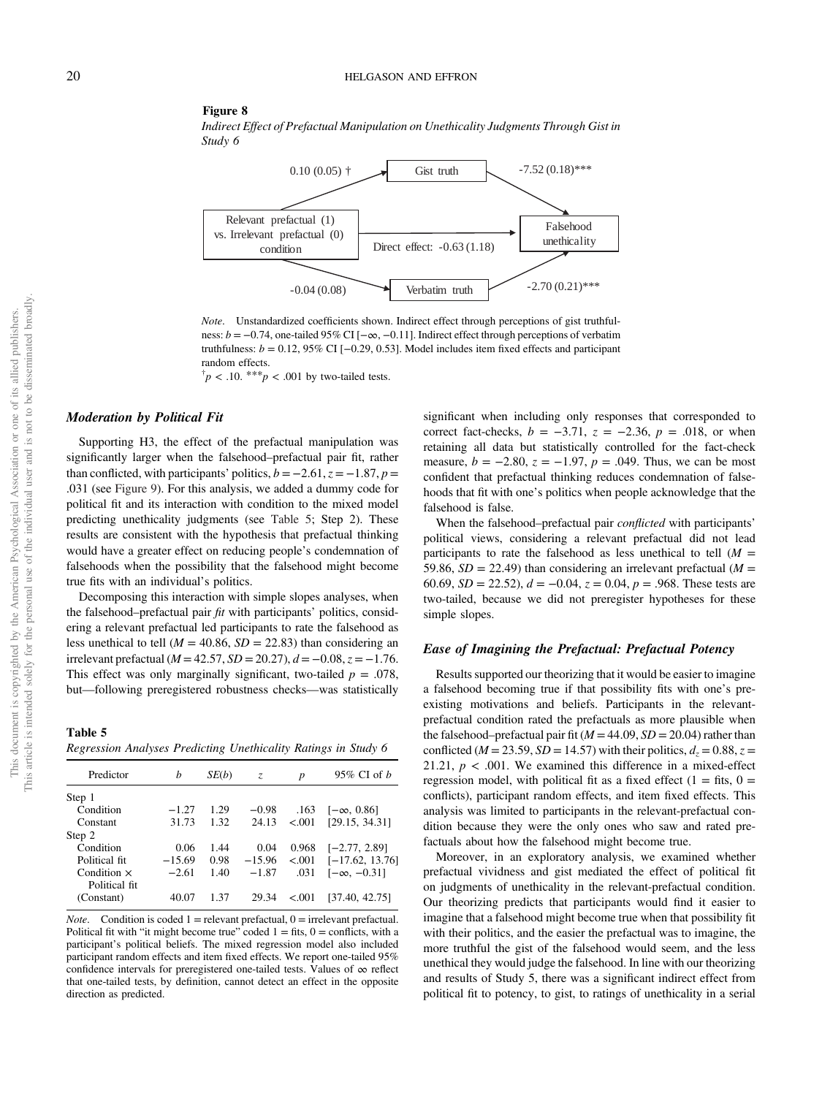#### <span id="page-19-0"></span>Figure 8

Indirect Effect of Prefactual Manipulation on Unethicality Judgments Through Gist in Study 6



Note. Unstandardized coefficients shown. Indirect effect through perceptions of gist truthfulness: b = −0.74, one-tailed 95% CI [−∞, −0.11]. Indirect effect through perceptions of verbatim truthfulness:  $b = 0.12, 95\%$  CI [−0.29, 0.53]. Model includes item fixed effects and participant random effects.

 $\phi^{\dagger} p < .10.$  \*\*\* $p < .001$  by two-tailed tests.

## Moderation by Political Fit

Supporting H3, the effect of the prefactual manipulation was significantly larger when the falsehood–prefactual pair fit, rather than conflicted, with participants' politics,  $b = -2.61$ ,  $z = -1.87$ ,  $p =$ .031 (see [Figure 9](#page-20-0)). For this analysis, we added a dummy code for political fit and its interaction with condition to the mixed model predicting unethicality judgments (see Table 5; Step 2). These results are consistent with the hypothesis that prefactual thinking would have a greater effect on reducing people's condemnation of falsehoods when the possibility that the falsehood might become true fits with an individual's politics.

Decomposing this interaction with simple slopes analyses, when the falsehood–prefactual pair  $fit$  with participants' politics, considering a relevant prefactual led participants to rate the falsehood as less unethical to tell ( $M = 40.86$ ,  $SD = 22.83$ ) than considering an irrelevant prefactual ( $M = 42.57$ ,  $SD = 20.27$ ),  $d = -0.08$ ,  $z = -1.76$ . This effect was only marginally significant, two-tailed  $p = .078$ , but—following preregistered robustness checks—was statistically

Table 5 Regression Analyses Predicting Unethicality Ratings in Study 6

| Predictor          | h        | SE(b) | Z.       | p         | 95\% CI of $b$     |
|--------------------|----------|-------|----------|-----------|--------------------|
| Step 1             |          |       |          |           |                    |
| Condition          | $-1.27$  | 1.29  | $-0.98$  | .163      | $[-\infty, 0.86]$  |
| Constant           | 31.73    | 1.32  | 24.13    | < .001    | [29.15, 34.31]     |
| Step 2             |          |       |          |           |                    |
| Condition          | 0.06     | 1.44  | 0.04     | 0.968     | $[-2.77, 2.89]$    |
| Political fit.     | $-15.69$ | 0.98  | $-15.96$ | < .001    | $[-17.62, 13.76]$  |
| Condition $\times$ | $-2.61$  | 1.40  | $-1.87$  | .031      | $[-\infty, -0.31]$ |
| Political fit      |          |       |          |           |                    |
| (Constant)         | 40.07    | 1.37  | 29.34    | ${<}.001$ | [37.40, 42.75]     |
|                    |          |       |          |           |                    |

*Note.* Condition is coded  $1$  = relevant prefactual,  $0$  = irrelevant prefactual. Political fit with "it might become true" coded  $1 =$  fits,  $0 =$  conflicts, with a participant's political beliefs. The mixed regression model also included participant random effects and item fixed effects. We report one-tailed 95% confidence intervals for preregistered one-tailed tests. Values of  $\infty$  reflect that one-tailed tests, by definition, cannot detect an effect in the opposite direction as predicted.

significant when including only responses that corresponded to correct fact-checks,  $b = -3.71$ ,  $z = -2.36$ ,  $p = .018$ , or when retaining all data but statistically controlled for the fact-check measure,  $b = -2.80$ ,  $z = -1.97$ ,  $p = .049$ . Thus, we can be most confident that prefactual thinking reduces condemnation of falsehoods that fit with one's politics when people acknowledge that the falsehood is false.

When the falsehood–prefactual pair *conflicted* with participants' political views, considering a relevant prefactual did not lead participants to rate the falsehood as less unethical to tell  $(M =$ 59.86,  $SD = 22.49$ ) than considering an irrelevant prefactual ( $M =$ 60.69,  $SD = 22.52$ ),  $d = -0.04$ ,  $z = 0.04$ ,  $p = .968$ . These tests are two-tailed, because we did not preregister hypotheses for these simple slopes.

#### Ease of Imagining the Prefactual: Prefactual Potency

Results supported our theorizing that it would be easier to imagine a falsehood becoming true if that possibility fits with one's preexisting motivations and beliefs. Participants in the relevantprefactual condition rated the prefactuals as more plausible when the falsehood–prefactual pair fit ( $M = 44.09$ ,  $SD = 20.04$ ) rather than conflicted ( $M = 23.59$ ,  $SD = 14.57$ ) with their politics,  $d_z = 0.88$ ,  $z =$ 21.21,  $p < .001$ . We examined this difference in a mixed-effect regression model, with political fit as a fixed effect  $(1 =$  fits,  $0 =$ conflicts), participant random effects, and item fixed effects. This analysis was limited to participants in the relevant-prefactual condition because they were the only ones who saw and rated prefactuals about how the falsehood might become true.

Moreover, in an exploratory analysis, we examined whether prefactual vividness and gist mediated the effect of political fit on judgments of unethicality in the relevant-prefactual condition. Our theorizing predicts that participants would find it easier to imagine that a falsehood might become true when that possibility fit with their politics, and the easier the prefactual was to imagine, the more truthful the gist of the falsehood would seem, and the less unethical they would judge the falsehood. In line with our theorizing and results of Study 5, there was a significant indirect effect from political fit to potency, to gist, to ratings of unethicality in a serial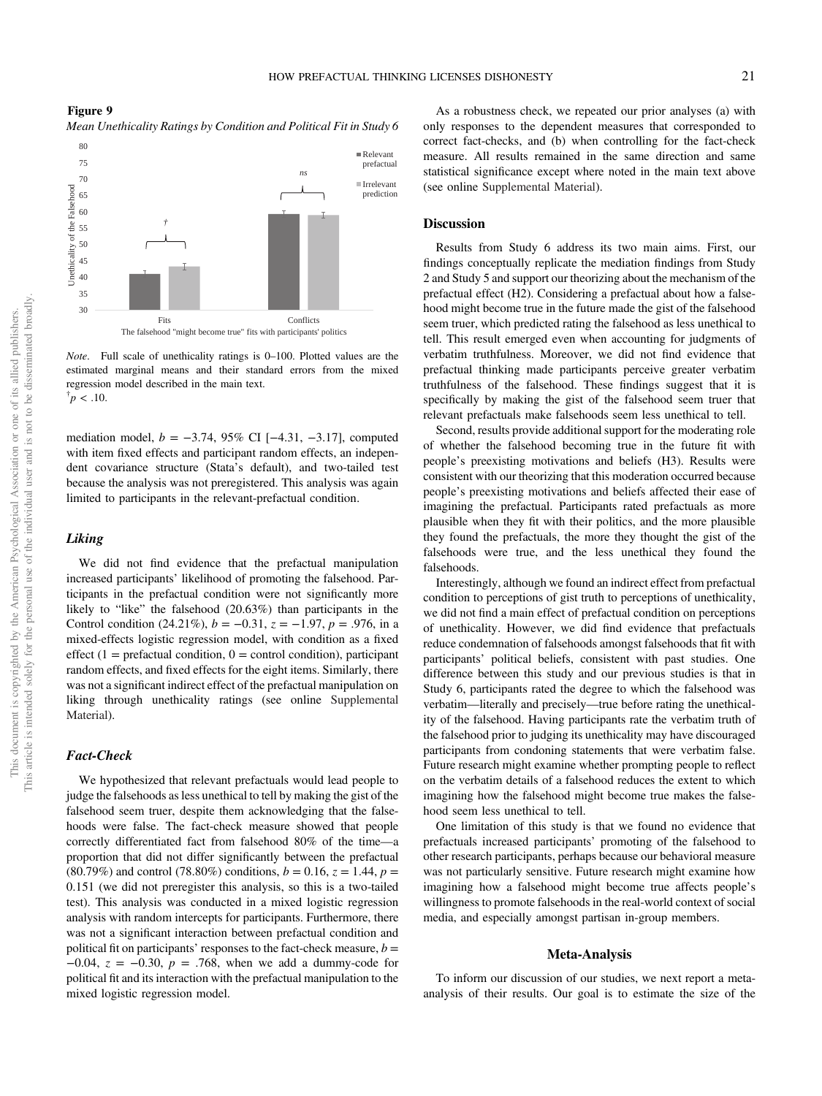<span id="page-20-0"></span>Figure 9 Mean Unethicality Ratings by Condition and Political Fit in Study 6



Note. Full scale of unethicality ratings is 0–100. Plotted values are the estimated marginal means and their standard errors from the mixed regression model described in the main text.  $\frac{1}{p}$  < .10.

mediation model,  $b = -3.74$ , 95% CI [-4.31, -3.17], computed with item fixed effects and participant random effects, an independent covariance structure (Stata's default), and two-tailed test because the analysis was not preregistered. This analysis was again limited to participants in the relevant-prefactual condition.

## Liking

We did not find evidence that the prefactual manipulation increased participants' likelihood of promoting the falsehood. Participants in the prefactual condition were not significantly more likely to "like" the falsehood (20.63%) than participants in the Control condition (24.21%),  $b = -0.31$ ,  $z = -1.97$ ,  $p = .976$ , in a mixed-effects logistic regression model, with condition as a fixed effect  $(1 =$  prefactual condition,  $0 =$  control condition), participant random effects, and fixed effects for the eight items. Similarly, there was not a significant indirect effect of the prefactual manipulation on liking through unethicality ratings (see online [Supplemental](https://doi.org/10.1037/pspa0000308.supp) [Material\)](https://doi.org/10.1037/pspa0000308.supp).

#### Fact-Check

We hypothesized that relevant prefactuals would lead people to judge the falsehoods as less unethical to tell by making the gist of the falsehood seem truer, despite them acknowledging that the falsehoods were false. The fact-check measure showed that people correctly differentiated fact from falsehood 80% of the time—a proportion that did not differ significantly between the prefactual  $(80.79\%)$  and control  $(78.80\%)$  conditions,  $b = 0.16$ ,  $z = 1.44$ ,  $p =$ 0.151 (we did not preregister this analysis, so this is a two-tailed test). This analysis was conducted in a mixed logistic regression analysis with random intercepts for participants. Furthermore, there was not a significant interaction between prefactual condition and political fit on participants' responses to the fact-check measure,  $b =$ −0.04,  $z = -0.30$ ,  $p = .768$ , when we add a dummy-code for political fit and its interaction with the prefactual manipulation to the mixed logistic regression model.

As a robustness check, we repeated our prior analyses (a) with only responses to the dependent measures that corresponded to correct fact-checks, and (b) when controlling for the fact-check measure. All results remained in the same direction and same statistical significance except where noted in the main text above (see online [Supplemental Material](https://doi.org/10.1037/pspa0000308.supp)).

### **Discussion**

Results from Study 6 address its two main aims. First, our findings conceptually replicate the mediation findings from Study 2 and Study 5 and support our theorizing about the mechanism of the prefactual effect (H2). Considering a prefactual about how a falsehood might become true in the future made the gist of the falsehood seem truer, which predicted rating the falsehood as less unethical to tell. This result emerged even when accounting for judgments of verbatim truthfulness. Moreover, we did not find evidence that prefactual thinking made participants perceive greater verbatim truthfulness of the falsehood. These findings suggest that it is specifically by making the gist of the falsehood seem truer that relevant prefactuals make falsehoods seem less unethical to tell.

Second, results provide additional support for the moderating role of whether the falsehood becoming true in the future fit with people's preexisting motivations and beliefs (H3). Results were consistent with our theorizing that this moderation occurred because people's preexisting motivations and beliefs affected their ease of imagining the prefactual. Participants rated prefactuals as more plausible when they fit with their politics, and the more plausible they found the prefactuals, the more they thought the gist of the falsehoods were true, and the less unethical they found the falsehoods.

Interestingly, although we found an indirect effect from prefactual condition to perceptions of gist truth to perceptions of unethicality, we did not find a main effect of prefactual condition on perceptions of unethicality. However, we did find evidence that prefactuals reduce condemnation of falsehoods amongst falsehoods that fit with participants' political beliefs, consistent with past studies. One difference between this study and our previous studies is that in Study 6, participants rated the degree to which the falsehood was verbatim—literally and precisely—true before rating the unethicality of the falsehood. Having participants rate the verbatim truth of the falsehood prior to judging its unethicality may have discouraged participants from condoning statements that were verbatim false. Future research might examine whether prompting people to reflect on the verbatim details of a falsehood reduces the extent to which imagining how the falsehood might become true makes the falsehood seem less unethical to tell.

One limitation of this study is that we found no evidence that prefactuals increased participants' promoting of the falsehood to other research participants, perhaps because our behavioral measure was not particularly sensitive. Future research might examine how imagining how a falsehood might become true affects people's willingness to promote falsehoods in the real-world context of social media, and especially amongst partisan in-group members.

## Meta-Analysis

To inform our discussion of our studies, we next report a metaanalysis of their results. Our goal is to estimate the size of the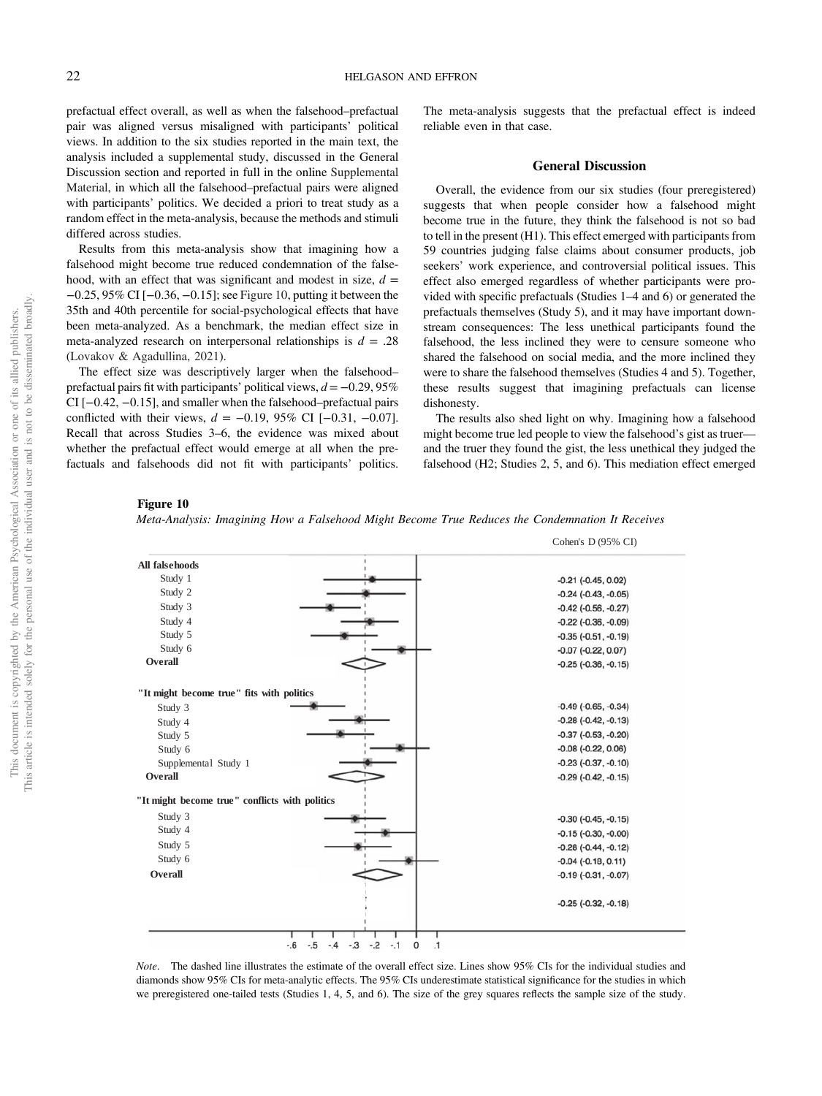prefactual effect overall, as well as when the falsehood–prefactual pair was aligned versus misaligned with participants' political views. In addition to the six studies reported in the main text, the analysis included a supplemental study, discussed in the General Discussion section and reported in full in the online [Supplemental](https://doi.org/10.1037/pspa0000308.supp) [Material,](https://doi.org/10.1037/pspa0000308.supp) in which all the falsehood–prefactual pairs were aligned with participants' politics. We decided a priori to treat study as a random effect in the meta-analysis, because the methods and stimuli differed across studies.

Results from this meta-analysis show that imagining how a falsehood might become true reduced condemnation of the falsehood, with an effect that was significant and modest in size,  $d =$ −0.25, 95% CI [−0.36, −0.15]; see Figure 10, putting it between the 35th and 40th percentile for social-psychological effects that have been meta-analyzed. As a benchmark, the median effect size in meta-analyzed research on interpersonal relationships is  $d = .28$ ([Lovakov & Agadullina, 2021](#page-26-0)).

The effect size was descriptively larger when the falsehood– prefactual pairs fit with participants' political views,  $d = -0.29, 95\%$ CI [−0.42, −0.15], and smaller when the falsehood–prefactual pairs conflicted with their views,  $d = -0.19, 95\%$  CI [-0.31, -0.07]. Recall that across Studies 3–6, the evidence was mixed about whether the prefactual effect would emerge at all when the prefactuals and falsehoods did not fit with participants' politics.

The meta-analysis suggests that the prefactual effect is indeed reliable even in that case.

#### General Discussion

Overall, the evidence from our six studies (four preregistered) suggests that when people consider how a falsehood might become true in the future, they think the falsehood is not so bad to tell in the present (H1). This effect emerged with participants from 59 countries judging false claims about consumer products, job seekers' work experience, and controversial political issues. This effect also emerged regardless of whether participants were provided with specific prefactuals (Studies 1–4 and 6) or generated the prefactuals themselves (Study 5), and it may have important downstream consequences: The less unethical participants found the falsehood, the less inclined they were to censure someone who shared the falsehood on social media, and the more inclined they were to share the falsehood themselves (Studies 4 and 5). Together, these results suggest that imagining prefactuals can license dishonesty.

The results also shed light on why. Imagining how a falsehood might become true led people to view the falsehood's gist as truer and the truer they found the gist, the less unethical they judged the falsehood (H2; Studies 2, 5, and 6). This mediation effect emerged

#### Figure 10



|                                                 | Cohen's D (95% CI)       |
|-------------------------------------------------|--------------------------|
| <b>All falsehoods</b>                           |                          |
| Study 1                                         | $-0.21$ $(-0.45, 0.02)$  |
| Study 2                                         | $-0.24$ $(-0.43, -0.05)$ |
| Study 3                                         | $-0.42$ $(-0.56, -0.27)$ |
| Study 4                                         | $-0.22$ $(-0.36, -0.09)$ |
| Study 5                                         | $-0.35(-0.51,-0.19)$     |
| Study 6                                         | $-0.07$ $(-0.22, 0.07)$  |
| Overall                                         | $-0.25(-0.36,-0.15)$     |
| "It might become true" fits with politics       |                          |
| Study 3                                         | $-0.49$ $(-0.65, -0.34)$ |
| Study 4                                         | $-0.28(-0.42,-0.13)$     |
| Study 5                                         | $-0.37(-0.53,-0.20)$     |
| Study 6                                         | $-0.08$ $(-0.22, 0.06)$  |
| Supplemental Study 1                            | $-0.23$ $(-0.37, -0.10)$ |
| Overall                                         | $-0.29$ $(-0.42, -0.15)$ |
| "It might become true" conflicts with politics  |                          |
| Study 3                                         | $-0.30$ $(-0.45, -0.15)$ |
| Study 4                                         | $-0.15(-0.30,-0.00)$     |
| Study 5                                         | $-0.28$ $(-0.44, -0.12)$ |
| Study 6                                         | $-0.04$ $(-0.18, 0.11)$  |
| Overall                                         | $-0.19(-0.31,-0.07)$     |
|                                                 | $-0.25(-0.32, -0.18)$    |
| $-.3$<br>$-2$<br>$-.1$<br>$-6$<br>$-.5$<br>$-4$ | $\cdot$ 1<br>0           |

Note. The dashed line illustrates the estimate of the overall effect size. Lines show 95% CIs for the individual studies and diamonds show 95% CIs for meta-analytic effects. The 95% CIs underestimate statistical significance for the studies in which we preregistered one-tailed tests (Studies 1, 4, 5, and 6). The size of the grey squares reflects the sample size of the study.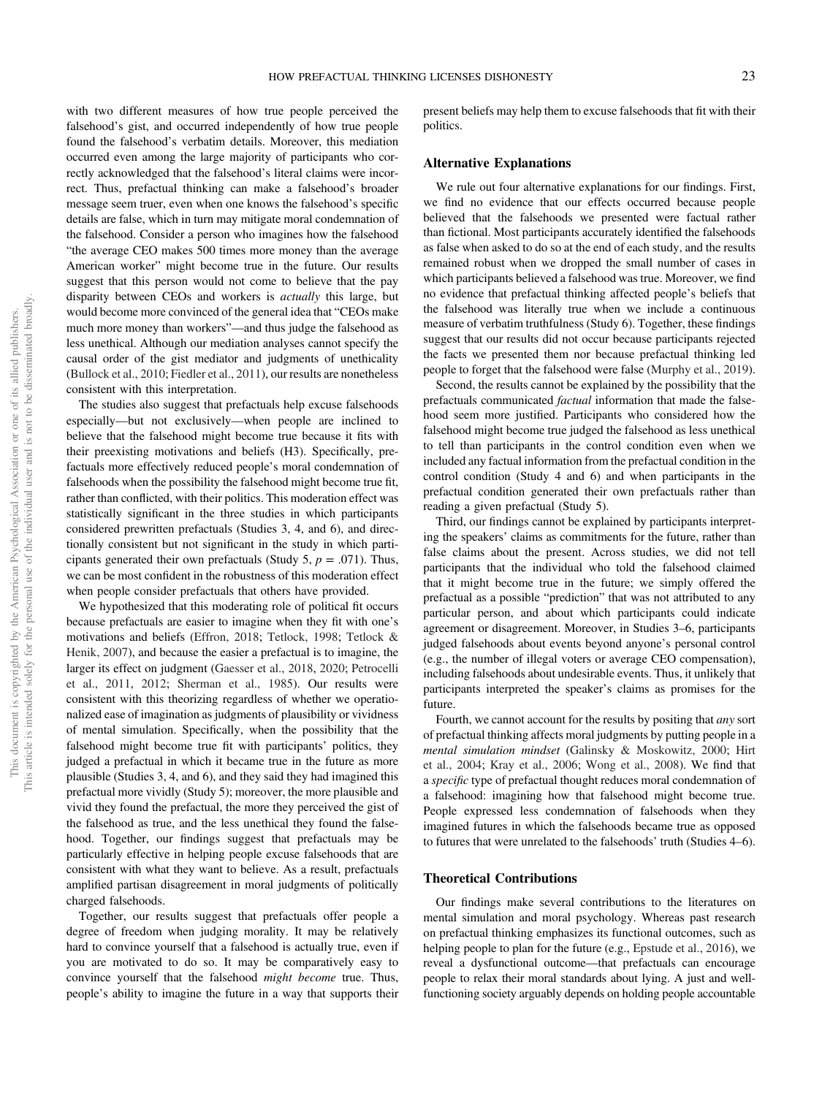with two different measures of how true people perceived the falsehood's gist, and occurred independently of how true people found the falsehood's verbatim details. Moreover, this mediation occurred even among the large majority of participants who correctly acknowledged that the falsehood's literal claims were incorrect. Thus, prefactual thinking can make a falsehood's broader message seem truer, even when one knows the falsehood's specific details are false, which in turn may mitigate moral condemnation of the falsehood. Consider a person who imagines how the falsehood "the average CEO makes 500 times more money than the average American worker" might become true in the future. Our results suggest that this person would not come to believe that the pay disparity between CEOs and workers is actually this large, but would become more convinced of the general idea that "CEOs make much more money than workers"—and thus judge the falsehood as less unethical. Although our mediation analyses cannot specify the causal order of the gist mediator and judgments of unethicality ([Bullock et al., 2010](#page-25-0); [Fiedler et al., 2011\)](#page-25-0), our results are nonetheless consistent with this interpretation.

The studies also suggest that prefactuals help excuse falsehoods especially—but not exclusively—when people are inclined to believe that the falsehood might become true because it fits with their preexisting motivations and beliefs (H3). Specifically, prefactuals more effectively reduced people's moral condemnation of falsehoods when the possibility the falsehood might become true fit, rather than conflicted, with their politics. This moderation effect was statistically significant in the three studies in which participants considered prewritten prefactuals (Studies 3, 4, and 6), and directionally consistent but not significant in the study in which participants generated their own prefactuals (Study 5,  $p = .071$ ). Thus, we can be most confident in the robustness of this moderation effect when people consider prefactuals that others have provided.

We hypothesized that this moderating role of political fit occurs because prefactuals are easier to imagine when they fit with one's motivations and beliefs [\(Effron, 2018](#page-25-0); [Tetlock, 1998](#page-28-0); [Tetlock &](#page-28-0) [Henik, 2007](#page-28-0)), and because the easier a prefactual is to imagine, the larger its effect on judgment [\(Gaesser et al., 2018](#page-25-0), [2020](#page-25-0); [Petrocelli](#page-27-0) [et al., 2011](#page-27-0), [2012](#page-27-0); [Sherman et al., 1985\)](#page-27-0). Our results were consistent with this theorizing regardless of whether we operationalized ease of imagination as judgments of plausibility or vividness of mental simulation. Specifically, when the possibility that the falsehood might become true fit with participants' politics, they judged a prefactual in which it became true in the future as more plausible (Studies 3, 4, and 6), and they said they had imagined this prefactual more vividly (Study 5); moreover, the more plausible and vivid they found the prefactual, the more they perceived the gist of the falsehood as true, and the less unethical they found the falsehood. Together, our findings suggest that prefactuals may be particularly effective in helping people excuse falsehoods that are consistent with what they want to believe. As a result, prefactuals amplified partisan disagreement in moral judgments of politically charged falsehoods.

Together, our results suggest that prefactuals offer people a degree of freedom when judging morality. It may be relatively hard to convince yourself that a falsehood is actually true, even if you are motivated to do so. It may be comparatively easy to convince yourself that the falsehood might become true. Thus, people's ability to imagine the future in a way that supports their

present beliefs may help them to excuse falsehoods that fit with their politics.

## Alternative Explanations

We rule out four alternative explanations for our findings. First, we find no evidence that our effects occurred because people believed that the falsehoods we presented were factual rather than fictional. Most participants accurately identified the falsehoods as false when asked to do so at the end of each study, and the results remained robust when we dropped the small number of cases in which participants believed a falsehood was true. Moreover, we find no evidence that prefactual thinking affected people's beliefs that the falsehood was literally true when we include a continuous measure of verbatim truthfulness (Study 6). Together, these findings suggest that our results did not occur because participants rejected the facts we presented them nor because prefactual thinking led people to forget that the falsehood were false [\(Murphy et al., 2019\)](#page-27-0).

Second, the results cannot be explained by the possibility that the prefactuals communicated factual information that made the falsehood seem more justified. Participants who considered how the falsehood might become true judged the falsehood as less unethical to tell than participants in the control condition even when we included any factual information from the prefactual condition in the control condition (Study 4 and 6) and when participants in the prefactual condition generated their own prefactuals rather than reading a given prefactual (Study 5).

Third, our findings cannot be explained by participants interpreting the speakers' claims as commitments for the future, rather than false claims about the present. Across studies, we did not tell participants that the individual who told the falsehood claimed that it might become true in the future; we simply offered the prefactual as a possible "prediction" that was not attributed to any particular person, and about which participants could indicate agreement or disagreement. Moreover, in Studies 3–6, participants judged falsehoods about events beyond anyone's personal control (e.g., the number of illegal voters or average CEO compensation), including falsehoods about undesirable events. Thus, it unlikely that participants interpreted the speaker's claims as promises for the future.

Fourth, we cannot account for the results by positing that any sort of prefactual thinking affects moral judgments by putting people in a mental simulation mindset ([Galinsky & Moskowitz, 2000;](#page-25-0) [Hirt](#page-26-0) [et al., 2004](#page-26-0); [Kray et al., 2006](#page-26-0); [Wong et al., 2008\)](#page-28-0). We find that a specific type of prefactual thought reduces moral condemnation of a falsehood: imagining how that falsehood might become true. People expressed less condemnation of falsehoods when they imagined futures in which the falsehoods became true as opposed to futures that were unrelated to the falsehoods' truth (Studies 4–6).

## Theoretical Contributions

Our findings make several contributions to the literatures on mental simulation and moral psychology. Whereas past research on prefactual thinking emphasizes its functional outcomes, such as helping people to plan for the future (e.g., [Epstude et al., 2016](#page-25-0)), we reveal a dysfunctional outcome—that prefactuals can encourage people to relax their moral standards about lying. A just and wellfunctioning society arguably depends on holding people accountable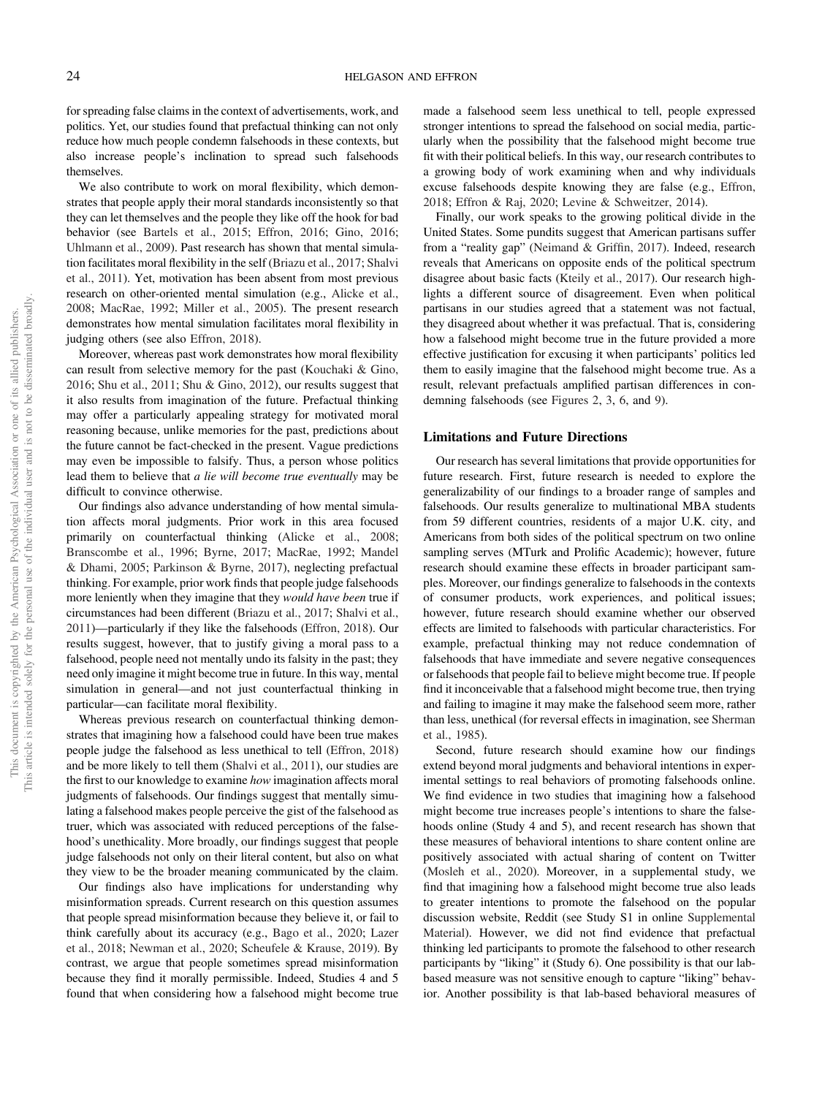for spreading false claims in the context of advertisements, work, and politics. Yet, our studies found that prefactual thinking can not only reduce how much people condemn falsehoods in these contexts, but also increase people's inclination to spread such falsehoods themselves.

We also contribute to work on moral flexibility, which demonstrates that people apply their moral standards inconsistently so that they can let themselves and the people they like off the hook for bad behavior (see [Bartels et al., 2015;](#page-25-0) [Effron, 2016;](#page-25-0) [Gino, 2016;](#page-26-0) [Uhlmann et al., 2009](#page-28-0)). Past research has shown that mental simulation facilitates moral flexibility in the self ([Briazu et al., 2017](#page-25-0); [Shalvi](#page-27-0) [et al., 2011](#page-27-0)). Yet, motivation has been absent from most previous research on other-oriented mental simulation (e.g., [Alicke et al.,](#page-24-0) [2008;](#page-24-0) [MacRae, 1992](#page-26-0); [Miller et al., 2005\)](#page-26-0). The present research demonstrates how mental simulation facilitates moral flexibility in judging others (see also [Effron, 2018\)](#page-25-0).

Moreover, whereas past work demonstrates how moral flexibility can result from selective memory for the past [\(Kouchaki & Gino,](#page-26-0) [2016;](#page-26-0) [Shu et al., 2011](#page-27-0); [Shu & Gino, 2012](#page-27-0)), our results suggest that it also results from imagination of the future. Prefactual thinking may offer a particularly appealing strategy for motivated moral reasoning because, unlike memories for the past, predictions about the future cannot be fact-checked in the present. Vague predictions may even be impossible to falsify. Thus, a person whose politics lead them to believe that a lie will become true eventually may be difficult to convince otherwise.

Our findings also advance understanding of how mental simulation affects moral judgments. Prior work in this area focused primarily on counterfactual thinking ([Alicke et al., 2008;](#page-24-0) [Branscombe et al., 1996](#page-25-0); [Byrne, 2017](#page-25-0); [MacRae, 1992](#page-26-0); [Mandel](#page-26-0) [& Dhami, 2005](#page-26-0); [Parkinson & Byrne, 2017](#page-27-0)), neglecting prefactual thinking. For example, prior work finds that people judge falsehoods more leniently when they imagine that they would have been true if circumstances had been different [\(Briazu et al., 2017;](#page-25-0) [Shalvi et al.,](#page-27-0) [2011\)](#page-27-0)—particularly if they like the falsehoods [\(Effron, 2018](#page-25-0)). Our results suggest, however, that to justify giving a moral pass to a falsehood, people need not mentally undo its falsity in the past; they need only imagine it might become true in future. In this way, mental simulation in general—and not just counterfactual thinking in particular—can facilitate moral flexibility.

Whereas previous research on counterfactual thinking demonstrates that imagining how a falsehood could have been true makes people judge the falsehood as less unethical to tell ([Effron, 2018](#page-25-0)) and be more likely to tell them [\(Shalvi et al., 2011](#page-27-0)), our studies are the first to our knowledge to examine how imagination affects moral judgments of falsehoods. Our findings suggest that mentally simulating a falsehood makes people perceive the gist of the falsehood as truer, which was associated with reduced perceptions of the falsehood's unethicality. More broadly, our findings suggest that people judge falsehoods not only on their literal content, but also on what they view to be the broader meaning communicated by the claim.

Our findings also have implications for understanding why misinformation spreads. Current research on this question assumes that people spread misinformation because they believe it, or fail to think carefully about its accuracy (e.g., [Bago et al., 2020;](#page-24-0) [Lazer](#page-26-0) [et al., 2018;](#page-26-0) [Newman et al., 2020](#page-27-0); [Scheufele & Krause, 2019\)](#page-27-0). By contrast, we argue that people sometimes spread misinformation because they find it morally permissible. Indeed, Studies 4 and 5 found that when considering how a falsehood might become true made a falsehood seem less unethical to tell, people expressed stronger intentions to spread the falsehood on social media, particularly when the possibility that the falsehood might become true fit with their political beliefs. In this way, our research contributes to a growing body of work examining when and why individuals excuse falsehoods despite knowing they are false (e.g., [Effron,](#page-25-0) [2018;](#page-25-0) [Effron & Raj, 2020;](#page-25-0) [Levine & Schweitzer, 2014\)](#page-26-0).

Finally, our work speaks to the growing political divide in the United States. Some pundits suggest that American partisans suffer from a "reality gap" ([Neimand & Grif](#page-27-0)fin, 2017). Indeed, research reveals that Americans on opposite ends of the political spectrum disagree about basic facts [\(Kteily et al., 2017](#page-26-0)). Our research highlights a different source of disagreement. Even when political partisans in our studies agreed that a statement was not factual, they disagreed about whether it was prefactual. That is, considering how a falsehood might become true in the future provided a more effective justification for excusing it when participants' politics led them to easily imagine that the falsehood might become true. As a result, relevant prefactuals amplified partisan differences in condemning falsehoods (see [Figures 2,](#page-8-0) [3](#page-11-0), [6](#page-16-0), and [9\)](#page-20-0).

#### Limitations and Future Directions

Our research has several limitations that provide opportunities for future research. First, future research is needed to explore the generalizability of our findings to a broader range of samples and falsehoods. Our results generalize to multinational MBA students from 59 different countries, residents of a major U.K. city, and Americans from both sides of the political spectrum on two online sampling serves (MTurk and Prolific Academic); however, future research should examine these effects in broader participant samples. Moreover, our findings generalize to falsehoods in the contexts of consumer products, work experiences, and political issues; however, future research should examine whether our observed effects are limited to falsehoods with particular characteristics. For example, prefactual thinking may not reduce condemnation of falsehoods that have immediate and severe negative consequences or falsehoods that people fail to believe might become true. If people find it inconceivable that a falsehood might become true, then trying and failing to imagine it may make the falsehood seem more, rather than less, unethical (for reversal effects in imagination, see [Sherman](#page-27-0) [et al., 1985](#page-27-0)).

Second, future research should examine how our findings extend beyond moral judgments and behavioral intentions in experimental settings to real behaviors of promoting falsehoods online. We find evidence in two studies that imagining how a falsehood might become true increases people's intentions to share the falsehoods online (Study 4 and 5), and recent research has shown that these measures of behavioral intentions to share content online are positively associated with actual sharing of content on Twitter ([Mosleh et al., 2020\)](#page-27-0). Moreover, in a supplemental study, we find that imagining how a falsehood might become true also leads to greater intentions to promote the falsehood on the popular discussion website, Reddit (see Study S1 in online [Supplemental](https://doi.org/10.1037/pspa0000308.supp) [Material\)](https://doi.org/10.1037/pspa0000308.supp). However, we did not find evidence that prefactual thinking led participants to promote the falsehood to other research participants by "liking" it (Study 6). One possibility is that our labbased measure was not sensitive enough to capture "liking" behavior. Another possibility is that lab-based behavioral measures of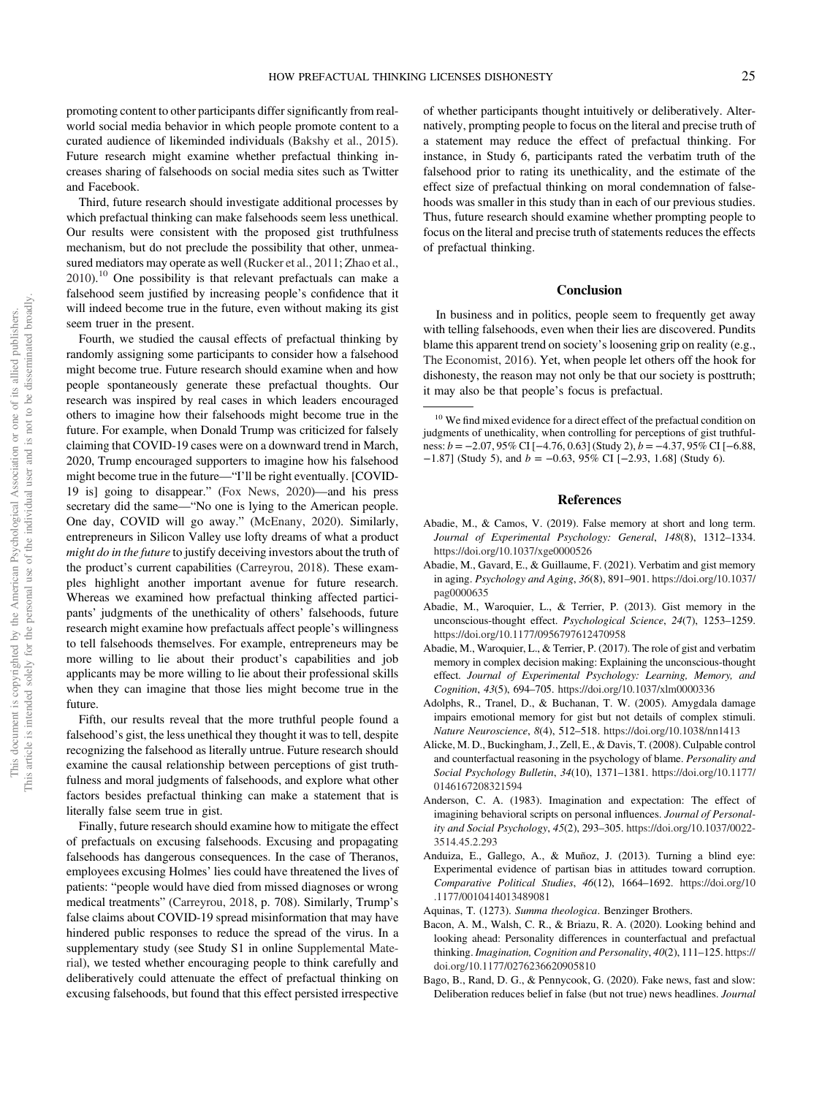<span id="page-24-0"></span>promoting content to other participants differ significantly from realworld social media behavior in which people promote content to a curated audience of likeminded individuals [\(Bakshy et al., 2015\)](#page-25-0). Future research might examine whether prefactual thinking increases sharing of falsehoods on social media sites such as Twitter and Facebook.

Third, future research should investigate additional processes by which prefactual thinking can make falsehoods seem less unethical. Our results were consistent with the proposed gist truthfulness mechanism, but do not preclude the possibility that other, unmeasured mediators may operate as well [\(Rucker et al., 2011](#page-27-0); [Zhao et al.,](#page-28-0) [2010\)](#page-28-0).<sup>10</sup> One possibility is that relevant prefactuals can make a falsehood seem justified by increasing people's confidence that it will indeed become true in the future, even without making its gist seem truer in the present.

Fourth, we studied the causal effects of prefactual thinking by randomly assigning some participants to consider how a falsehood might become true. Future research should examine when and how people spontaneously generate these prefactual thoughts. Our research was inspired by real cases in which leaders encouraged others to imagine how their falsehoods might become true in the future. For example, when Donald Trump was criticized for falsely claiming that COVID-19 cases were on a downward trend in March, 2020, Trump encouraged supporters to imagine how his falsehood might become true in the future—"I'll be right eventually. [COVID-19 is] going to disappear." ([Fox News, 2020\)](#page-25-0)—and his press secretary did the same—"No one is lying to the American people. One day, COVID will go away." ([McEnany, 2020](#page-26-0)). Similarly, entrepreneurs in Silicon Valley use lofty dreams of what a product might do in the future to justify deceiving investors about the truth of the product's current capabilities ([Carreyrou, 2018](#page-25-0)). These examples highlight another important avenue for future research. Whereas we examined how prefactual thinking affected participants' judgments of the unethicality of others' falsehoods, future research might examine how prefactuals affect people's willingness to tell falsehoods themselves. For example, entrepreneurs may be more willing to lie about their product's capabilities and job applicants may be more willing to lie about their professional skills when they can imagine that those lies might become true in the future.

Fifth, our results reveal that the more truthful people found a falsehood's gist, the less unethical they thought it was to tell, despite recognizing the falsehood as literally untrue. Future research should examine the causal relationship between perceptions of gist truthfulness and moral judgments of falsehoods, and explore what other factors besides prefactual thinking can make a statement that is literally false seem true in gist.

Finally, future research should examine how to mitigate the effect of prefactuals on excusing falsehoods. Excusing and propagating falsehoods has dangerous consequences. In the case of Theranos, employees excusing Holmes' lies could have threatened the lives of patients: "people would have died from missed diagnoses or wrong medical treatments" ([Carreyrou, 2018,](#page-25-0) p. 708). Similarly, Trump's false claims about COVID-19 spread misinformation that may have hindered public responses to reduce the spread of the virus. In a supplementary study (see Study S1 in online [Supplemental Mate](https://doi.org/10.1037/pspa0000308.supp)[rial\)](https://doi.org/10.1037/pspa0000308.supp), we tested whether encouraging people to think carefully and deliberatively could attenuate the effect of prefactual thinking on excusing falsehoods, but found that this effect persisted irrespective

of whether participants thought intuitively or deliberatively. Alternatively, prompting people to focus on the literal and precise truth of a statement may reduce the effect of prefactual thinking. For instance, in Study 6, participants rated the verbatim truth of the falsehood prior to rating its unethicality, and the estimate of the effect size of prefactual thinking on moral condemnation of falsehoods was smaller in this study than in each of our previous studies. Thus, future research should examine whether prompting people to focus on the literal and precise truth of statements reduces the effects of prefactual thinking.

#### **Conclusion**

In business and in politics, people seem to frequently get away with telling falsehoods, even when their lies are discovered. Pundits blame this apparent trend on society's loosening grip on reality (e.g., [The Economist, 2016\)](#page-28-0). Yet, when people let others off the hook for dishonesty, the reason may not only be that our society is posttruth; it may also be that people's focus is prefactual.

<sup>10</sup> We find mixed evidence for a direct effect of the prefactual condition on judgments of unethicality, when controlling for perceptions of gist truthfulness: b = −2.07, 95% CI [−4.76, 0.63] (Study 2), b = −4.37, 95% CI [−6.88,  $-1.87$ ] (Study 5), and  $b = -0.63$ , 95% CI [ $-2.93$ , 1.68] (Study 6).

## References

- Abadie, M., & Camos, V. (2019). False memory at short and long term. Journal of Experimental Psychology: General, 148(8), 1312–1334. <https://doi.org/10.1037/xge0000526>
- Abadie, M., Gavard, E., & Guillaume, F. (2021). Verbatim and gist memory in aging. Psychology and Aging, 36(8), 891–901. [https://doi.org/10.1037/](https://doi.org/10.1037/pag0000635) [pag0000635](https://doi.org/10.1037/pag0000635)
- Abadie, M., Waroquier, L., & Terrier, P. (2013). Gist memory in the unconscious-thought effect. Psychological Science, 24(7), 1253–1259. <https://doi.org/10.1177/0956797612470958>
- Abadie, M., Waroquier, L., & Terrier, P. (2017). The role of gist and verbatim memory in complex decision making: Explaining the unconscious-thought effect. Journal of Experimental Psychology: Learning, Memory, and Cognition, 43(5), 694–705. <https://doi.org/10.1037/xlm0000336>
- Adolphs, R., Tranel, D., & Buchanan, T. W. (2005). Amygdala damage impairs emotional memory for gist but not details of complex stimuli. Nature Neuroscience, 8(4), 512–518. <https://doi.org/10.1038/nn1413>
- Alicke, M. D., Buckingham, J., Zell, E., & Davis, T. (2008). Culpable control and counterfactual reasoning in the psychology of blame. Personality and Social Psychology Bulletin, 34(10), 1371–1381. [https://doi.org/10.1177/](https://doi.org/10.1177/0146167208321594) [0146167208321594](https://doi.org/10.1177/0146167208321594)
- Anderson, C. A. (1983). Imagination and expectation: The effect of imagining behavioral scripts on personal influences. Journal of Personality and Social Psychology, 45(2), 293–305. [https://doi.org/10.1037/0022-](https://doi.org/10.1037/0022-3514.45.2.293) [3514.45.2.293](https://doi.org/10.1037/0022-3514.45.2.293)
- Anduiza, E., Gallego, A., & Muñoz, J. (2013). Turning a blind eye: Experimental evidence of partisan bias in attitudes toward corruption. Comparative Political Studies, 46(12), 1664–1692. [https://doi.org/10](https://doi.org/10.1177/0010414013489081) [.1177/0010414013489081](https://doi.org/10.1177/0010414013489081)
- Aquinas, T. (1273). Summa theologica. Benzinger Brothers.
- Bacon, A. M., Walsh, C. R., & Briazu, R. A. (2020). Looking behind and looking ahead: Personality differences in counterfactual and prefactual thinking. Imagination, Cognition and Personality, 40(2), 111–125. [https://](https://doi.org/10.1177/0276236620905810) [doi.org/10.1177/0276236620905810](https://doi.org/10.1177/0276236620905810)
- Bago, B., Rand, D. G., & Pennycook, G. (2020). Fake news, fast and slow: Deliberation reduces belief in false (but not true) news headlines. Journal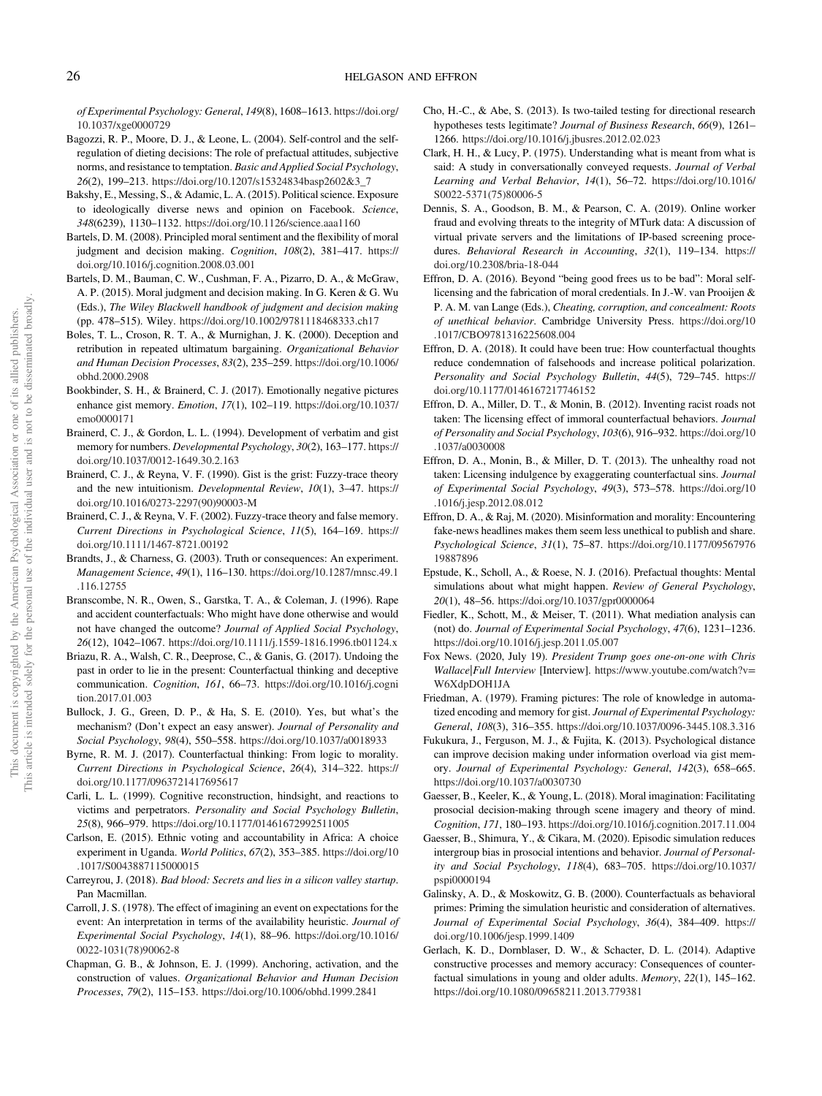<span id="page-25-0"></span>of Experimental Psychology: General, 149(8), 1608–1613. [https://doi.org/](https://doi.org/10.1037/xge0000729) [10.1037/xge0000729](https://doi.org/10.1037/xge0000729)

- Bagozzi, R. P., Moore, D. J., & Leone, L. (2004). Self-control and the selfregulation of dieting decisions: The role of prefactual attitudes, subjective norms, and resistance to temptation. Basic and Applied Social Psychology, 26(2), 199–213. [https://doi.org/10.1207/s15324834basp2602&3\\_7](https://doi.org/10.1207/s15324834basp2602&3_7)
- Bakshy, E., Messing, S., & Adamic, L. A. (2015). Political science. Exposure to ideologically diverse news and opinion on Facebook. Science, 348(6239), 1130–1132. <https://doi.org/10.1126/science.aaa1160>
- Bartels, D. M. (2008). Principled moral sentiment and the flexibility of moral judgment and decision making. Cognition, 108(2), 381–417. [https://](https://doi.org/10.1016/j.cognition.2008.03.001) [doi.org/10.1016/j.cognition.2008.03.001](https://doi.org/10.1016/j.cognition.2008.03.001)
- Bartels, D. M., Bauman, C. W., Cushman, F. A., Pizarro, D. A., & McGraw, A. P. (2015). Moral judgment and decision making. In G. Keren & G. Wu (Eds.), The Wiley Blackwell handbook of judgment and decision making (pp. 478–515). Wiley. <https://doi.org/10.1002/9781118468333.ch17>
- Boles, T. L., Croson, R. T. A., & Murnighan, J. K. (2000). Deception and retribution in repeated ultimatum bargaining. Organizational Behavior and Human Decision Processes, 83(2), 235–259. [https://doi.org/10.1006/](https://doi.org/10.1006/obhd.2000.2908) [obhd.2000.2908](https://doi.org/10.1006/obhd.2000.2908)
- Bookbinder, S. H., & Brainerd, C. J. (2017). Emotionally negative pictures enhance gist memory. Emotion, 17(1), 102–119. [https://doi.org/10.1037/](https://doi.org/10.1037/emo0000171) [emo0000171](https://doi.org/10.1037/emo0000171)
- Brainerd, C. J., & Gordon, L. L. (1994). Development of verbatim and gist memory for numbers. Developmental Psychology, 30(2), 163–177. [https://](https://doi.org/10.1037/0012-1649.30.2.163) [doi.org/10.1037/0012-1649.30.2.163](https://doi.org/10.1037/0012-1649.30.2.163)
- Brainerd, C. J., & Reyna, V. F. (1990). Gist is the grist: Fuzzy-trace theory and the new intuitionism. Developmental Review, 10(1), 3–47. [https://](https://doi.org/10.1016/0273-2297(90)90003-M) [doi.org/10.1016/0273-2297\(90\)90003-M](https://doi.org/10.1016/0273-2297(90)90003-M)
- Brainerd, C. J., & Reyna, V. F. (2002). Fuzzy-trace theory and false memory. Current Directions in Psychological Science, 11(5), 164–169. [https://](https://doi.org/10.1111/1467-8721.00192) [doi.org/10.1111/1467-8721.00192](https://doi.org/10.1111/1467-8721.00192)
- Brandts, J., & Charness, G. (2003). Truth or consequences: An experiment. Management Science, 49(1), 116–130. [https://doi.org/10.1287/mnsc.49.1](https://doi.org/10.1287/mnsc.49.1.116.12755) [.116.12755](https://doi.org/10.1287/mnsc.49.1.116.12755)
- Branscombe, N. R., Owen, S., Garstka, T. A., & Coleman, J. (1996). Rape and accident counterfactuals: Who might have done otherwise and would not have changed the outcome? Journal of Applied Social Psychology, 26(12), 1042–1067. <https://doi.org/10.1111/j.1559-1816.1996.tb01124.x>
- Briazu, R. A., Walsh, C. R., Deeprose, C., & Ganis, G. (2017). Undoing the past in order to lie in the present: Counterfactual thinking and deceptive communication. Cognition, 161, 66–73. [https://doi.org/10.1016/j.cogni](https://doi.org/10.1016/j.cognition.2017.01.003) [tion.2017.01.003](https://doi.org/10.1016/j.cognition.2017.01.003)
- Bullock, J. G., Green, D. P., & Ha, S. E. (2010). Yes, but what's the mechanism? (Don't expect an easy answer). Journal of Personality and Social Psychology, 98(4), 550–558. <https://doi.org/10.1037/a0018933>
- Byrne, R. M. J. (2017). Counterfactual thinking: From logic to morality. Current Directions in Psychological Science, 26(4), 314–322. [https://](https://doi.org/10.1177/0963721417695617) [doi.org/10.1177/0963721417695617](https://doi.org/10.1177/0963721417695617)
- Carli, L. L. (1999). Cognitive reconstruction, hindsight, and reactions to victims and perpetrators. Personality and Social Psychology Bulletin, 25(8), 966–979. <https://doi.org/10.1177/01461672992511005>
- Carlson, E. (2015). Ethnic voting and accountability in Africa: A choice experiment in Uganda. World Politics, 67(2), 353–385. [https://doi.org/10](https://doi.org/10.1017/S0043887115000015) [.1017/S0043887115000015](https://doi.org/10.1017/S0043887115000015)
- Carreyrou, J. (2018). Bad blood: Secrets and lies in a silicon valley startup. Pan Macmillan.
- Carroll, J. S. (1978). The effect of imagining an event on expectations for the event: An interpretation in terms of the availability heuristic. Journal of Experimental Social Psychology, 14(1), 88–96. [https://doi.org/10.1016/](https://doi.org/10.1016/0022-1031(78)90062-8) [0022-1031\(78\)90062-8](https://doi.org/10.1016/0022-1031(78)90062-8)
- Chapman, G. B., & Johnson, E. J. (1999). Anchoring, activation, and the construction of values. Organizational Behavior and Human Decision Processes, 79(2), 115–153. <https://doi.org/10.1006/obhd.1999.2841>
- Cho, H.-C., & Abe, S. (2013). Is two-tailed testing for directional research hypotheses tests legitimate? Journal of Business Research, 66(9), 1261– 1266. <https://doi.org/10.1016/j.jbusres.2012.02.023>
- Clark, H. H., & Lucy, P. (1975). Understanding what is meant from what is said: A study in conversationally conveyed requests. Journal of Verbal Learning and Verbal Behavior, 14(1), 56–72. [https://doi.org/10.1016/](https://doi.org/10.1016/S0022-5371(75)80006-5) [S0022-5371\(75\)80006-5](https://doi.org/10.1016/S0022-5371(75)80006-5)
- Dennis, S. A., Goodson, B. M., & Pearson, C. A. (2019). Online worker fraud and evolving threats to the integrity of MTurk data: A discussion of virtual private servers and the limitations of IP-based screening procedures. Behavioral Research in Accounting, 32(1), 119-134. [https://](https://doi.org/10.2308/bria-18-044) [doi.org/10.2308/bria-18-044](https://doi.org/10.2308/bria-18-044)
- Effron, D. A. (2016). Beyond "being good frees us to be bad": Moral selflicensing and the fabrication of moral credentials. In J.-W. van Prooijen & P. A. M. van Lange (Eds.), Cheating, corruption, and concealment: Roots of unethical behavior. Cambridge University Press. [https://doi.org/10](https://doi.org/10.1017/CBO9781316225608.004) [.1017/CBO9781316225608.004](https://doi.org/10.1017/CBO9781316225608.004)
- Effron, D. A. (2018). It could have been true: How counterfactual thoughts reduce condemnation of falsehoods and increase political polarization. Personality and Social Psychology Bulletin, 44(5), 729–745. [https://](https://doi.org/10.1177/0146167217746152) [doi.org/10.1177/0146167217746152](https://doi.org/10.1177/0146167217746152)
- Effron, D. A., Miller, D. T., & Monin, B. (2012). Inventing racist roads not taken: The licensing effect of immoral counterfactual behaviors. Journal of Personality and Social Psychology, 103(6), 916–932. [https://doi.org/10](https://doi.org/10.1037/a0030008) [.1037/a0030008](https://doi.org/10.1037/a0030008)
- Effron, D. A., Monin, B., & Miller, D. T. (2013). The unhealthy road not taken: Licensing indulgence by exaggerating counterfactual sins. Journal of Experimental Social Psychology, 49(3), 573–578. [https://doi.org/10](https://doi.org/10.1016/j.jesp.2012.08.012) [.1016/j.jesp.2012.08.012](https://doi.org/10.1016/j.jesp.2012.08.012)
- Effron, D. A., & Raj, M. (2020). Misinformation and morality: Encountering fake-news headlines makes them seem less unethical to publish and share. Psychological Science, 31(1), 75–87. [https://doi.org/10.1177/09567976](https://doi.org/10.1177/0956797619887896) [19887896](https://doi.org/10.1177/0956797619887896)
- Epstude, K., Scholl, A., & Roese, N. J. (2016). Prefactual thoughts: Mental simulations about what might happen. Review of General Psychology, 20(1), 48–56. <https://doi.org/10.1037/gpr0000064>
- Fiedler, K., Schott, M., & Meiser, T. (2011). What mediation analysis can (not) do. Journal of Experimental Social Psychology, 47(6), 1231–1236. <https://doi.org/10.1016/j.jesp.2011.05.007>
- Fox News. (2020, July 19). President Trump goes one-on-one with Chris Wallace|Full Interview [Interview]. [https://www.youtube.com/watch?v](https://www.youtube.com/watch?v=W6XdpDOH1JA)= [W6XdpDOH1JA](https://www.youtube.com/watch?v=W6XdpDOH1JA)
- Friedman, A. (1979). Framing pictures: The role of knowledge in automatized encoding and memory for gist. Journal of Experimental Psychology: General, 108(3), 316–355. <https://doi.org/10.1037/0096-3445.108.3.316>
- Fukukura, J., Ferguson, M. J., & Fujita, K. (2013). Psychological distance can improve decision making under information overload via gist memory. Journal of Experimental Psychology: General, 142(3), 658–665. <https://doi.org/10.1037/a0030730>
- Gaesser, B., Keeler, K., & Young, L. (2018). Moral imagination: Facilitating prosocial decision-making through scene imagery and theory of mind. Cognition, 171, 180–193. <https://doi.org/10.1016/j.cognition.2017.11.004>
- Gaesser, B., Shimura, Y., & Cikara, M. (2020). Episodic simulation reduces intergroup bias in prosocial intentions and behavior. Journal of Personality and Social Psychology, 118(4), 683–705. [https://doi.org/10.1037/](https://doi.org/10.1037/pspi0000194) [pspi0000194](https://doi.org/10.1037/pspi0000194)
- Galinsky, A. D., & Moskowitz, G. B. (2000). Counterfactuals as behavioral primes: Priming the simulation heuristic and consideration of alternatives. Journal of Experimental Social Psychology, 36(4), 384–409. [https://](https://doi.org/10.1006/jesp.1999.1409) [doi.org/10.1006/jesp.1999.1409](https://doi.org/10.1006/jesp.1999.1409)
- Gerlach, K. D., Dornblaser, D. W., & Schacter, D. L. (2014). Adaptive constructive processes and memory accuracy: Consequences of counterfactual simulations in young and older adults. Memory, 22(1), 145–162. <https://doi.org/10.1080/09658211.2013.779381>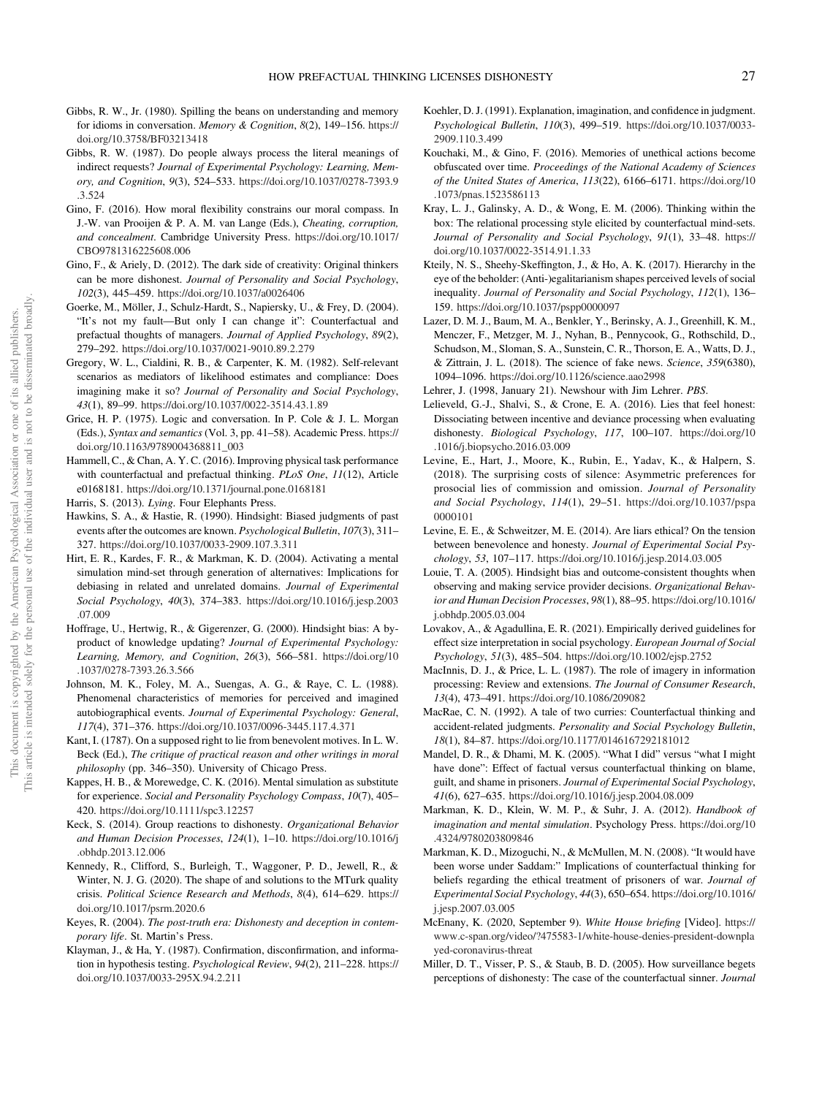- <span id="page-26-0"></span>Gibbs, R. W., Jr. (1980). Spilling the beans on understanding and memory for idioms in conversation. Memory & Cognition, 8(2), 149–156. [https://](https://doi.org/10.3758/BF03213418) [doi.org/10.3758/BF03213418](https://doi.org/10.3758/BF03213418)
- Gibbs, R. W. (1987). Do people always process the literal meanings of indirect requests? Journal of Experimental Psychology: Learning, Memory, and Cognition, 9(3), 524–533. [https://doi.org/10.1037/0278-7393.9](https://doi.org/10.1037/0278-7393.9.3.524) [.3.524](https://doi.org/10.1037/0278-7393.9.3.524)
- Gino, F. (2016). How moral flexibility constrains our moral compass. In J.-W. van Prooijen & P. A. M. van Lange (Eds.), Cheating, corruption, and concealment. Cambridge University Press. [https://doi.org/10.1017/](https://doi.org/10.1017/CBO9781316225608.006) [CBO9781316225608.006](https://doi.org/10.1017/CBO9781316225608.006)
- Gino, F., & Ariely, D. (2012). The dark side of creativity: Original thinkers can be more dishonest. Journal of Personality and Social Psychology, 102(3), 445–459. <https://doi.org/10.1037/a0026406>
- Goerke, M., Möller, J., Schulz-Hardt, S., Napiersky, U., & Frey, D. (2004). "It's not my fault—But only I can change it": Counterfactual and prefactual thoughts of managers. Journal of Applied Psychology, 89(2), 279–292. <https://doi.org/10.1037/0021-9010.89.2.279>
- Gregory, W. L., Cialdini, R. B., & Carpenter, K. M. (1982). Self-relevant scenarios as mediators of likelihood estimates and compliance: Does imagining make it so? Journal of Personality and Social Psychology, 43(1), 89–99. <https://doi.org/10.1037/0022-3514.43.1.89>
- Grice, H. P. (1975). Logic and conversation. In P. Cole & J. L. Morgan (Eds.), Syntax and semantics (Vol. 3, pp. 41–58). Academic Press. [https://](https://doi.org/10.1163/9789004368811_003) [doi.org/10.1163/9789004368811\\_003](https://doi.org/10.1163/9789004368811_003)
- Hammell, C., & Chan, A. Y. C. (2016). Improving physical task performance with counterfactual and prefactual thinking. PLoS One, 11(12), Article e0168181. <https://doi.org/10.1371/journal.pone.0168181>
- Harris, S. (2013). Lying. Four Elephants Press.
- Hawkins, S. A., & Hastie, R. (1990). Hindsight: Biased judgments of past events after the outcomes are known. Psychological Bulletin, 107(3), 311– 327. <https://doi.org/10.1037/0033-2909.107.3.311>
- Hirt, E. R., Kardes, F. R., & Markman, K. D. (2004). Activating a mental simulation mind-set through generation of alternatives: Implications for debiasing in related and unrelated domains. Journal of Experimental Social Psychology, 40(3), 374–383. [https://doi.org/10.1016/j.jesp.2003](https://doi.org/10.1016/j.jesp.2003.07.009) [.07.009](https://doi.org/10.1016/j.jesp.2003.07.009)
- Hoffrage, U., Hertwig, R., & Gigerenzer, G. (2000). Hindsight bias: A byproduct of knowledge updating? Journal of Experimental Psychology: Learning, Memory, and Cognition, 26(3), 566–581. [https://doi.org/10](https://doi.org/10.1037/0278-7393.26.3.566) [.1037/0278-7393.26.3.566](https://doi.org/10.1037/0278-7393.26.3.566)
- Johnson, M. K., Foley, M. A., Suengas, A. G., & Raye, C. L. (1988). Phenomenal characteristics of memories for perceived and imagined autobiographical events. Journal of Experimental Psychology: General, 117(4), 371–376. <https://doi.org/10.1037/0096-3445.117.4.371>
- Kant, I. (1787). On a supposed right to lie from benevolent motives. In L. W. Beck (Ed.), The critique of practical reason and other writings in moral philosophy (pp. 346–350). University of Chicago Press.
- Kappes, H. B., & Morewedge, C. K. (2016). Mental simulation as substitute for experience. Social and Personality Psychology Compass, 10(7), 405– 420. <https://doi.org/10.1111/spc3.12257>
- Keck, S. (2014). Group reactions to dishonesty. Organizational Behavior and Human Decision Processes, 124(1), 1–10. [https://doi.org/10.1016/j](https://doi.org/10.1016/j.obhdp.2013.12.006) [.obhdp.2013.12.006](https://doi.org/10.1016/j.obhdp.2013.12.006)
- Kennedy, R., Clifford, S., Burleigh, T., Waggoner, P. D., Jewell, R., & Winter, N. J. G. (2020). The shape of and solutions to the MTurk quality crisis. Political Science Research and Methods, 8(4), 614–629. [https://](https://doi.org/10.1017/psrm.2020.6) [doi.org/10.1017/psrm.2020.6](https://doi.org/10.1017/psrm.2020.6)
- Keyes, R. (2004). The post-truth era: Dishonesty and deception in contemporary life. St. Martin's Press.
- Klayman, J., & Ha, Y. (1987). Confirmation, disconfirmation, and information in hypothesis testing. Psychological Review, 94(2), 211–228. [https://](https://doi.org/10.1037/0033-295X.94.2.211) [doi.org/10.1037/0033-295X.94.2.211](https://doi.org/10.1037/0033-295X.94.2.211)
- Koehler, D. J. (1991). Explanation, imagination, and confidence in judgment. Psychological Bulletin, 110(3), 499–519. [https://doi.org/10.1037/0033-](https://doi.org/10.1037/0033-2909.110.3.499) [2909.110.3.499](https://doi.org/10.1037/0033-2909.110.3.499)
- Kouchaki, M., & Gino, F. (2016). Memories of unethical actions become obfuscated over time. Proceedings of the National Academy of Sciences of the United States of America, 113(22), 6166–6171. [https://doi.org/10](https://doi.org/10.1073/pnas.1523586113) [.1073/pnas.1523586113](https://doi.org/10.1073/pnas.1523586113)
- Kray, L. J., Galinsky, A. D., & Wong, E. M. (2006). Thinking within the box: The relational processing style elicited by counterfactual mind-sets. Journal of Personality and Social Psychology, 91(1), 33–48. [https://](https://doi.org/10.1037/0022-3514.91.1.33) [doi.org/10.1037/0022-3514.91.1.33](https://doi.org/10.1037/0022-3514.91.1.33)
- Kteily, N. S., Sheehy-Skeffington, J., & Ho, A. K. (2017). Hierarchy in the eye of the beholder: (Anti-)egalitarianism shapes perceived levels of social inequality. Journal of Personality and Social Psychology, 112(1), 136– 159. <https://doi.org/10.1037/pspp0000097>
- Lazer, D. M. J., Baum, M. A., Benkler, Y., Berinsky, A. J., Greenhill, K. M., Menczer, F., Metzger, M. J., Nyhan, B., Pennycook, G., Rothschild, D., Schudson, M., Sloman, S. A., Sunstein, C. R., Thorson, E. A., Watts, D. J., & Zittrain, J. L. (2018). The science of fake news. Science, 359(6380), 1094–1096. <https://doi.org/10.1126/science.aao2998>
- Lehrer, J. (1998, January 21). Newshour with Jim Lehrer. PBS.
- Lelieveld, G.-J., Shalvi, S., & Crone, E. A. (2016). Lies that feel honest: Dissociating between incentive and deviance processing when evaluating dishonesty. Biological Psychology, 117, 100–107. [https://doi.org/10](https://doi.org/10.1016/j.biopsycho.2016.03.009) [.1016/j.biopsycho.2016.03.009](https://doi.org/10.1016/j.biopsycho.2016.03.009)
- Levine, E., Hart, J., Moore, K., Rubin, E., Yadav, K., & Halpern, S. (2018). The surprising costs of silence: Asymmetric preferences for prosocial lies of commission and omission. Journal of Personality and Social Psychology, 114(1), 29–51. [https://doi.org/10.1037/pspa](https://doi.org/10.1037/pspa0000101) [0000101](https://doi.org/10.1037/pspa0000101)
- Levine, E. E., & Schweitzer, M. E. (2014). Are liars ethical? On the tension between benevolence and honesty. Journal of Experimental Social Psychology, 53, 107–117. <https://doi.org/10.1016/j.jesp.2014.03.005>
- Louie, T. A. (2005). Hindsight bias and outcome-consistent thoughts when observing and making service provider decisions. Organizational Behavior and Human Decision Processes, 98(1), 88–95. [https://doi.org/10.1016/](https://doi.org/10.1016/j.obhdp.2005.03.004) [j.obhdp.2005.03.004](https://doi.org/10.1016/j.obhdp.2005.03.004)
- Lovakov, A., & Agadullina, E. R. (2021). Empirically derived guidelines for effect size interpretation in social psychology. European Journal of Social Psychology, 51(3), 485–504. <https://doi.org/10.1002/ejsp.2752>
- MacInnis, D. J., & Price, L. L. (1987). The role of imagery in information processing: Review and extensions. The Journal of Consumer Research, 13(4), 473–491. <https://doi.org/10.1086/209082>
- MacRae, C. N. (1992). A tale of two curries: Counterfactual thinking and accident-related judgments. Personality and Social Psychology Bulletin, 18(1), 84–87. <https://doi.org/10.1177/0146167292181012>
- Mandel, D. R., & Dhami, M. K. (2005). "What I did" versus "what I might have done": Effect of factual versus counterfactual thinking on blame, guilt, and shame in prisoners. Journal of Experimental Social Psychology, 41(6), 627–635. <https://doi.org/10.1016/j.jesp.2004.08.009>
- Markman, K. D., Klein, W. M. P., & Suhr, J. A. (2012). Handbook of imagination and mental simulation. Psychology Press. [https://doi.org/10](https://doi.org/10.4324/9780203809846) [.4324/9780203809846](https://doi.org/10.4324/9780203809846)
- Markman, K. D., Mizoguchi, N., & McMullen, M. N. (2008). "It would have been worse under Saddam:" Implications of counterfactual thinking for beliefs regarding the ethical treatment of prisoners of war. Journal of Experimental Social Psychology, 44(3), 650–654. [https://doi.org/10.1016/](https://doi.org/10.1016/j.jesp.2007.03.005) [j.jesp.2007.03.005](https://doi.org/10.1016/j.jesp.2007.03.005)
- McEnany, K. (2020, September 9). White House briefing [Video]. [https://](https://www.c-span.org/video/?475583-1/white-house-denies-president-downplayed-coronavirus-threat) [www.c-span.org/video/?475583-1/white-house-denies-president-downpla](https://www.c-span.org/video/?475583-1/white-house-denies-president-downplayed-coronavirus-threat) [yed-coronavirus-threat](https://www.c-span.org/video/?475583-1/white-house-denies-president-downplayed-coronavirus-threat)
- Miller, D. T., Visser, P. S., & Staub, B. D. (2005). How surveillance begets perceptions of dishonesty: The case of the counterfactual sinner. Journal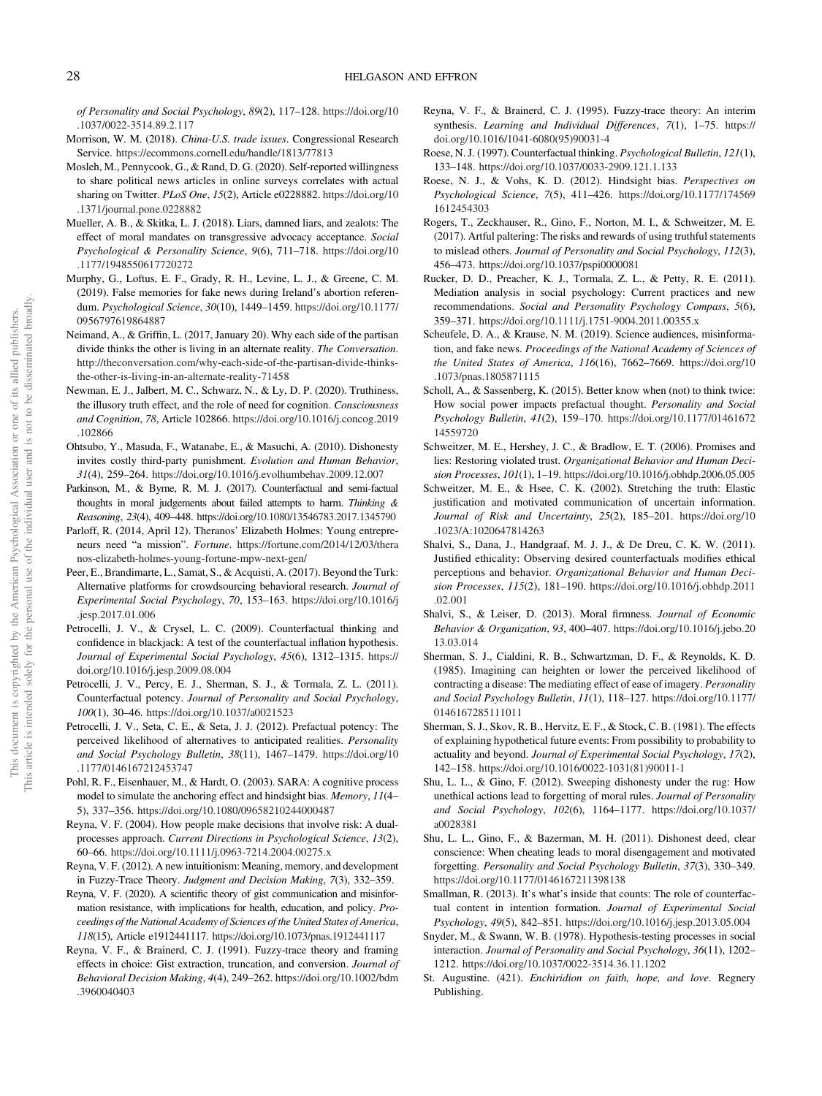<span id="page-27-0"></span>of Personality and Social Psychology, 89(2), 117–128. [https://doi.org/10](https://doi.org/10.1037/0022-3514.89.2.117) [.1037/0022-3514.89.2.117](https://doi.org/10.1037/0022-3514.89.2.117)

- Morrison, W. M. (2018). China-U.S. trade issues. Congressional Research Service. <https://ecommons.cornell.edu/handle/1813/77813>
- Mosleh, M., Pennycook, G., & Rand, D. G. (2020). Self-reported willingness to share political news articles in online surveys correlates with actual sharing on Twitter. PLoS One, 15(2), Article e0228882. [https://doi.org/10](https://doi.org/10.1371/journal.pone.0228882) [.1371/journal.pone.0228882](https://doi.org/10.1371/journal.pone.0228882)
- Mueller, A. B., & Skitka, L. J. (2018). Liars, damned liars, and zealots: The effect of moral mandates on transgressive advocacy acceptance. Social Psychological & Personality Science, 9(6), 711–718. [https://doi.org/10](https://doi.org/10.1177/1948550617720272) [.1177/1948550617720272](https://doi.org/10.1177/1948550617720272)
- Murphy, G., Loftus, E. F., Grady, R. H., Levine, L. J., & Greene, C. M. (2019). False memories for fake news during Ireland's abortion referendum. Psychological Science, 30(10), 1449–1459. [https://doi.org/10.1177/](https://doi.org/10.1177/0956797619864887) [0956797619864887](https://doi.org/10.1177/0956797619864887)
- Neimand, A., & Griffin, L. (2017, January 20). Why each side of the partisan divide thinks the other is living in an alternate reality. The Conversation. [http://theconversation.com/why-each-side-of-the-partisan-divide-thinks](http://theconversation.com/why-each-side-of-the-partisan-divide-thinks-the-other-is-living-in-an-alternate-reality-71458)[the-other-is-living-in-an-alternate-reality-71458](http://theconversation.com/why-each-side-of-the-partisan-divide-thinks-the-other-is-living-in-an-alternate-reality-71458)
- Newman, E. J., Jalbert, M. C., Schwarz, N., & Ly, D. P. (2020). Truthiness, the illusory truth effect, and the role of need for cognition. Consciousness and Cognition, 78, Article 102866. [https://doi.org/10.1016/j.concog.2019](https://doi.org/10.1016/j.concog.2019.102866) [.102866](https://doi.org/10.1016/j.concog.2019.102866)
- Ohtsubo, Y., Masuda, F., Watanabe, E., & Masuchi, A. (2010). Dishonesty invites costly third-party punishment. Evolution and Human Behavior, 31(4), 259–264. <https://doi.org/10.1016/j.evolhumbehav.2009.12.007>
- Parkinson, M., & Byrne, R. M. J. (2017). Counterfactual and semi-factual thoughts in moral judgements about failed attempts to harm. Thinking & Reasoning, 23(4), 409–448. <https://doi.org/10.1080/13546783.2017.1345790>
- Parloff, R. (2014, April 12). Theranos' Elizabeth Holmes: Young entrepreneurs need "a mission". Fortune. [https://fortune.com/2014/12/03/thera](https://fortune.com/2014/12/03/theranos-elizabeth-holmes-young-fortune-mpw-next-gen/) [nos-elizabeth-holmes-young-fortune-mpw-next-gen/](https://fortune.com/2014/12/03/theranos-elizabeth-holmes-young-fortune-mpw-next-gen/)
- Peer, E., Brandimarte, L., Samat, S., & Acquisti, A. (2017). Beyond the Turk: Alternative platforms for crowdsourcing behavioral research. Journal of Experimental Social Psychology, 70, 153–163. [https://doi.org/10.1016/j](https://doi.org/10.1016/j.jesp.2017.01.006) [.jesp.2017.01.006](https://doi.org/10.1016/j.jesp.2017.01.006)
- Petrocelli, J. V., & Crysel, L. C. (2009). Counterfactual thinking and confidence in blackjack: A test of the counterfactual inflation hypothesis. Journal of Experimental Social Psychology, 45(6), 1312–1315. [https://](https://doi.org/10.1016/j.jesp.2009.08.004) [doi.org/10.1016/j.jesp.2009.08.004](https://doi.org/10.1016/j.jesp.2009.08.004)
- Petrocelli, J. V., Percy, E. J., Sherman, S. J., & Tormala, Z. L. (2011). Counterfactual potency. Journal of Personality and Social Psychology, 100(1), 30–46. <https://doi.org/10.1037/a0021523>
- Petrocelli, J. V., Seta, C. E., & Seta, J. J. (2012). Prefactual potency: The perceived likelihood of alternatives to anticipated realities. Personality and Social Psychology Bulletin, 38(11), 1467–1479. [https://doi.org/10](https://doi.org/10.1177/0146167212453747) [.1177/0146167212453747](https://doi.org/10.1177/0146167212453747)
- Pohl, R. F., Eisenhauer, M., & Hardt, O. (2003). SARA: A cognitive process model to simulate the anchoring effect and hindsight bias. Memory, 11(4– 5), 337–356. <https://doi.org/10.1080/09658210244000487>
- Reyna, V. F. (2004). How people make decisions that involve risk: A dualprocesses approach. Current Directions in Psychological Science, 13(2), 60–66. <https://doi.org/10.1111/j.0963-7214.2004.00275.x>
- Reyna, V. F. (2012). A new intuitionism: Meaning, memory, and development in Fuzzy-Trace Theory. Judgment and Decision Making, 7(3), 332–359.
- Reyna, V. F. (2020). A scientific theory of gist communication and misinformation resistance, with implications for health, education, and policy. Proceedings of the National Academy of Sciences of the United States of America, 118(15), Article e1912441117. <https://doi.org/10.1073/pnas.1912441117>
- Reyna, V. F., & Brainerd, C. J. (1991). Fuzzy-trace theory and framing effects in choice: Gist extraction, truncation, and conversion. Journal of Behavioral Decision Making, 4(4), 249–262. [https://doi.org/10.1002/bdm](https://doi.org/10.1002/bdm.3960040403) [.3960040403](https://doi.org/10.1002/bdm.3960040403)
- Reyna, V. F., & Brainerd, C. J. (1995). Fuzzy-trace theory: An interim synthesis. Learning and Individual Differences, 7(1), 1-75. [https://](https://doi.org/10.1016/1041-6080(95)90031-4) [doi.org/10.1016/1041-6080\(95\)90031-4](https://doi.org/10.1016/1041-6080(95)90031-4)
- Roese, N. J. (1997). Counterfactual thinking. Psychological Bulletin, 121(1), 133–148. <https://doi.org/10.1037/0033-2909.121.1.133>
- Roese, N. J., & Vohs, K. D. (2012). Hindsight bias. Perspectives on Psychological Science, 7(5), 411–426. [https://doi.org/10.1177/174569](https://doi.org/10.1177/1745691612454303) [1612454303](https://doi.org/10.1177/1745691612454303)
- Rogers, T., Zeckhauser, R., Gino, F., Norton, M. I., & Schweitzer, M. E. (2017). Artful paltering: The risks and rewards of using truthful statements to mislead others. Journal of Personality and Social Psychology, 112(3), 456–473. <https://doi.org/10.1037/pspi0000081>
- Rucker, D. D., Preacher, K. J., Tormala, Z. L., & Petty, R. E. (2011). Mediation analysis in social psychology: Current practices and new recommendations. Social and Personality Psychology Compass, 5(6), 359–371. <https://doi.org/10.1111/j.1751-9004.2011.00355.x>
- Scheufele, D. A., & Krause, N. M. (2019). Science audiences, misinformation, and fake news. Proceedings of the National Academy of Sciences of the United States of America, 116(16), 7662–7669. [https://doi.org/10](https://doi.org/10.1073/pnas.1805871115) [.1073/pnas.1805871115](https://doi.org/10.1073/pnas.1805871115)
- Scholl, A., & Sassenberg, K. (2015). Better know when (not) to think twice: How social power impacts prefactual thought. Personality and Social Psychology Bulletin, 41(2), 159–170. [https://doi.org/10.1177/01461672](https://doi.org/10.1177/0146167214559720) [14559720](https://doi.org/10.1177/0146167214559720)
- Schweitzer, M. E., Hershey, J. C., & Bradlow, E. T. (2006). Promises and lies: Restoring violated trust. Organizational Behavior and Human Decision Processes, 101(1), 1–19. <https://doi.org/10.1016/j.obhdp.2006.05.005>
- Schweitzer, M. E., & Hsee, C. K. (2002). Stretching the truth: Elastic justification and motivated communication of uncertain information. Journal of Risk and Uncertainty, 25(2), 185–201. [https://doi.org/10](https://doi.org/10.1023/A:1020647814263) [.1023/A:1020647814263](https://doi.org/10.1023/A:1020647814263)
- Shalvi, S., Dana, J., Handgraaf, M. J. J., & De Dreu, C. K. W. (2011). Justified ethicality: Observing desired counterfactuals modifies ethical perceptions and behavior. Organizational Behavior and Human Decision Processes, 115(2), 181–190. [https://doi.org/10.1016/j.obhdp.2011](https://doi.org/10.1016/j.obhdp.2011.02.001) [.02.001](https://doi.org/10.1016/j.obhdp.2011.02.001)
- Shalvi, S., & Leiser, D. (2013). Moral firmness. Journal of Economic Behavior & Organization, 93, 400–407. [https://doi.org/10.1016/j.jebo.20](https://doi.org/10.1016/j.jebo.2013.03.014) [13.03.014](https://doi.org/10.1016/j.jebo.2013.03.014)
- Sherman, S. J., Cialdini, R. B., Schwartzman, D. F., & Reynolds, K. D. (1985). Imagining can heighten or lower the perceived likelihood of contracting a disease: The mediating effect of ease of imagery. Personality and Social Psychology Bulletin, 11(1), 118–127. [https://doi.org/10.1177/](https://doi.org/10.1177/0146167285111011) [0146167285111011](https://doi.org/10.1177/0146167285111011)
- Sherman, S. J., Skov, R. B., Hervitz, E. F., & Stock, C. B. (1981). The effects of explaining hypothetical future events: From possibility to probability to actuality and beyond. Journal of Experimental Social Psychology, 17(2), 142–158. [https://doi.org/10.1016/0022-1031\(81\)90011-1](https://doi.org/10.1016/0022-1031(81)90011-1)
- Shu, L. L., & Gino, F. (2012). Sweeping dishonesty under the rug: How unethical actions lead to forgetting of moral rules. Journal of Personality and Social Psychology, 102(6), 1164–1177. [https://doi.org/10.1037/](https://doi.org/10.1037/a0028381) [a0028381](https://doi.org/10.1037/a0028381)
- Shu, L. L., Gino, F., & Bazerman, M. H. (2011). Dishonest deed, clear conscience: When cheating leads to moral disengagement and motivated forgetting. Personality and Social Psychology Bulletin, 37(3), 330–349. <https://doi.org/10.1177/0146167211398138>
- Smallman, R. (2013). It's what's inside that counts: The role of counterfactual content in intention formation. Journal of Experimental Social Psychology, 49(5), 842–851. <https://doi.org/10.1016/j.jesp.2013.05.004>
- Snyder, M., & Swann, W. B. (1978). Hypothesis-testing processes in social interaction. Journal of Personality and Social Psychology, 36(11), 1202– 1212. <https://doi.org/10.1037/0022-3514.36.11.1202>
- St. Augustine. (421). Enchiridion on faith, hope, and love. Regnery Publishing.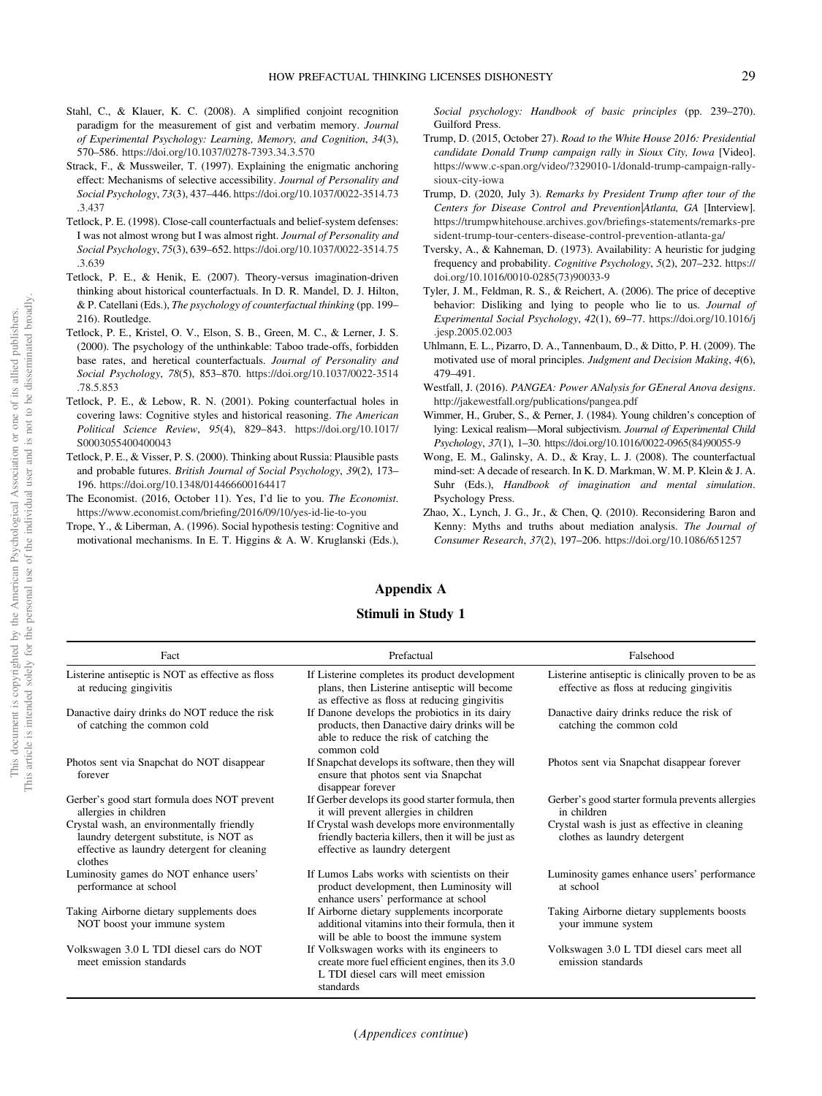- <span id="page-28-0"></span>Stahl, C., & Klauer, K. C. (2008). A simplified conjoint recognition paradigm for the measurement of gist and verbatim memory. Journal of Experimental Psychology: Learning, Memory, and Cognition, 34(3), 570–586. <https://doi.org/10.1037/0278-7393.34.3.570>
- Strack, F., & Mussweiler, T. (1997). Explaining the enigmatic anchoring effect: Mechanisms of selective accessibility. Journal of Personality and Social Psychology, 73(3), 437–446. [https://doi.org/10.1037/0022-3514.73](https://doi.org/10.1037/0022-3514.73.3.437) [.3.437](https://doi.org/10.1037/0022-3514.73.3.437)
- Tetlock, P. E. (1998). Close-call counterfactuals and belief-system defenses: I was not almost wrong but I was almost right. Journal of Personality and Social Psychology, 75(3), 639–652. [https://doi.org/10.1037/0022-3514.75](https://doi.org/10.1037/0022-3514.75.3.639) [.3.639](https://doi.org/10.1037/0022-3514.75.3.639)
- Tetlock, P. E., & Henik, E. (2007). Theory-versus imagination-driven thinking about historical counterfactuals. In D. R. Mandel, D. J. Hilton, & P. Catellani (Eds.), The psychology of counterfactual thinking (pp. 199– 216). Routledge.
- Tetlock, P. E., Kristel, O. V., Elson, S. B., Green, M. C., & Lerner, J. S. (2000). The psychology of the unthinkable: Taboo trade-offs, forbidden base rates, and heretical counterfactuals. Journal of Personality and Social Psychology, 78(5), 853–870. [https://doi.org/10.1037/0022-3514](https://doi.org/10.1037/0022-3514.78.5.853) [.78.5.853](https://doi.org/10.1037/0022-3514.78.5.853)
- Tetlock, P. E., & Lebow, R. N. (2001). Poking counterfactual holes in covering laws: Cognitive styles and historical reasoning. The American Political Science Review, 95(4), 829–843. [https://doi.org/10.1017/](https://doi.org/10.1017/S0003055400400043) [S0003055400400043](https://doi.org/10.1017/S0003055400400043)
- Tetlock, P. E., & Visser, P. S. (2000). Thinking about Russia: Plausible pasts and probable futures. British Journal of Social Psychology, 39(2), 173– 196. <https://doi.org/10.1348/014466600164417>
- The Economist. (2016, October 11). Yes, I'd lie to you. The Economist. [https://www.economist.com/brie](https://www.economist.com/briefing/2016/09/10/yes-id-lie-to-you)fing/2016/09/10/yes-id-lie-to-you
- Trope, Y., & Liberman, A. (1996). Social hypothesis testing: Cognitive and motivational mechanisms. In E. T. Higgins & A. W. Kruglanski (Eds.),

Social psychology: Handbook of basic principles (pp. 239–270). Guilford Press.

- Trump, D. (2015, October 27). Road to the White House 2016: Presidential candidate Donald Trump campaign rally in Sioux City, Iowa [Video]. [https://www.c-span.org/video/?329010-1/donald-trump-campaign-rally](https://www.c-span.org/video/?329010-1/donald-trump-campaign-rally-sioux-city-iowa)[sioux-city-iowa](https://www.c-span.org/video/?329010-1/donald-trump-campaign-rally-sioux-city-iowa)
- Trump, D. (2020, July 3). Remarks by President Trump after tour of the Centers for Disease Control and Prevention|Atlanta, GA [Interview]. [https://trumpwhitehouse.archives.gov/brie](https://trumpwhitehouse.archives.gov/briefings-statements/remarks-president-trump-tour-centers-disease-control-prevention-atlanta-ga/)fings-statements/remarks-pre [sident-trump-tour-centers-disease-control-prevention-atlanta-ga/](https://trumpwhitehouse.archives.gov/briefings-statements/remarks-president-trump-tour-centers-disease-control-prevention-atlanta-ga/)
- Tversky, A., & Kahneman, D. (1973). Availability: A heuristic for judging frequency and probability. Cognitive Psychology, 5(2), 207–232. [https://](https://doi.org/10.1016/0010-0285(73)90033-9) [doi.org/10.1016/0010-0285\(73\)90033-9](https://doi.org/10.1016/0010-0285(73)90033-9)
- Tyler, J. M., Feldman, R. S., & Reichert, A. (2006). The price of deceptive behavior: Disliking and lying to people who lie to us. Journal of Experimental Social Psychology, 42(1), 69–77. [https://doi.org/10.1016/j](https://doi.org/10.1016/j.jesp.2005.02.003) [.jesp.2005.02.003](https://doi.org/10.1016/j.jesp.2005.02.003)
- Uhlmann, E. L., Pizarro, D. A., Tannenbaum, D., & Ditto, P. H. (2009). The motivated use of moral principles. Judgment and Decision Making, 4(6), 479–491.
- Westfall, J. (2016). PANGEA: Power ANalysis for GEneral Anova designs. <http://jakewestfall.org/publications/pangea.pdf>
- Wimmer, H., Gruber, S., & Perner, J. (1984). Young children's conception of lying: Lexical realism—Moral subjectivism. Journal of Experimental Child Psychology, 37(1), 1–30. [https://doi.org/10.1016/0022-0965\(84\)90055-9](https://doi.org/10.1016/0022-0965(84)90055-9)
- Wong, E. M., Galinsky, A. D., & Kray, L. J. (2008). The counterfactual mind-set: A decade of research. In K. D. Markman, W. M. P. Klein & J. A. Suhr (Eds.), Handbook of imagination and mental simulation. Psychology Press.
- Zhao, X., Lynch, J. G., Jr., & Chen, Q. (2010). Reconsidering Baron and Kenny: Myths and truths about mediation analysis. The Journal of Consumer Research, 37(2), 197–206. <https://doi.org/10.1086/651257>

## Appendix A

## Stimuli in Study 1

| Fact                                                                                                                                           | Prefactual                                                                                                                                                | Falsehood                                                                                       |
|------------------------------------------------------------------------------------------------------------------------------------------------|-----------------------------------------------------------------------------------------------------------------------------------------------------------|-------------------------------------------------------------------------------------------------|
| Listerine antiseptic is NOT as effective as floss<br>at reducing gingivitis                                                                    | If Listerine completes its product development<br>plans, then Listerine antiseptic will become<br>as effective as floss at reducing gingivitis            | Listerine antiseptic is clinically proven to be as<br>effective as floss at reducing gingivitis |
| Danactive dairy drinks do NOT reduce the risk<br>of catching the common cold                                                                   | If Danone develops the probiotics in its dairy<br>products, then Danactive dairy drinks will be<br>able to reduce the risk of catching the<br>common cold | Danactive dairy drinks reduce the risk of<br>catching the common cold                           |
| Photos sent via Snapchat do NOT disappear<br>forever                                                                                           | If Snapchat develops its software, then they will<br>ensure that photos sent via Snapchat<br>disappear forever                                            | Photos sent via Snapchat disappear forever                                                      |
| Gerber's good start formula does NOT prevent<br>allergies in children                                                                          | If Gerber develops its good starter formula, then<br>it will prevent allergies in children                                                                | Gerber's good starter formula prevents allergies<br>in children                                 |
| Crystal wash, an environmentally friendly<br>laundry detergent substitute, is NOT as<br>effective as laundry detergent for cleaning<br>clothes | If Crystal wash develops more environmentally<br>friendly bacteria killers, then it will be just as<br>effective as laundry detergent                     | Crystal wash is just as effective in cleaning<br>clothes as laundry detergent                   |
| Luminosity games do NOT enhance users'<br>performance at school                                                                                | If Lumos Labs works with scientists on their<br>product development, then Luminosity will<br>enhance users' performance at school                         | Luminosity games enhance users' performance<br>at school                                        |
| Taking Airborne dietary supplements does<br>NOT boost your immune system                                                                       | If Airborne dietary supplements incorporate<br>additional vitamins into their formula, then it<br>will be able to boost the immune system                 | Taking Airborne dietary supplements boosts<br>your immune system                                |
| Volkswagen 3.0 L TDI diesel cars do NOT<br>meet emission standards                                                                             | If Volkswagen works with its engineers to<br>create more fuel efficient engines, then its 3.0<br>L TDI diesel cars will meet emission<br>standards        | Volkswagen 3.0 L TDI diesel cars meet all<br>emission standards                                 |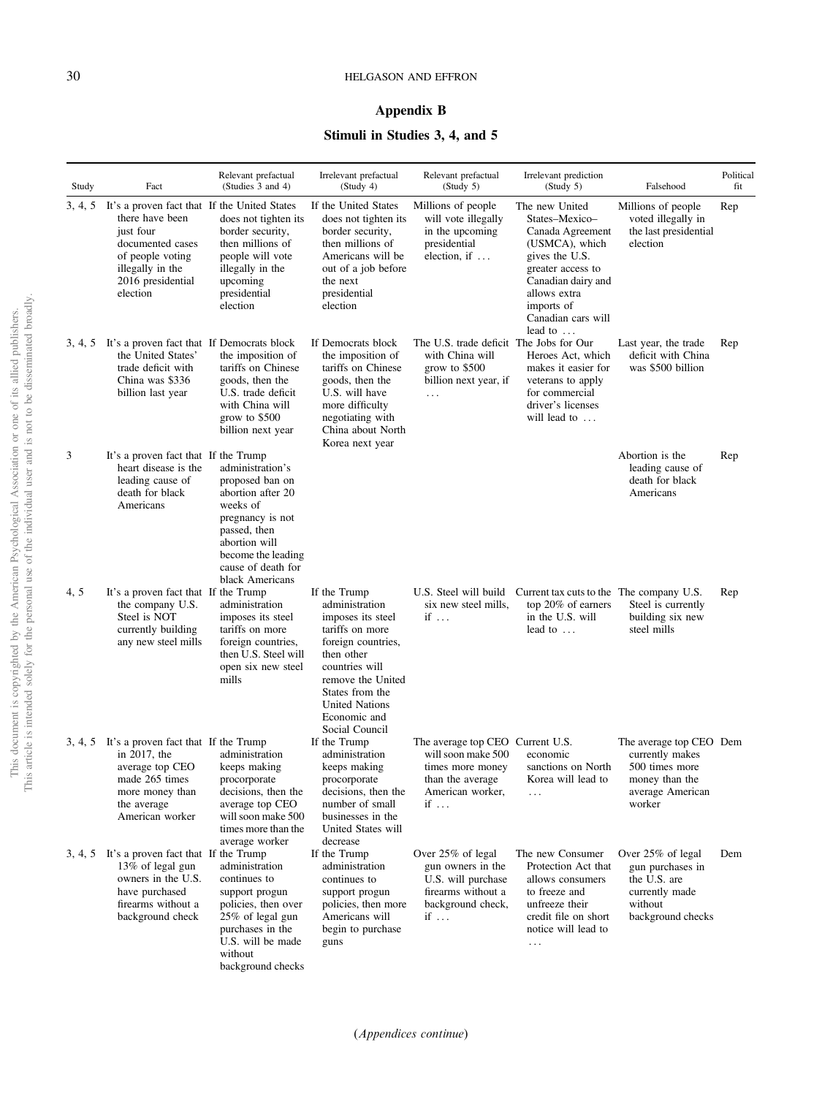## Appendix B

## Stimuli in Studies 3, 4, and 5

<span id="page-29-0"></span>

| Study | Fact                                                                                                                                                                              | Relevant prefactual<br>(Studies 3 and 4)                                                                                                                                                 | Irrelevant prefactual<br>(Study 4)                                                                                                                                                                                              | Relevant prefactual<br>(Study 5)                                                                                         | Irrelevant prediction<br>(Study 5)                                                                                                                                                                         | Falsehood                                                                                                    | Political<br>fit |
|-------|-----------------------------------------------------------------------------------------------------------------------------------------------------------------------------------|------------------------------------------------------------------------------------------------------------------------------------------------------------------------------------------|---------------------------------------------------------------------------------------------------------------------------------------------------------------------------------------------------------------------------------|--------------------------------------------------------------------------------------------------------------------------|------------------------------------------------------------------------------------------------------------------------------------------------------------------------------------------------------------|--------------------------------------------------------------------------------------------------------------|------------------|
|       | 3, 4, 5 It's a proven fact that If the United States<br>there have been<br>just four<br>documented cases<br>of people voting<br>illegally in the<br>2016 presidential<br>election | does not tighten its<br>border security,<br>then millions of<br>people will vote<br>illegally in the<br>upcoming<br>presidential<br>election                                             | If the United States<br>does not tighten its<br>border security,<br>then millions of<br>Americans will be<br>out of a job before<br>the next<br>presidential<br>election                                                        | Millions of people<br>will vote illegally<br>in the upcoming<br>presidential<br>election, if $\dots$                     | The new United<br>States-Mexico-<br>Canada Agreement<br>(USMCA), which<br>gives the U.S.<br>greater access to<br>Canadian dairy and<br>allows extra<br>imports of<br>Canadian cars will<br>lead to $\dots$ | Millions of people<br>voted illegally in<br>the last presidential<br>election                                | Rep              |
|       | 3, 4, 5 It's a proven fact that If Democrats block<br>the United States'<br>trade deficit with<br>China was \$336<br>billion last year                                            | the imposition of<br>tariffs on Chinese<br>goods, then the<br>U.S. trade deficit<br>with China will<br>grow to $$500$<br>billion next year                                               | If Democrats block<br>the imposition of<br>tariffs on Chinese<br>goods, then the<br>U.S. will have<br>more difficulty<br>negotiating with<br>China about North<br>Korea next year                                               | The U.S. trade deficit The Jobs for Our<br>with China will<br>grow to $$500$<br>billion next year, if<br>$\ddots$        | Heroes Act, which<br>makes it easier for<br>veterans to apply<br>for commercial<br>driver's licenses<br>will lead to                                                                                       | Last year, the trade<br>deficit with China<br>was \$500 billion                                              | Rep              |
| 3     | It's a proven fact that If the Trump<br>heart disease is the<br>leading cause of<br>death for black<br>Americans                                                                  | administration's<br>proposed ban on<br>abortion after 20<br>weeks of<br>pregnancy is not<br>passed, then<br>abortion will<br>become the leading<br>cause of death for<br>black Americans |                                                                                                                                                                                                                                 |                                                                                                                          |                                                                                                                                                                                                            | Abortion is the<br>leading cause of<br>death for black<br>Americans                                          | Rep              |
| 4, 5  | It's a proven fact that If the Trump<br>the company U.S.<br>Steel is NOT<br>currently building<br>any new steel mills                                                             | administration<br>imposes its steel<br>tariffs on more<br>foreign countries,<br>then U.S. Steel will<br>open six new steel<br>mills                                                      | If the Trump<br>administration<br>imposes its steel<br>tariffs on more<br>foreign countries,<br>then other<br>countries will<br>remove the United<br>States from the<br><b>United Nations</b><br>Economic and<br>Social Council | six new steel mills,<br>if                                                                                               | U.S. Steel will build Current tax cuts to the The company U.S.<br>top 20% of earners<br>in the U.S. will<br>lead to $\dots$                                                                                | Steel is currently<br>building six new<br>steel mills                                                        | Rep              |
|       | 3, 4, 5 It's a proven fact that If the Trump<br>in $2017$ , the<br>average top CEO<br>made 265 times<br>more money than<br>the average<br>American worker                         | administration<br>keeps making<br>procorporate<br>decisions, then the<br>average top CEO<br>will soon make 500<br>times more than the<br>average worker                                  | If the Trump<br>administration<br>keeps making<br>procorporate<br>decisions, then the<br>number of small<br>businesses in the<br>United States will<br>decrease                                                                 | The average top CEO Current U.S.<br>will soon make 500<br>times more money<br>than the average<br>American worker,<br>if | economic<br>sanctions on North<br>Korea will lead to<br>$\cdots$                                                                                                                                           | The average top CEO Dem<br>currently makes<br>500 times more<br>money than the<br>average American<br>worker |                  |
|       | 3, 4, 5 It's a proven fact that If the Trump<br>13% of legal gun<br>owners in the U.S.<br>have purchased<br>firearms without a<br>background check                                | administration<br>continues to<br>support progun<br>policies, then over<br>25% of legal gun<br>purchases in the<br>U.S. will be made<br>without<br>background checks                     | If the Trump<br>administration<br>continues to<br>support progun<br>policies, then more<br>Americans will<br>begin to purchase<br>guns                                                                                          | Over 25% of legal<br>gun owners in the<br>U.S. will purchase<br>firearms without a<br>background check,<br>if $\ldots$   | The new Consumer<br>Protection Act that<br>allows consumers<br>to freeze and<br>unfreeze their<br>credit file on short<br>notice will lead to<br>$\ddotsc$                                                 | Over 25% of legal<br>gun purchases in<br>the U.S. are<br>currently made<br>without<br>background checks      | Dem              |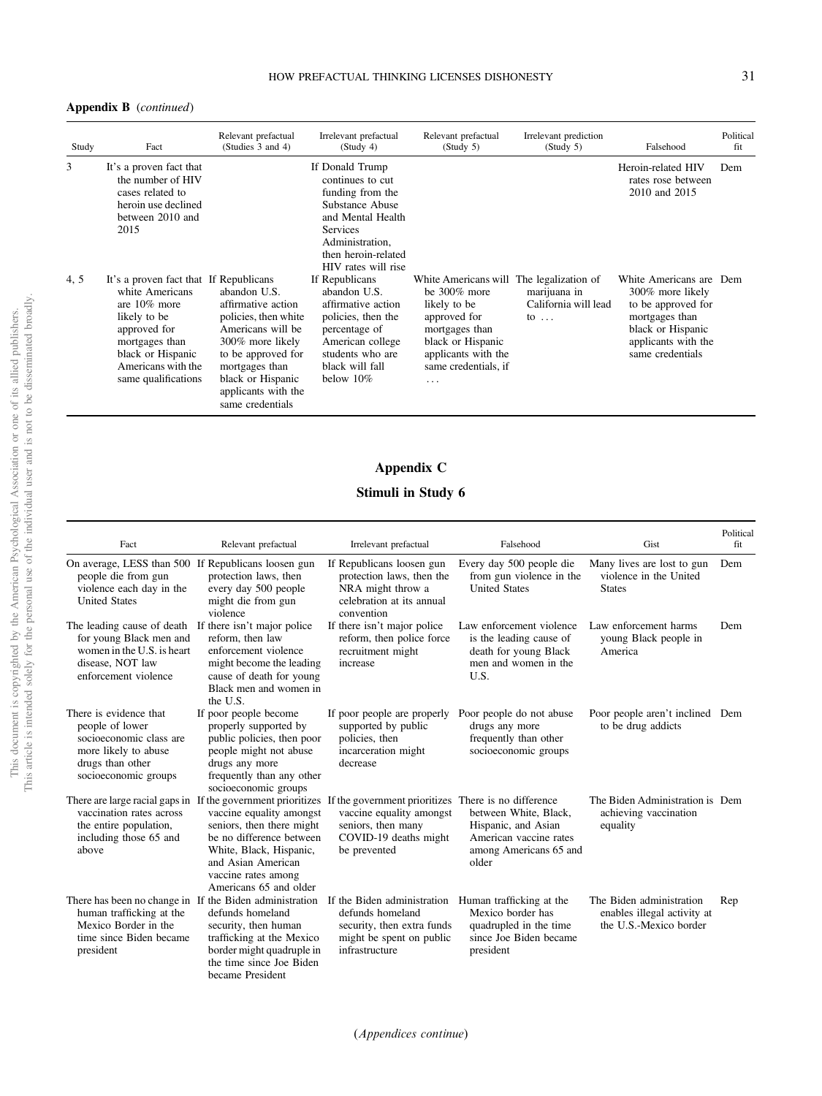#### <span id="page-30-0"></span>Appendix B (continued)

| Study | Fact                                                                                                                                                                                             | Relevant prefactual<br>(Studies 3 and 4)                                                                                                                                                                    | Irrelevant prefactual<br>(Study 4)                                                                                                                                                  | Relevant prefactual<br>(Study 5)                                                                                                                                                       | Irrelevant prediction<br>(Study 5)                  | Falsehood                                                                                                                                           | Political<br>fit |
|-------|--------------------------------------------------------------------------------------------------------------------------------------------------------------------------------------------------|-------------------------------------------------------------------------------------------------------------------------------------------------------------------------------------------------------------|-------------------------------------------------------------------------------------------------------------------------------------------------------------------------------------|----------------------------------------------------------------------------------------------------------------------------------------------------------------------------------------|-----------------------------------------------------|-----------------------------------------------------------------------------------------------------------------------------------------------------|------------------|
| 3     | It's a proven fact that<br>the number of HIV<br>cases related to<br>heroin use declined<br>between 2010 and<br>2015                                                                              |                                                                                                                                                                                                             | If Donald Trump<br>continues to cut<br>funding from the<br>Substance Abuse<br>and Mental Health<br><b>Services</b><br>Administration,<br>then heroin-related<br>HIV rates will rise |                                                                                                                                                                                        |                                                     | Heroin-related HIV<br>rates rose between<br>2010 and 2015                                                                                           | Dem              |
| 4, 5  | It's a proven fact that If Republicans<br>white Americans<br>are $10\%$ more<br>likely to be<br>approved for<br>mortgages than<br>black or Hispanic<br>Americans with the<br>same qualifications | abandon U.S.<br>affirmative action<br>policies, then white<br>Americans will be<br>300% more likely<br>to be approved for<br>mortgages than<br>black or Hispanic<br>applicants with the<br>same credentials | If Republicans<br>abandon U.S.<br>affirmative action<br>policies, then the<br>percentage of<br>American college<br>students who are<br>black will fall<br>below $10\%$              | White Americans will The legalization of<br>be $300\%$ more<br>likely to be<br>approved for<br>mortgages than<br>black or Hispanic<br>applicants with the<br>same credentials, if<br>. | marijuana in<br>California will lead<br>to $\ldots$ | White Americans are Dem<br>300% more likely<br>to be approved for<br>mortgages than<br>black or Hispanic<br>applicants with the<br>same credentials |                  |

## Appendix C

## Stimuli in Study 6

| Fact                                                                                                                                                | Relevant prefactual                                                                                                                                                                                                                                                                                      | Irrelevant prefactual                                                                                                       | Falsehood                                                                                                      | Gist                                                                              | Political<br>fit |
|-----------------------------------------------------------------------------------------------------------------------------------------------------|----------------------------------------------------------------------------------------------------------------------------------------------------------------------------------------------------------------------------------------------------------------------------------------------------------|-----------------------------------------------------------------------------------------------------------------------------|----------------------------------------------------------------------------------------------------------------|-----------------------------------------------------------------------------------|------------------|
| On average, LESS than 500 If Republicans loosen gun<br>people die from gun<br>violence each day in the<br><b>United States</b>                      | protection laws, then<br>every day 500 people<br>might die from gun<br>violence                                                                                                                                                                                                                          | If Republicans loosen gun<br>protection laws, then the<br>NRA might throw a<br>celebration at its annual<br>convention      | Every day 500 people die<br>from gun violence in the<br><b>United States</b>                                   | Many lives are lost to gun<br>violence in the United<br><b>States</b>             | Dem              |
| The leading cause of death<br>for young Black men and<br>women in the U.S. is heart.<br>disease. NOT law<br>enforcement violence                    | If there isn't major police<br>reform, then law<br>enforcement violence<br>might become the leading<br>cause of death for young<br>Black men and women in<br>the U.S.                                                                                                                                    | If there isn't major police<br>reform, then police force<br>recruitment might<br>increase                                   | Law enforcement violence<br>is the leading cause of<br>death for young Black<br>men and women in the<br>U.S.   | Law enforcement harms<br>young Black people in<br>America                         | Dem              |
| There is evidence that<br>people of lower<br>socioeconomic class are<br>more likely to abuse<br>drugs than other<br>socioeconomic groups            | If poor people become<br>properly supported by<br>public policies, then poor<br>people might not abuse<br>drugs any more<br>frequently than any other<br>socioeconomic groups                                                                                                                            | If poor people are properly<br>supported by public<br>policies, then<br>incarceration might<br>decrease                     | Poor people do not abuse<br>drugs any more<br>frequently than other<br>socioeconomic groups                    | Poor people aren't inclined Dem<br>to be drug addicts                             |                  |
| vaccination rates across<br>the entire population,<br>including those 65 and<br>above                                                               | There are large racial gaps in If the government prioritizes If the government prioritizes There is no difference<br>vaccine equality amongst<br>seniors, then there might<br>be no difference between<br>White, Black, Hispanic,<br>and Asian American<br>vaccine rates among<br>Americans 65 and older | vaccine equality amongst<br>seniors, then many<br>COVID-19 deaths might<br>be prevented                                     | between White, Black,<br>Hispanic, and Asian<br>American vaccine rates<br>among Americans 65 and<br>older      | The Biden Administration is Dem<br>achieving vaccination<br>equality              |                  |
| There has been no change in If the Biden administration<br>human trafficking at the<br>Mexico Border in the<br>time since Biden became<br>president | defunds homeland<br>security, then human<br>trafficking at the Mexico<br>border might quadruple in<br>the time since Joe Biden<br>became President                                                                                                                                                       | If the Biden administration<br>defunds homeland<br>security, then extra funds<br>might be spent on public<br>infrastructure | Human trafficking at the<br>Mexico border has<br>quadrupled in the time<br>since Joe Biden became<br>president | The Biden administration<br>enables illegal activity at<br>the U.S.-Mexico border | Rep              |